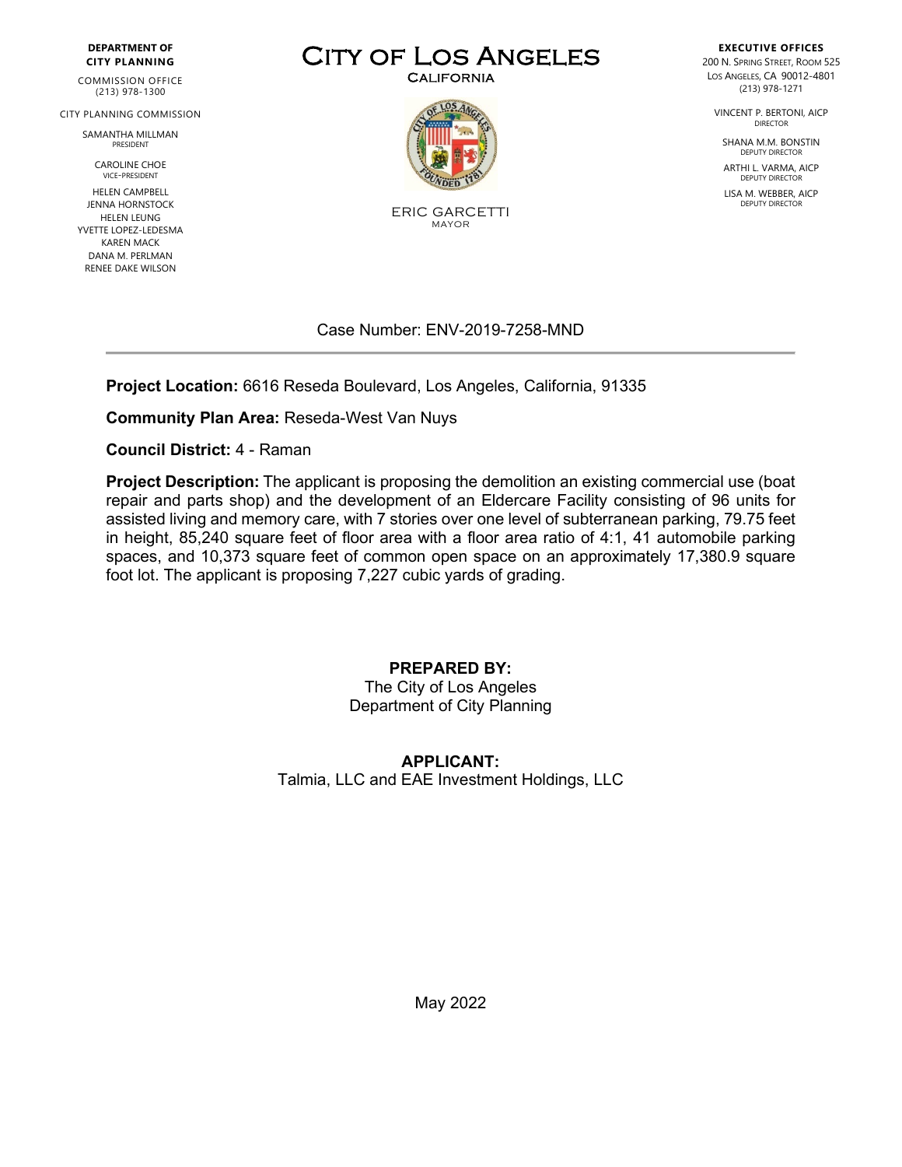#### **DEPARTMENT OF CITY PLANNING**

COMMISSION OFFICE (213) 978-1300

CITY PLANNING COMMISSION

SAMANTHA MILLMAN PRESIDENT

> CAROLINE CHOE VICE-PRESIDENT

HELEN CAMPBELL JENNA HORNSTOCK HELEN LEUNG YVETTE LOPEZ-LEDESMA KAREN MACK DANA M. PERLMAN RENEE DAKE WILSON

# CITY OF LOS ANGELES



ERIC GARCETTI MAYOR

#### Case Number: ENV-2019-7258-MND

**Project Location:** 6616 Reseda Boulevard, Los Angeles, California, 91335

**Community Plan Area:** Reseda-West Van Nuys

**Council District:** 4 - Raman

**Project Description:** The applicant is proposing the demolition an existing commercial use (boat repair and parts shop) and the development of an Eldercare Facility consisting of 96 units for assisted living and memory care, with 7 stories over one level of subterranean parking, 79.75 feet in height, 85,240 square feet of floor area with a floor area ratio of 4:1, 41 automobile parking spaces, and 10,373 square feet of common open space on an approximately 17,380.9 square foot lot. The applicant is proposing 7,227 cubic yards of grading.

#### **PREPARED BY:**

The City of Los Angeles Department of City Planning

#### **APPLICANT:** Talmia, LLC and EAE Investment Holdings, LLC

**EXECUTIVE OFFICES** 200 N. SPRING STREET, ROOM 525 LOS ANGELES, CA 90012-4801 (213) 978-1271

VINCENT P. BERTONI, AICP DIRECTOR

SHANA M.M. BONSTIN DEPUTY DIRECTOR

ARTHI L. VARMA, AICP DEPUTY DIRECTOR

LISA M. WEBBER, AICP DEPUTY DIRECTOR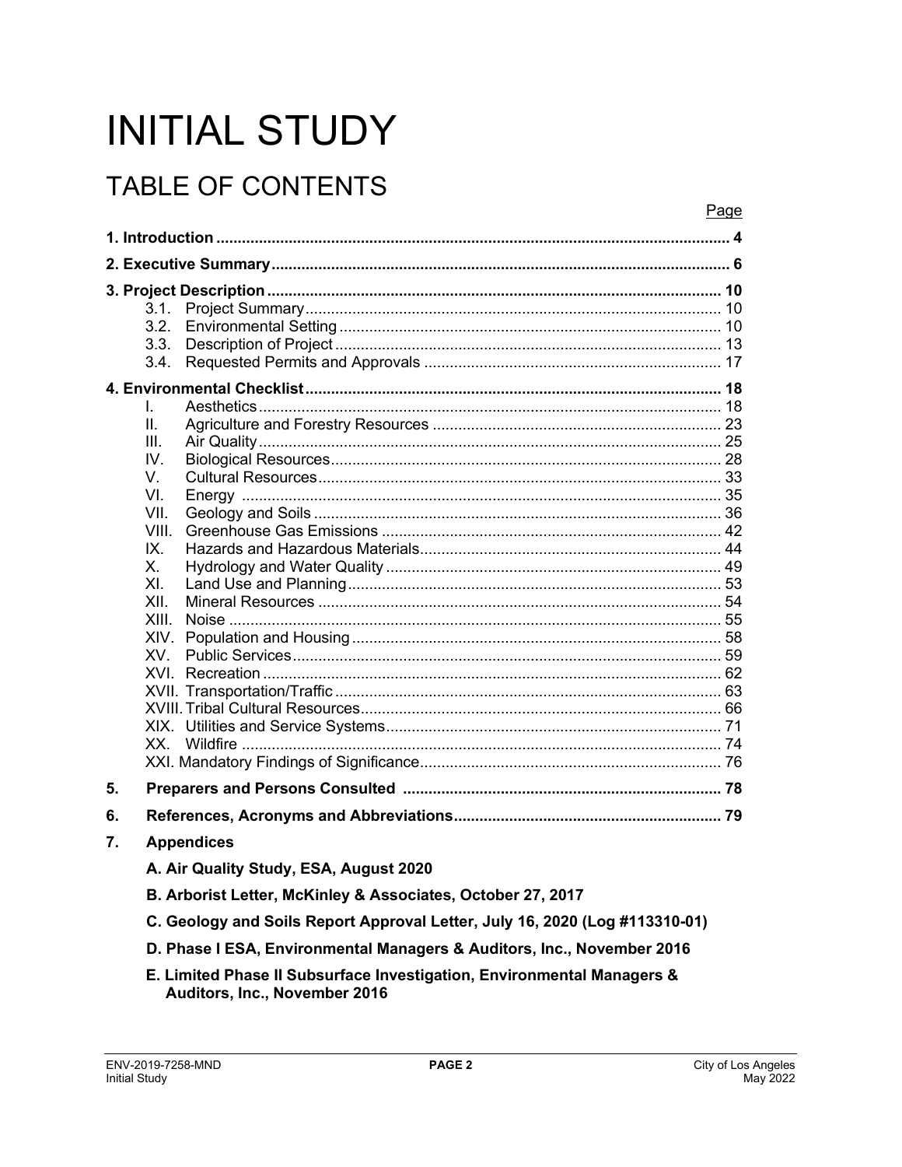# **INITIAL STUDY**

# **TABLE OF CONTENTS**

|    | Page                                                                                                                                       |  |
|----|--------------------------------------------------------------------------------------------------------------------------------------------|--|
|    |                                                                                                                                            |  |
|    |                                                                                                                                            |  |
|    | 3.1.<br>3.2.<br>3.3.<br>3.4.<br>L.<br>ΙΙ.<br>III.<br>IV.<br>V.<br>VI.<br>VII.<br>VIII.<br>IX.<br>Х.<br>XI.<br>XII.<br>XIII.<br>XIV.<br>XV. |  |
|    |                                                                                                                                            |  |
| 5. |                                                                                                                                            |  |
| 6. |                                                                                                                                            |  |
| 7. | <b>Appendices</b>                                                                                                                          |  |
|    | A. Air Quality Study, ESA, August 2020                                                                                                     |  |
|    | B. Arborist Letter, McKinley & Associates, October 27, 2017                                                                                |  |
|    | C. Geology and Soils Report Approval Letter, July 16, 2020 (Log #113310-01)                                                                |  |
|    | D. Phase I ESA, Environmental Managers & Auditors, Inc., November 2016                                                                     |  |

E. Limited Phase II Subsurface Investigation, Environmental Managers & Auditors, Inc., November 2016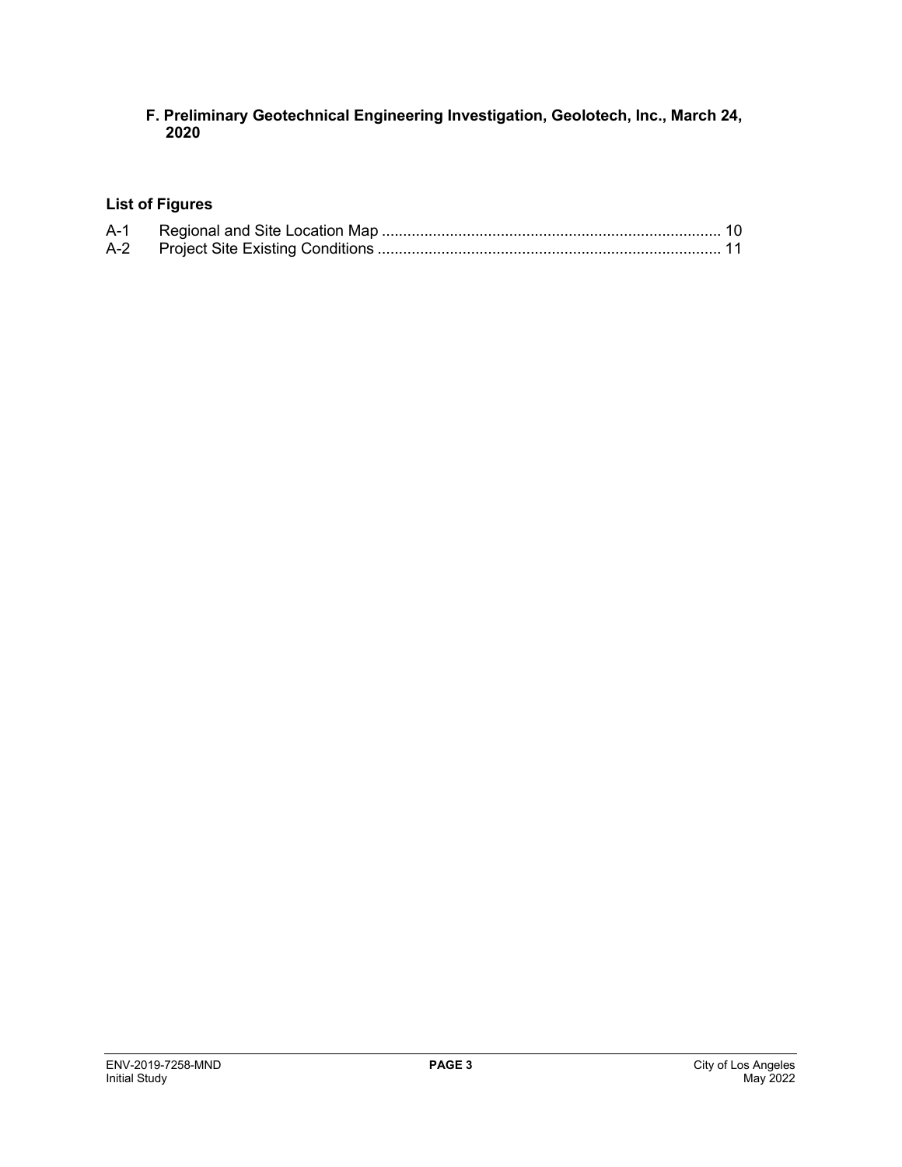#### **F. Preliminary Geotechnical Engineering Investigation, Geolotech, Inc., March 24, 2020**

#### **List of Figures**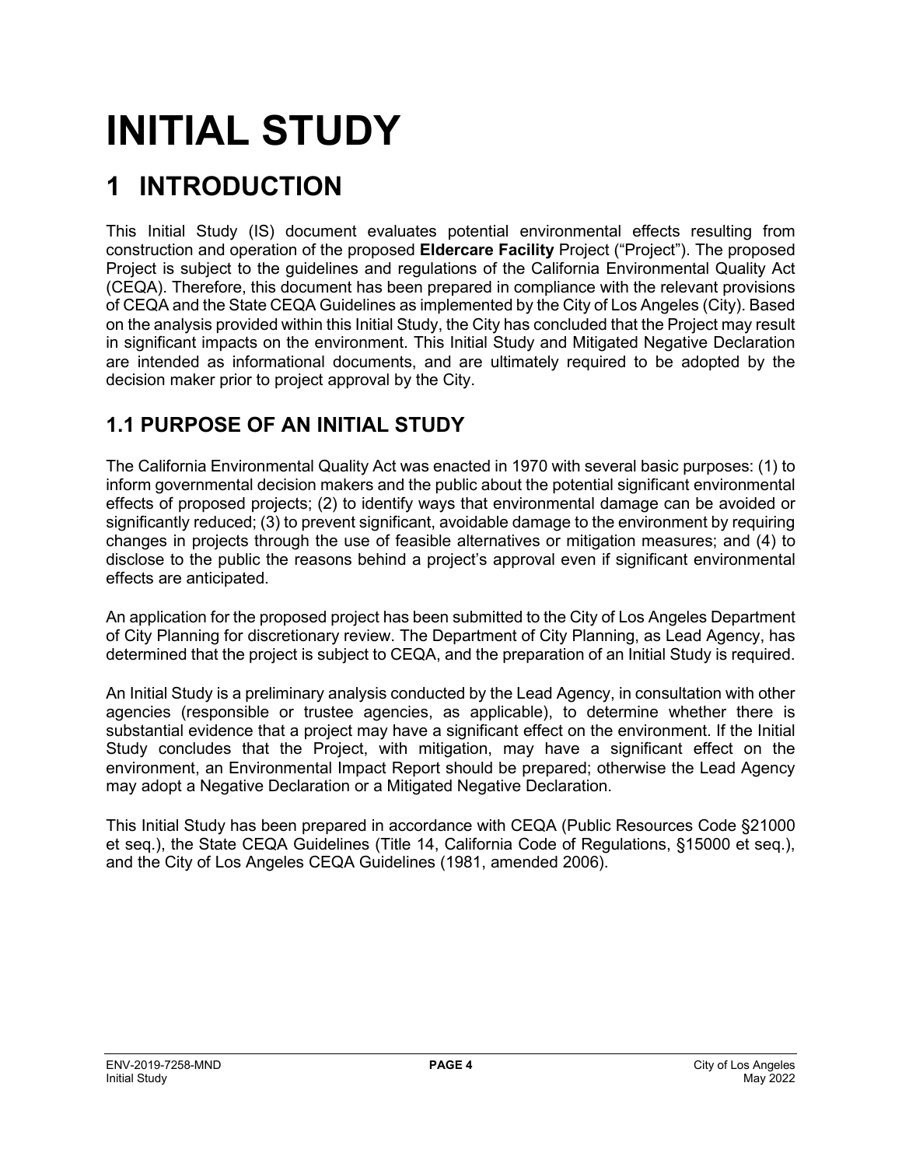# **INITIAL STUDY**

# **1 INTRODUCTION**

This Initial Study (IS) document evaluates potential environmental effects resulting from construction and operation of the proposed **Eldercare Facility** Project ("Project"). The proposed Project is subject to the guidelines and regulations of the California Environmental Quality Act (CEQA). Therefore, this document has been prepared in compliance with the relevant provisions of CEQA and the State CEQA Guidelines as implemented by the City of Los Angeles (City). Based on the analysis provided within this Initial Study, the City has concluded that the Project may result in significant impacts on the environment. This Initial Study and Mitigated Negative Declaration are intended as informational documents, and are ultimately required to be adopted by the decision maker prior to project approval by the City.

# **1.1 PURPOSE OF AN INITIAL STUDY**

The California Environmental Quality Act was enacted in 1970 with several basic purposes: (1) to inform governmental decision makers and the public about the potential significant environmental effects of proposed projects; (2) to identify ways that environmental damage can be avoided or significantly reduced; (3) to prevent significant, avoidable damage to the environment by requiring changes in projects through the use of feasible alternatives or mitigation measures; and (4) to disclose to the public the reasons behind a project's approval even if significant environmental effects are anticipated.

An application for the proposed project has been submitted to the City of Los Angeles Department of City Planning for discretionary review. The Department of City Planning, as Lead Agency, has determined that the project is subject to CEQA, and the preparation of an Initial Study is required.

An Initial Study is a preliminary analysis conducted by the Lead Agency, in consultation with other agencies (responsible or trustee agencies, as applicable), to determine whether there is substantial evidence that a project may have a significant effect on the environment. If the Initial Study concludes that the Project, with mitigation, may have a significant effect on the environment, an Environmental Impact Report should be prepared; otherwise the Lead Agency may adopt a Negative Declaration or a Mitigated Negative Declaration.

This Initial Study has been prepared in accordance with CEQA (Public Resources Code §21000 et seq.), the State CEQA Guidelines (Title 14, California Code of Regulations, §15000 et seq.), and the City of Los Angeles CEQA Guidelines (1981, amended 2006).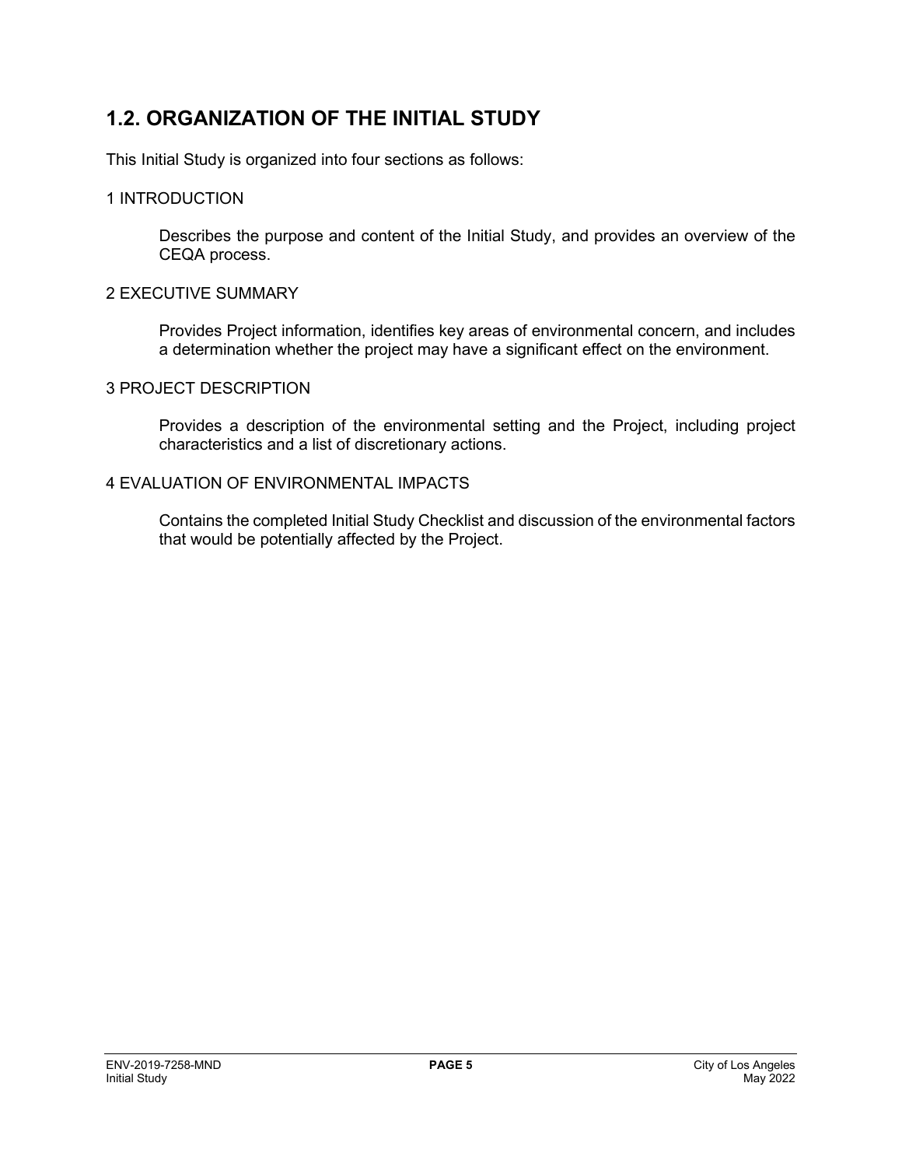# **1.2. ORGANIZATION OF THE INITIAL STUDY**

This Initial Study is organized into four sections as follows:

#### 1 INTRODUCTION

Describes the purpose and content of the Initial Study, and provides an overview of the CEQA process.

#### 2 EXECUTIVE SUMMARY

Provides Project information, identifies key areas of environmental concern, and includes a determination whether the project may have a significant effect on the environment.

#### 3 PROJECT DESCRIPTION

Provides a description of the environmental setting and the Project, including project characteristics and a list of discretionary actions.

#### 4 EVALUATION OF ENVIRONMENTAL IMPACTS

Contains the completed Initial Study Checklist and discussion of the environmental factors that would be potentially affected by the Project.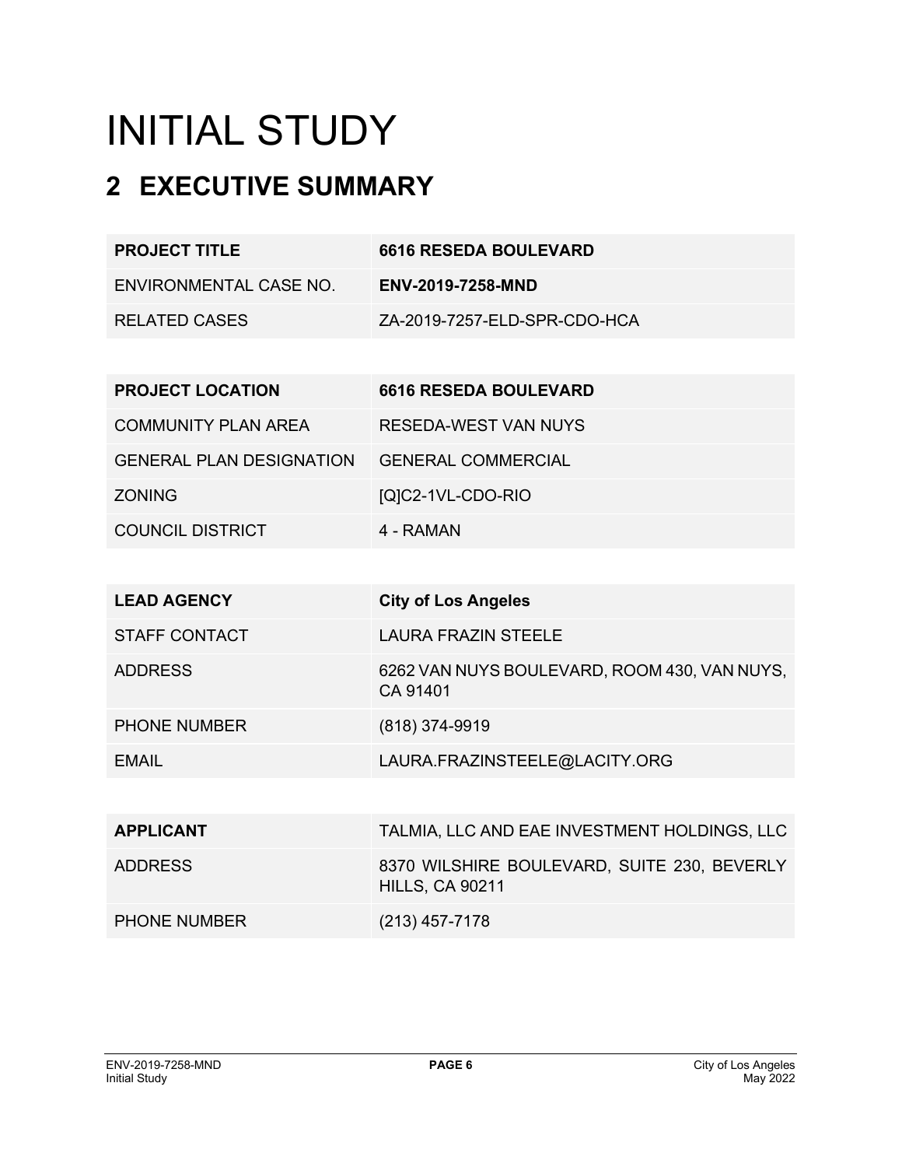# INITIAL STUDY

# **2 EXECUTIVE SUMMARY**

| <b>PROJECT TITLE</b>   | <b>6616 RESEDA BOULEVARD</b> |
|------------------------|------------------------------|
| ENVIRONMENTAL CASE NO. | <b>ENV-2019-7258-MND</b>     |
| RELATED CASES          | ZA-2019-7257-ELD-SPR-CDO-HCA |

| <b>PROJECT LOCATION</b>         | <b>6616 RESEDA BOULEVARD</b> |
|---------------------------------|------------------------------|
| COMMUNITY PLAN AREA             | RESEDA-WEST VAN NUYS         |
| <b>GENERAL PLAN DESIGNATION</b> | <b>GENERAL COMMERCIAL</b>    |
| <b>ZONING</b>                   | [Q]C2-1VL-CDO-RIO            |
| <b>COUNCIL DISTRICT</b>         | 4 - RAMAN                    |

| <b>LEAD AGENCY</b>   | <b>City of Los Angeles</b>                                            |
|----------------------|-----------------------------------------------------------------------|
| <b>STAFF CONTACT</b> | <b>LAURA FRAZIN STEELE</b>                                            |
| <b>ADDRESS</b>       | 6262 VAN NUYS BOULEVARD, ROOM 430, VAN NUYS,<br>CA 91401              |
| <b>PHONE NUMBER</b>  | (818) 374-9919                                                        |
| EMAIL                | LAURA.FRAZINSTEELE@LACITY.ORG                                         |
|                      |                                                                       |
| <b>APPLICANT</b>     | TALMIA, LLC AND EAE INVESTMENT HOLDINGS, LLC                          |
| <b>ADDRESS</b>       | 8370 WILSHIRE BOULEVARD, SUITE 230, BEVERLY<br><b>HILLS, CA 90211</b> |
| <b>PHONE NUMBER</b>  | (213) 457-7178                                                        |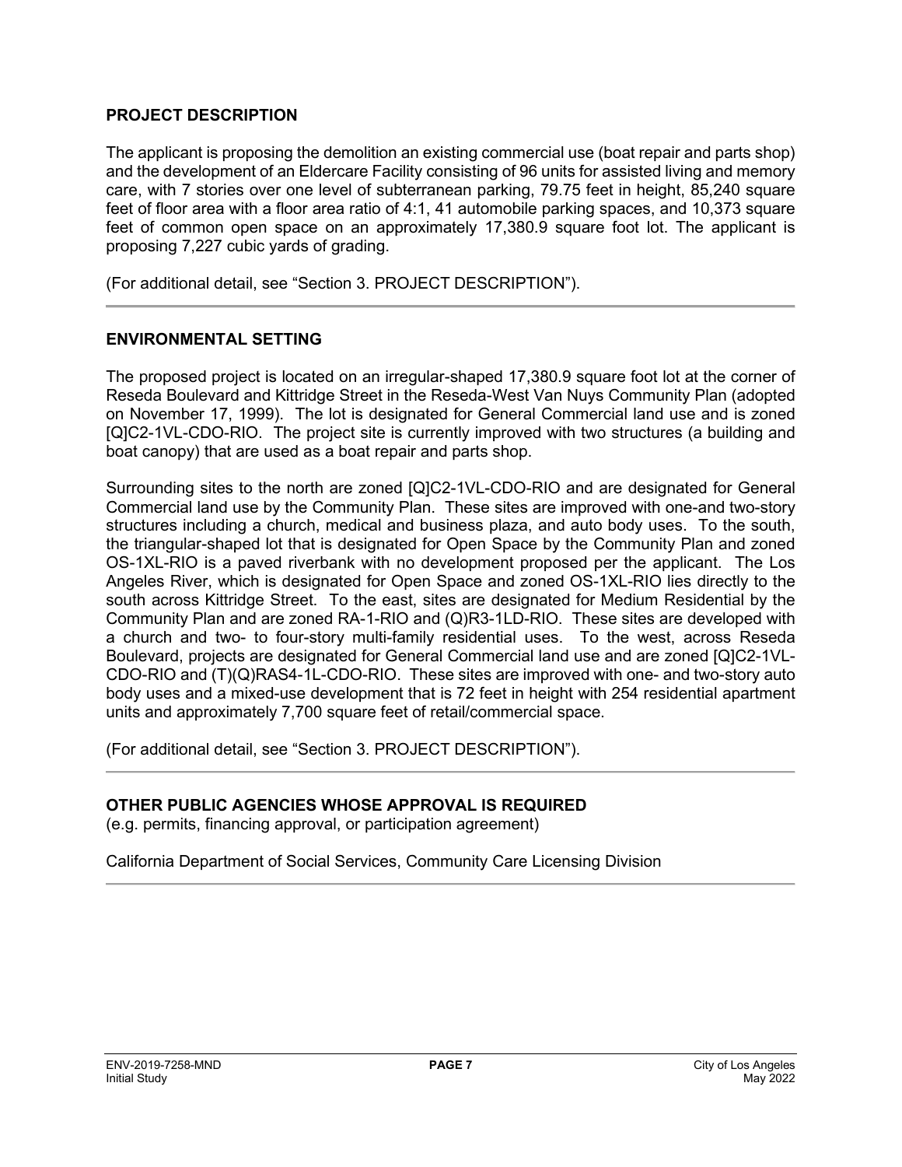#### **PROJECT DESCRIPTION**

The applicant is proposing the demolition an existing commercial use (boat repair and parts shop) and the development of an Eldercare Facility consisting of 96 units for assisted living and memory care, with 7 stories over one level of subterranean parking, 79.75 feet in height, 85,240 square feet of floor area with a floor area ratio of 4:1, 41 automobile parking spaces, and 10,373 square feet of common open space on an approximately 17,380.9 square foot lot. The applicant is proposing 7,227 cubic yards of grading.

(For additional detail, see "Section 3. PROJECT DESCRIPTION").

#### **ENVIRONMENTAL SETTING**

The proposed project is located on an irregular-shaped 17,380.9 square foot lot at the corner of Reseda Boulevard and Kittridge Street in the Reseda-West Van Nuys Community Plan (adopted on November 17, 1999). The lot is designated for General Commercial land use and is zoned [Q]C2-1VL-CDO-RIO. The project site is currently improved with two structures (a building and boat canopy) that are used as a boat repair and parts shop.

Surrounding sites to the north are zoned [Q]C2-1VL-CDO-RIO and are designated for General Commercial land use by the Community Plan. These sites are improved with one-and two-story structures including a church, medical and business plaza, and auto body uses. To the south, the triangular-shaped lot that is designated for Open Space by the Community Plan and zoned OS-1XL-RIO is a paved riverbank with no development proposed per the applicant. The Los Angeles River, which is designated for Open Space and zoned OS-1XL-RIO lies directly to the south across Kittridge Street. To the east, sites are designated for Medium Residential by the Community Plan and are zoned RA-1-RIO and (Q)R3-1LD-RIO. These sites are developed with a church and two- to four-story multi-family residential uses. To the west, across Reseda Boulevard, projects are designated for General Commercial land use and are zoned [Q]C2-1VL-CDO-RIO and (T)(Q)RAS4-1L-CDO-RIO. These sites are improved with one- and two-story auto body uses and a mixed-use development that is 72 feet in height with 254 residential apartment units and approximately 7,700 square feet of retail/commercial space.

(For additional detail, see "Section 3. PROJECT DESCRIPTION").

#### **OTHER PUBLIC AGENCIES WHOSE APPROVAL IS REQUIRED**

(e.g. permits, financing approval, or participation agreement)

California Department of Social Services, Community Care Licensing Division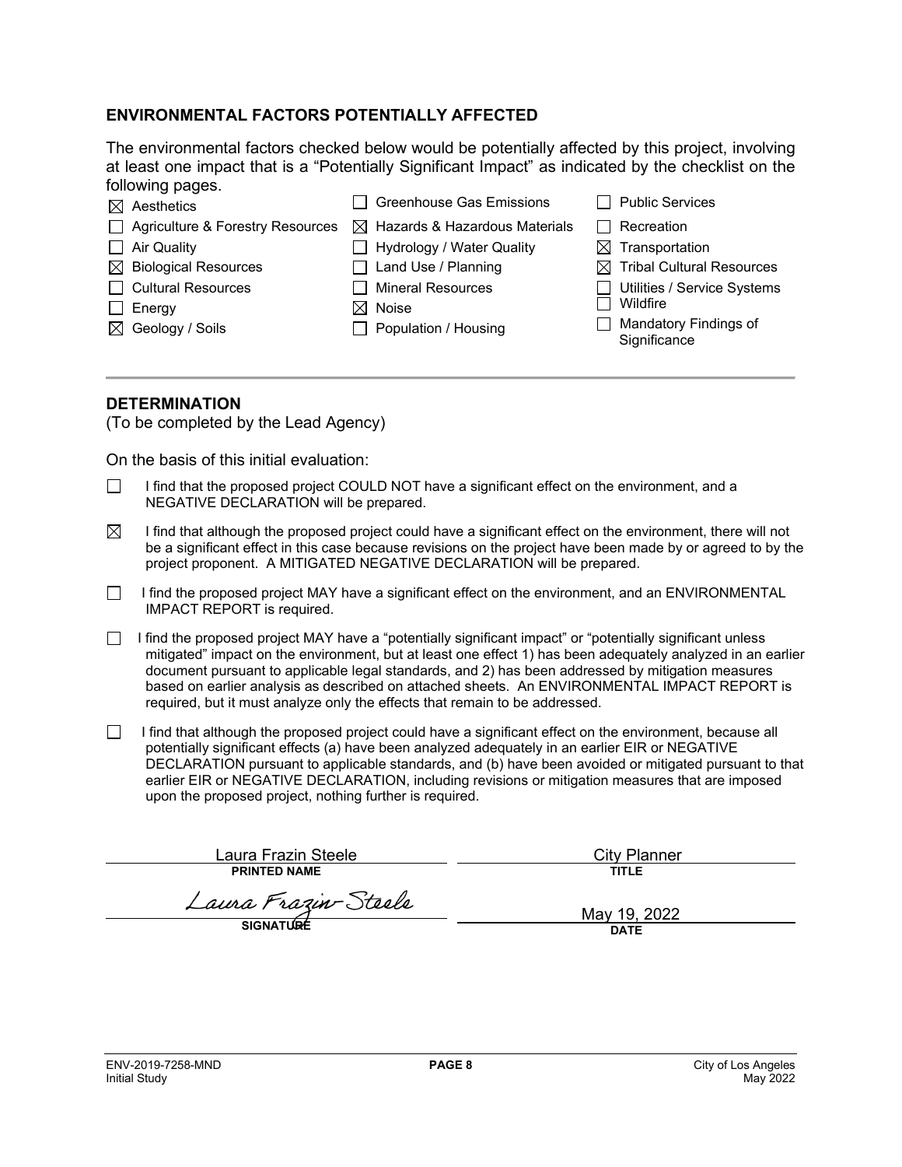#### **ENVIRONMENTAL FACTORS POTENTIALLY AFFECTED**

The environmental factors checked below would be potentially affected by this project, involving at least one impact that is a "Potentially Significant Impact" as indicated by the checklist on the following pages.

|        | $\boxtimes$ Aesthetics             | Greenhouse Gas Emissions                  | $\mathbf{I}$ | <b>Public Services</b>                       |
|--------|------------------------------------|-------------------------------------------|--------------|----------------------------------------------|
|        | □ Agriculture & Forestry Resources | $\boxtimes$ Hazards & Hazardous Materials |              | Recreation                                   |
|        | $\Box$ Air Quality                 | Hydrology / Water Quality                 |              | $\boxtimes$ Transportation                   |
|        | $\boxtimes$ Biological Resources   | $\Box$ Land Use / Planning                |              | $\boxtimes$ Tribal Cultural Resources        |
|        | □ Cultural Resources               | <b>Mineral Resources</b>                  | $\Box$       | Utilities / Service Systems                  |
| $\Box$ | Energy                             | $\boxtimes$ Noise                         |              | Wildfire                                     |
|        | $\boxtimes$ Geology / Soils        | Population / Housing                      | $\mathsf{I}$ | <b>Mandatory Findings of</b><br>Significance |
|        |                                    |                                           |              |                                              |

#### **DETERMINATION**

(To be completed by the Lead Agency)

On the basis of this initial evaluation:

- I find that the proposed project COULD NOT have a significant effect on the environment, and a NEGATIVE DECLARATION will be prepared.
- $\boxtimes$  I find that although the proposed project could have a significant effect on the environment, there will not be a significant effect in this case because revisions on the project have been made by or agreed to by the project proponent. A MITIGATED NEGATIVE DECLARATION will be prepared.
- I find the proposed project MAY have a significant effect on the environment, and an ENVIRONMENTAL IMPACT REPORT is required.
- I find the proposed project MAY have a "potentially significant impact" or "potentially significant unless mitigated" impact on the environment, but at least one effect 1) has been adequately analyzed in an earlier document pursuant to applicable legal standards, and 2) has been addressed by mitigation measures based on earlier analysis as described on attached sheets. An ENVIRONMENTAL IMPACT REPORT is required, but it must analyze only the effects that remain to be addressed.
- $\Box$  I find that although the proposed project could have a significant effect on the environment, because all potentially significant effects (a) have been analyzed adequately in an earlier EIR or NEGATIVE DECLARATION pursuant to applicable standards, and (b) have been avoided or mitigated pursuant to that earlier EIR or NEGATIVE DECLARATION, including revisions or mitigation measures that are imposed upon the proposed project, nothing further is required.

Laura Frazin Steele **PRINTED NAME**

Laura Frazin-Steele

City Planner

**TITLE**

May 19, 2022 **DATE**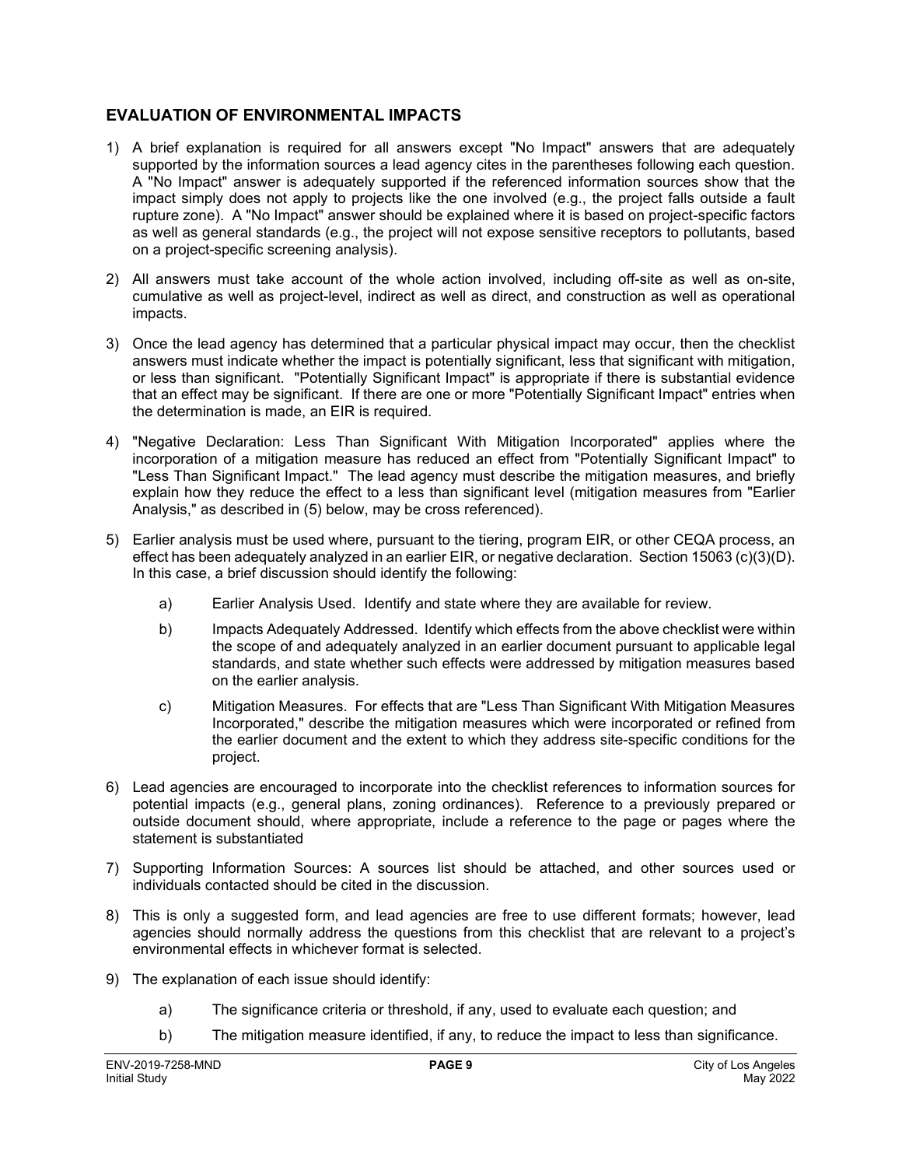#### **EVALUATION OF ENVIRONMENTAL IMPACTS**

- 1) A brief explanation is required for all answers except "No Impact" answers that are adequately supported by the information sources a lead agency cites in the parentheses following each question. A "No Impact" answer is adequately supported if the referenced information sources show that the impact simply does not apply to projects like the one involved (e.g., the project falls outside a fault rupture zone). A "No Impact" answer should be explained where it is based on project-specific factors as well as general standards (e.g., the project will not expose sensitive receptors to pollutants, based on a project-specific screening analysis).
- 2) All answers must take account of the whole action involved, including off-site as well as on-site, cumulative as well as project-level, indirect as well as direct, and construction as well as operational impacts.
- 3) Once the lead agency has determined that a particular physical impact may occur, then the checklist answers must indicate whether the impact is potentially significant, less that significant with mitigation, or less than significant. "Potentially Significant Impact" is appropriate if there is substantial evidence that an effect may be significant. If there are one or more "Potentially Significant Impact" entries when the determination is made, an EIR is required.
- 4) "Negative Declaration: Less Than Significant With Mitigation Incorporated" applies where the incorporation of a mitigation measure has reduced an effect from "Potentially Significant Impact" to "Less Than Significant Impact." The lead agency must describe the mitigation measures, and briefly explain how they reduce the effect to a less than significant level (mitigation measures from "Earlier Analysis," as described in (5) below, may be cross referenced).
- 5) Earlier analysis must be used where, pursuant to the tiering, program EIR, or other CEQA process, an effect has been adequately analyzed in an earlier EIR, or negative declaration. Section 15063 (c)(3)(D). In this case, a brief discussion should identify the following:
	- a) Earlier Analysis Used. Identify and state where they are available for review.
	- b) Impacts Adequately Addressed. Identify which effects from the above checklist were within the scope of and adequately analyzed in an earlier document pursuant to applicable legal standards, and state whether such effects were addressed by mitigation measures based on the earlier analysis.
	- c) Mitigation Measures. For effects that are "Less Than Significant With Mitigation Measures Incorporated," describe the mitigation measures which were incorporated or refined from the earlier document and the extent to which they address site-specific conditions for the project.
- 6) Lead agencies are encouraged to incorporate into the checklist references to information sources for potential impacts (e.g., general plans, zoning ordinances). Reference to a previously prepared or outside document should, where appropriate, include a reference to the page or pages where the statement is substantiated
- 7) Supporting Information Sources: A sources list should be attached, and other sources used or individuals contacted should be cited in the discussion.
- 8) This is only a suggested form, and lead agencies are free to use different formats; however, lead agencies should normally address the questions from this checklist that are relevant to a project's environmental effects in whichever format is selected.
- 9) The explanation of each issue should identify:
	- a) The significance criteria or threshold, if any, used to evaluate each question; and
	- b) The mitigation measure identified, if any, to reduce the impact to less than significance.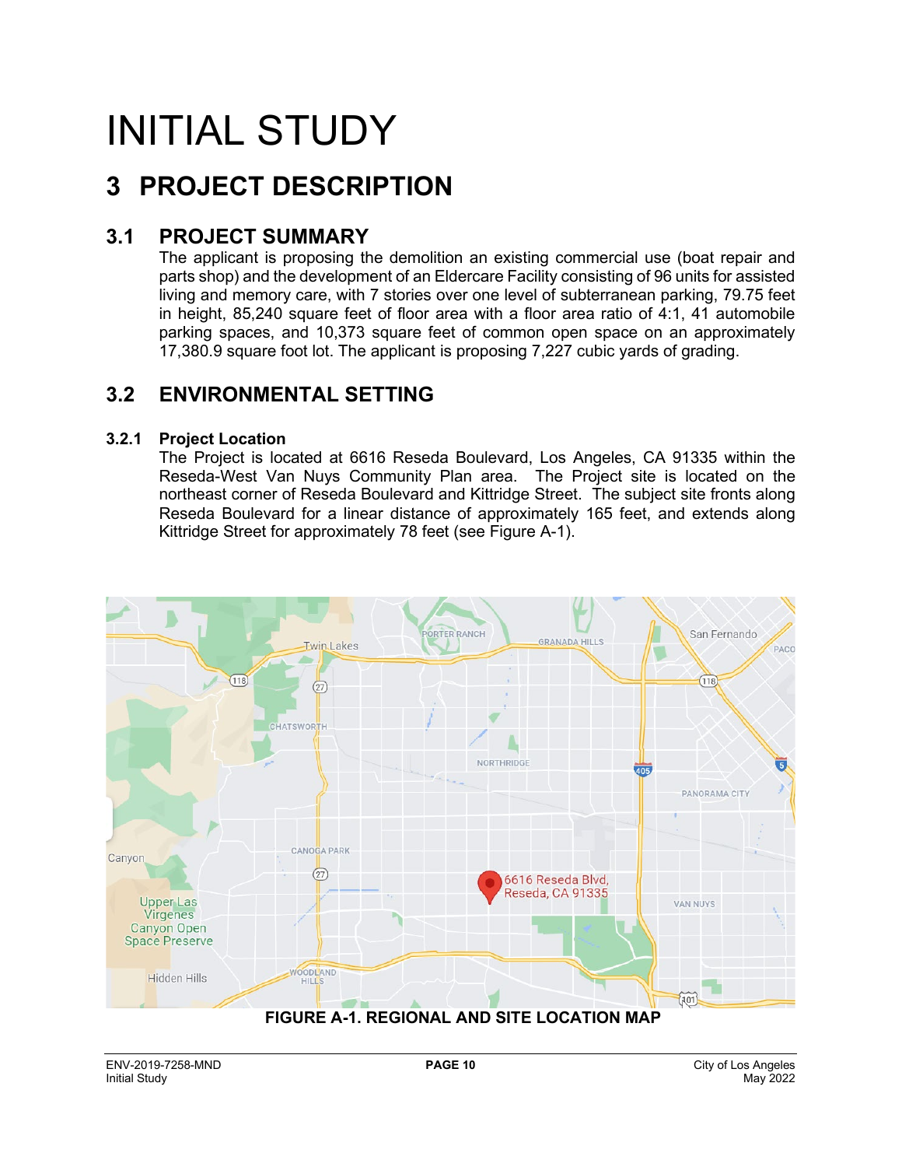# INITIAL STUDY

# **3 PROJECT DESCRIPTION**

### **3.1 PROJECT SUMMARY**

The applicant is proposing the demolition an existing commercial use (boat repair and parts shop) and the development of an Eldercare Facility consisting of 96 units for assisted living and memory care, with 7 stories over one level of subterranean parking, 79.75 feet in height, 85,240 square feet of floor area with a floor area ratio of 4:1, 41 automobile parking spaces, and 10,373 square feet of common open space on an approximately 17,380.9 square foot lot. The applicant is proposing 7,227 cubic yards of grading.

### **3.2 ENVIRONMENTAL SETTING**

#### **3.2.1 Project Location**

The Project is located at 6616 Reseda Boulevard, Los Angeles, CA 91335 within the Reseda-West Van Nuys Community Plan area. The Project site is located on the northeast corner of Reseda Boulevard and Kittridge Street. The subject site fronts along Reseda Boulevard for a linear distance of approximately 165 feet, and extends along Kittridge Street for approximately 78 feet (see Figure A-1).

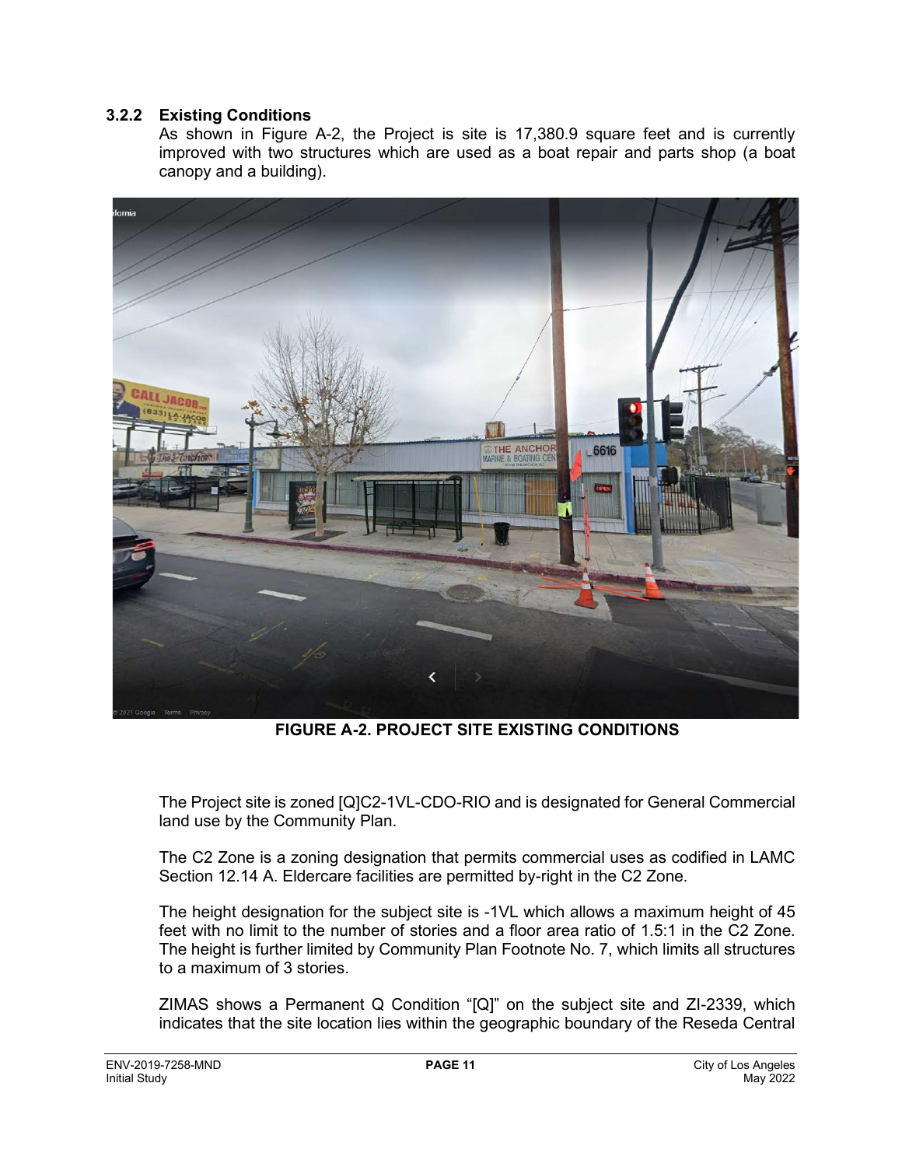#### **3.2.2 Existing Conditions**

As shown in Figure A-2, the Project is site is 17,380.9 square feet and is currently improved with two structures which are used as a boat repair and parts shop (a boat canopy and a building).



**FIGURE A-2. PROJECT SITE EXISTING CONDITIONS**

The Project site is zoned [Q]C2-1VL-CDO-RIO and is designated for General Commercial land use by the Community Plan.

The C2 Zone is a zoning designation that permits commercial uses as codified in LAMC Section 12.14 A. Eldercare facilities are permitted by-right in the C2 Zone.

The height designation for the subject site is -1VL which allows a maximum height of 45 feet with no limit to the number of stories and a floor area ratio of 1.5:1 in the C2 Zone. The height is further limited by Community Plan Footnote No. 7, which limits all structures to a maximum of 3 stories.

ZIMAS shows a Permanent Q Condition "[Q]" on the subject site and ZI-2339, which indicates that the site location lies within the geographic boundary of the Reseda Central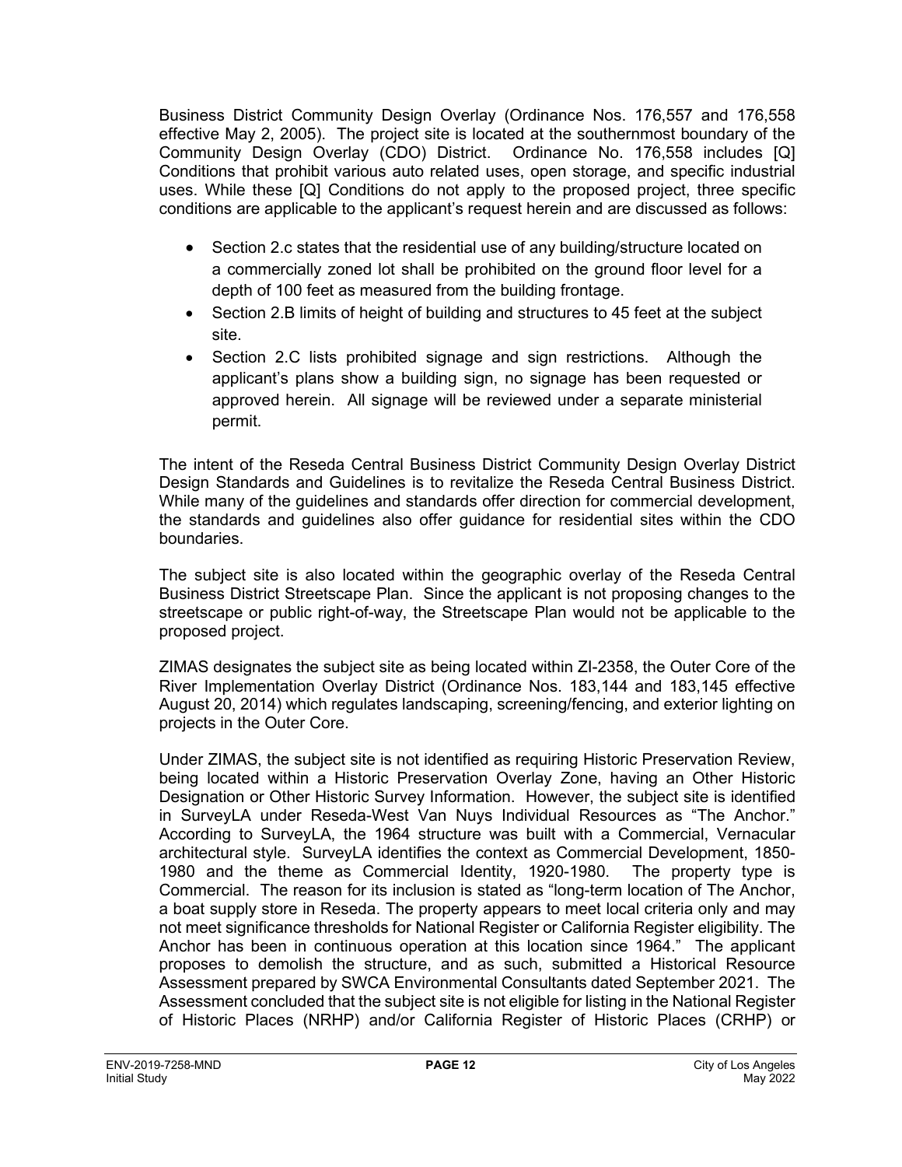Business District Community Design Overlay (Ordinance Nos. 176,557 and 176,558 effective May 2, 2005). The project site is located at the southernmost boundary of the Community Design Overlay (CDO) District. Ordinance No. 176,558 includes [Q] Conditions that prohibit various auto related uses, open storage, and specific industrial uses. While these [Q] Conditions do not apply to the proposed project, three specific conditions are applicable to the applicant's request herein and are discussed as follows:

- Section 2.c states that the residential use of any building/structure located on a commercially zoned lot shall be prohibited on the ground floor level for a depth of 100 feet as measured from the building frontage.
- Section 2.B limits of height of building and structures to 45 feet at the subject site.
- Section 2.C lists prohibited signage and sign restrictions. Although the applicant's plans show a building sign, no signage has been requested or approved herein. All signage will be reviewed under a separate ministerial permit.

The intent of the Reseda Central Business District Community Design Overlay District Design Standards and Guidelines is to revitalize the Reseda Central Business District. While many of the guidelines and standards offer direction for commercial development, the standards and guidelines also offer guidance for residential sites within the CDO boundaries.

The subject site is also located within the geographic overlay of the Reseda Central Business District Streetscape Plan. Since the applicant is not proposing changes to the streetscape or public right-of-way, the Streetscape Plan would not be applicable to the proposed project.

ZIMAS designates the subject site as being located within ZI-2358, the Outer Core of the River Implementation Overlay District (Ordinance Nos. 183,144 and 183,145 effective August 20, 2014) which regulates landscaping, screening/fencing, and exterior lighting on projects in the Outer Core.

Under ZIMAS, the subject site is not identified as requiring Historic Preservation Review, being located within a Historic Preservation Overlay Zone, having an Other Historic Designation or Other Historic Survey Information. However, the subject site is identified in SurveyLA under Reseda-West Van Nuys Individual Resources as "The Anchor." According to SurveyLA, the 1964 structure was built with a Commercial, Vernacular architectural style. SurveyLA identifies the context as Commercial Development, 1850- 1980 and the theme as Commercial Identity, 1920-1980. The property type is Commercial. The reason for its inclusion is stated as "long-term location of The Anchor, a boat supply store in Reseda. The property appears to meet local criteria only and may not meet significance thresholds for National Register or California Register eligibility. The Anchor has been in continuous operation at this location since 1964." The applicant proposes to demolish the structure, and as such, submitted a Historical Resource Assessment prepared by SWCA Environmental Consultants dated September 2021. The Assessment concluded that the subject site is not eligible for listing in the National Register of Historic Places (NRHP) and/or California Register of Historic Places (CRHP) or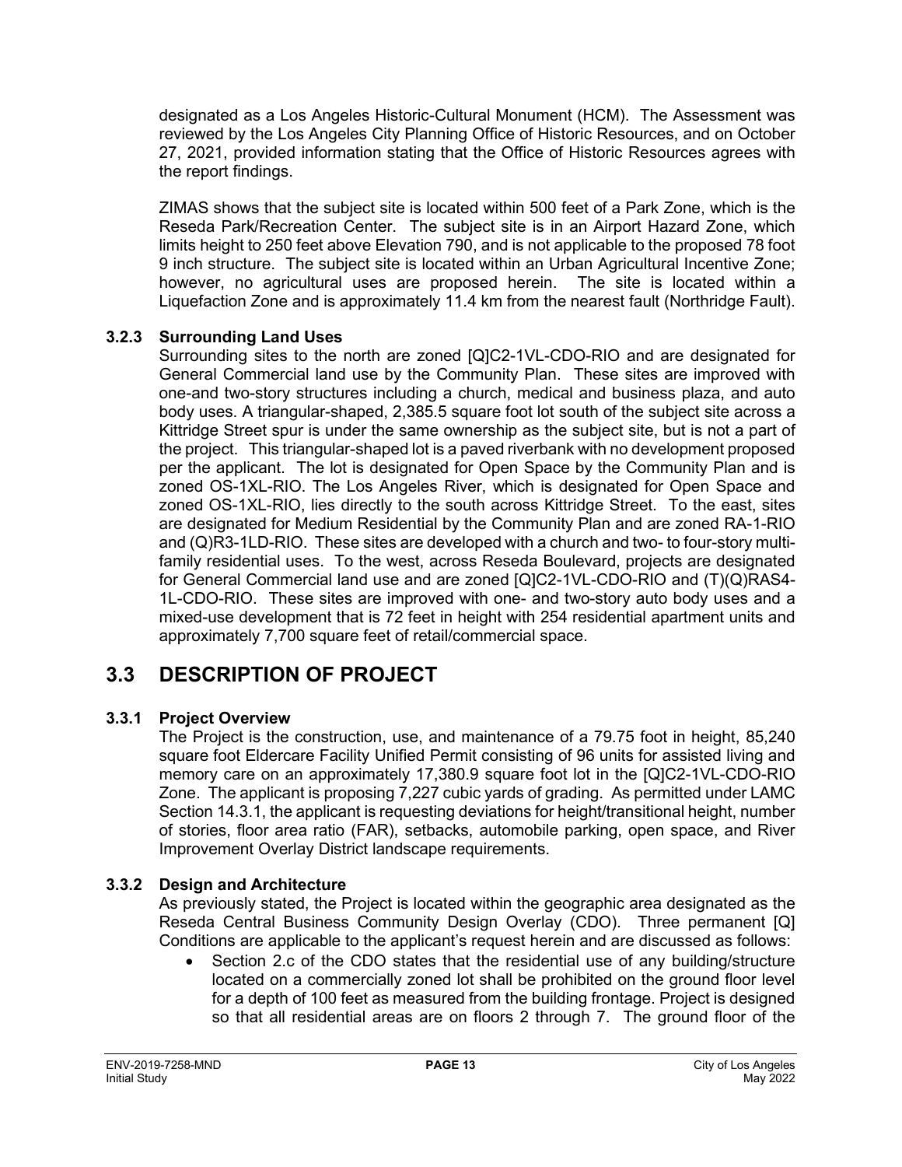designated as a Los Angeles Historic-Cultural Monument (HCM). The Assessment was reviewed by the Los Angeles City Planning Office of Historic Resources, and on October 27, 2021, provided information stating that the Office of Historic Resources agrees with the report findings.

ZIMAS shows that the subject site is located within 500 feet of a Park Zone, which is the Reseda Park/Recreation Center. The subject site is in an Airport Hazard Zone, which limits height to 250 feet above Elevation 790, and is not applicable to the proposed 78 foot 9 inch structure. The subject site is located within an Urban Agricultural Incentive Zone; however, no agricultural uses are proposed herein. The site is located within a Liquefaction Zone and is approximately 11.4 km from the nearest fault (Northridge Fault).

#### **3.2.3 Surrounding Land Uses**

Surrounding sites to the north are zoned [Q]C2-1VL-CDO-RIO and are designated for General Commercial land use by the Community Plan. These sites are improved with one-and two-story structures including a church, medical and business plaza, and auto body uses. A triangular-shaped, 2,385.5 square foot lot south of the subject site across a Kittridge Street spur is under the same ownership as the subject site, but is not a part of the project. This triangular-shaped lot is a paved riverbank with no development proposed per the applicant. The lot is designated for Open Space by the Community Plan and is zoned OS-1XL-RIO. The Los Angeles River, which is designated for Open Space and zoned OS-1XL-RIO, lies directly to the south across Kittridge Street. To the east, sites are designated for Medium Residential by the Community Plan and are zoned RA-1-RIO and (Q)R3-1LD-RIO. These sites are developed with a church and two- to four-story multifamily residential uses. To the west, across Reseda Boulevard, projects are designated for General Commercial land use and are zoned [Q]C2-1VL-CDO-RIO and (T)(Q)RAS4- 1L-CDO-RIO. These sites are improved with one- and two-story auto body uses and a mixed-use development that is 72 feet in height with 254 residential apartment units and approximately 7,700 square feet of retail/commercial space.

# **3.3 DESCRIPTION OF PROJECT**

#### **3.3.1 Project Overview**

The Project is the construction, use, and maintenance of a 79.75 foot in height, 85,240 square foot Eldercare Facility Unified Permit consisting of 96 units for assisted living and memory care on an approximately 17,380.9 square foot lot in the [Q]C2-1VL-CDO-RIO Zone. The applicant is proposing 7,227 cubic yards of grading. As permitted under LAMC Section 14.3.1, the applicant is requesting deviations for height/transitional height, number of stories, floor area ratio (FAR), setbacks, automobile parking, open space, and River Improvement Overlay District landscape requirements.

#### **3.3.2 Design and Architecture**

As previously stated, the Project is located within the geographic area designated as the Reseda Central Business Community Design Overlay (CDO). Three permanent [Q] Conditions are applicable to the applicant's request herein and are discussed as follows:

• Section 2.c of the CDO states that the residential use of any building/structure located on a commercially zoned lot shall be prohibited on the ground floor level for a depth of 100 feet as measured from the building frontage. Project is designed so that all residential areas are on floors 2 through 7. The ground floor of the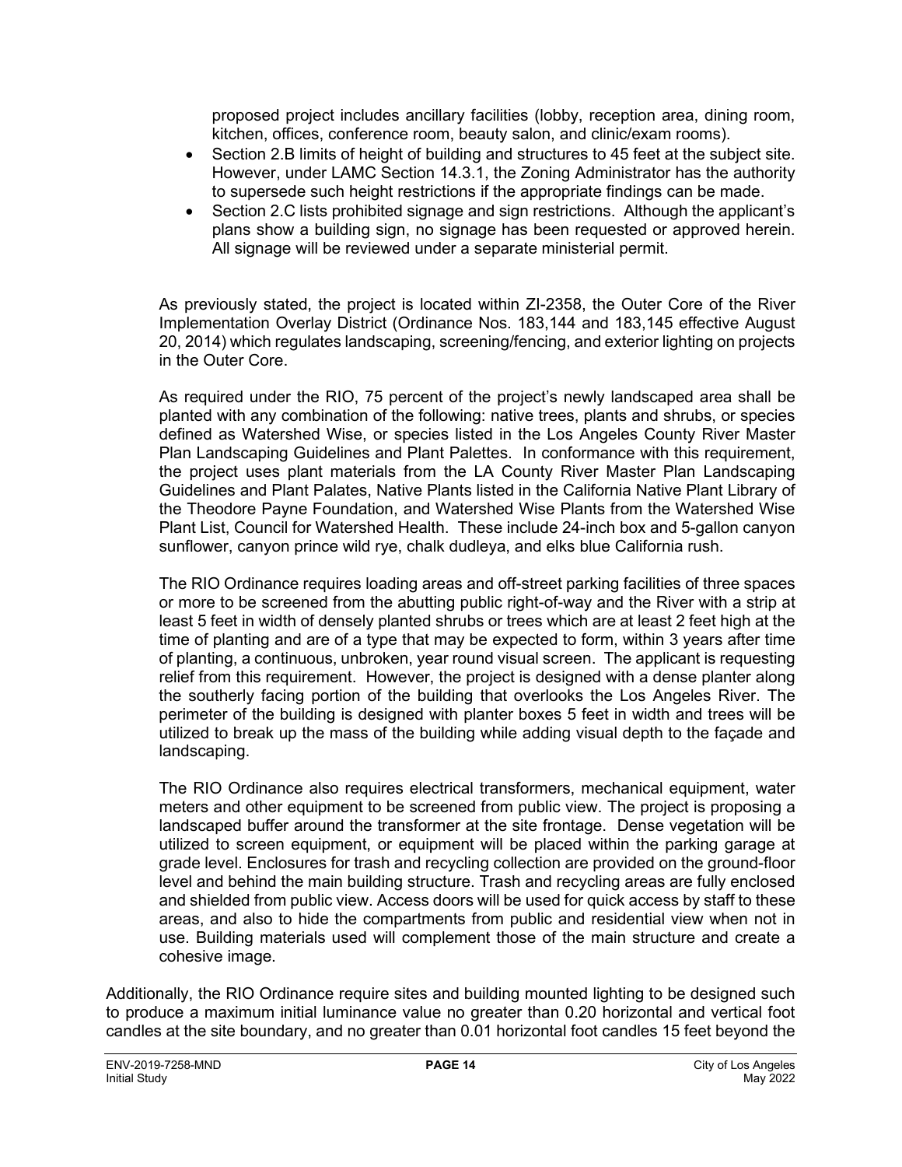proposed project includes ancillary facilities (lobby, reception area, dining room, kitchen, offices, conference room, beauty salon, and clinic/exam rooms).

- Section 2.B limits of height of building and structures to 45 feet at the subject site. However, under LAMC Section 14.3.1, the Zoning Administrator has the authority to supersede such height restrictions if the appropriate findings can be made.
- Section 2.C lists prohibited signage and sign restrictions. Although the applicant's plans show a building sign, no signage has been requested or approved herein. All signage will be reviewed under a separate ministerial permit.

As previously stated, the project is located within ZI-2358, the Outer Core of the River Implementation Overlay District (Ordinance Nos. 183,144 and 183,145 effective August 20, 2014) which regulates landscaping, screening/fencing, and exterior lighting on projects in the Outer Core.

As required under the RIO, 75 percent of the project's newly landscaped area shall be planted with any combination of the following: native trees, plants and shrubs, or species defined as Watershed Wise, or species listed in the Los Angeles County River Master Plan Landscaping Guidelines and Plant Palettes. In conformance with this requirement, the project uses plant materials from the LA County River Master Plan Landscaping Guidelines and Plant Palates, Native Plants listed in the California Native Plant Library of the Theodore Payne Foundation, and Watershed Wise Plants from the Watershed Wise Plant List, Council for Watershed Health. These include 24-inch box and 5-gallon canyon sunflower, canyon prince wild rye, chalk dudleya, and elks blue California rush.

The RIO Ordinance requires loading areas and off-street parking facilities of three spaces or more to be screened from the abutting public right-of-way and the River with a strip at least 5 feet in width of densely planted shrubs or trees which are at least 2 feet high at the time of planting and are of a type that may be expected to form, within 3 years after time of planting, a continuous, unbroken, year round visual screen. The applicant is requesting relief from this requirement. However, the project is designed with a dense planter along the southerly facing portion of the building that overlooks the Los Angeles River. The perimeter of the building is designed with planter boxes 5 feet in width and trees will be utilized to break up the mass of the building while adding visual depth to the façade and landscaping.

The RIO Ordinance also requires electrical transformers, mechanical equipment, water meters and other equipment to be screened from public view. The project is proposing a landscaped buffer around the transformer at the site frontage. Dense vegetation will be utilized to screen equipment, or equipment will be placed within the parking garage at grade level. Enclosures for trash and recycling collection are provided on the ground-floor level and behind the main building structure. Trash and recycling areas are fully enclosed and shielded from public view. Access doors will be used for quick access by staff to these areas, and also to hide the compartments from public and residential view when not in use. Building materials used will complement those of the main structure and create a cohesive image.

Additionally, the RIO Ordinance require sites and building mounted lighting to be designed such to produce a maximum initial luminance value no greater than 0.20 horizontal and vertical foot candles at the site boundary, and no greater than 0.01 horizontal foot candles 15 feet beyond the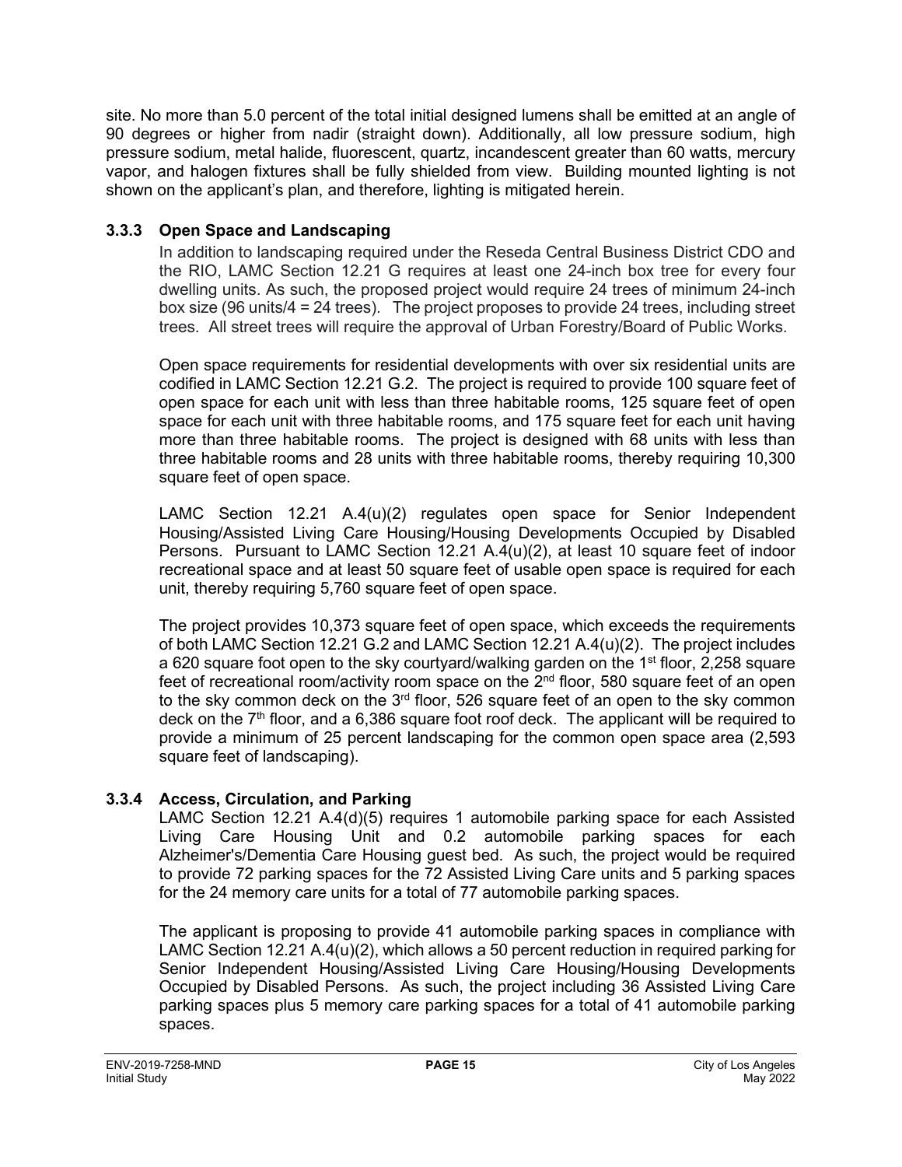site. No more than 5.0 percent of the total initial designed lumens shall be emitted at an angle of 90 degrees or higher from nadir (straight down). Additionally, all low pressure sodium, high pressure sodium, metal halide, fluorescent, quartz, incandescent greater than 60 watts, mercury vapor, and halogen fixtures shall be fully shielded from view. Building mounted lighting is not shown on the applicant's plan, and therefore, lighting is mitigated herein.

#### **3.3.3 Open Space and Landscaping**

In addition to landscaping required under the Reseda Central Business District CDO and the RIO, LAMC Section 12.21 G requires at least one 24-inch box tree for every four dwelling units. As such, the proposed project would require 24 trees of minimum 24-inch box size (96 units/4 = 24 trees). The project proposes to provide 24 trees, including street trees. All street trees will require the approval of Urban Forestry/Board of Public Works.

Open space requirements for residential developments with over six residential units are codified in LAMC Section 12.21 G.2. The project is required to provide 100 square feet of open space for each unit with less than three habitable rooms, 125 square feet of open space for each unit with three habitable rooms, and 175 square feet for each unit having more than three habitable rooms. The project is designed with 68 units with less than three habitable rooms and 28 units with three habitable rooms, thereby requiring 10,300 square feet of open space.

LAMC Section 12.21 A.4(u)(2) regulates open space for Senior Independent Housing/Assisted Living Care Housing/Housing Developments Occupied by Disabled Persons. Pursuant to LAMC Section 12.21 A.4(u)(2), at least 10 square feet of indoor recreational space and at least 50 square feet of usable open space is required for each unit, thereby requiring 5,760 square feet of open space.

The project provides 10,373 square feet of open space, which exceeds the requirements of both LAMC Section 12.21 G.2 and LAMC Section 12.21 A.4(u)(2). The project includes a 620 square foot open to the sky courtyard/walking garden on the 1<sup>st</sup> floor, 2,258 square feet of recreational room/activity room space on the  $2<sup>nd</sup>$  floor, 580 square feet of an open to the sky common deck on the  $3<sup>rd</sup>$  floor, 526 square feet of an open to the sky common deck on the  $7<sup>th</sup>$  floor, and a 6,386 square foot roof deck. The applicant will be required to provide a minimum of 25 percent landscaping for the common open space area (2,593 square feet of landscaping).

#### **3.3.4 Access, Circulation, and Parking**

LAMC Section 12.21 A.4(d)(5) requires 1 automobile parking space for each Assisted Living Care Housing Unit and 0.2 automobile parking spaces for each Alzheimer's/Dementia Care Housing guest bed. As such, the project would be required to provide 72 parking spaces for the 72 Assisted Living Care units and 5 parking spaces for the 24 memory care units for a total of 77 automobile parking spaces.

The applicant is proposing to provide 41 automobile parking spaces in compliance with LAMC Section 12.21 A.4(u)(2), which allows a 50 percent reduction in required parking for Senior Independent Housing/Assisted Living Care Housing/Housing Developments Occupied by Disabled Persons. As such, the project including 36 Assisted Living Care parking spaces plus 5 memory care parking spaces for a total of 41 automobile parking spaces.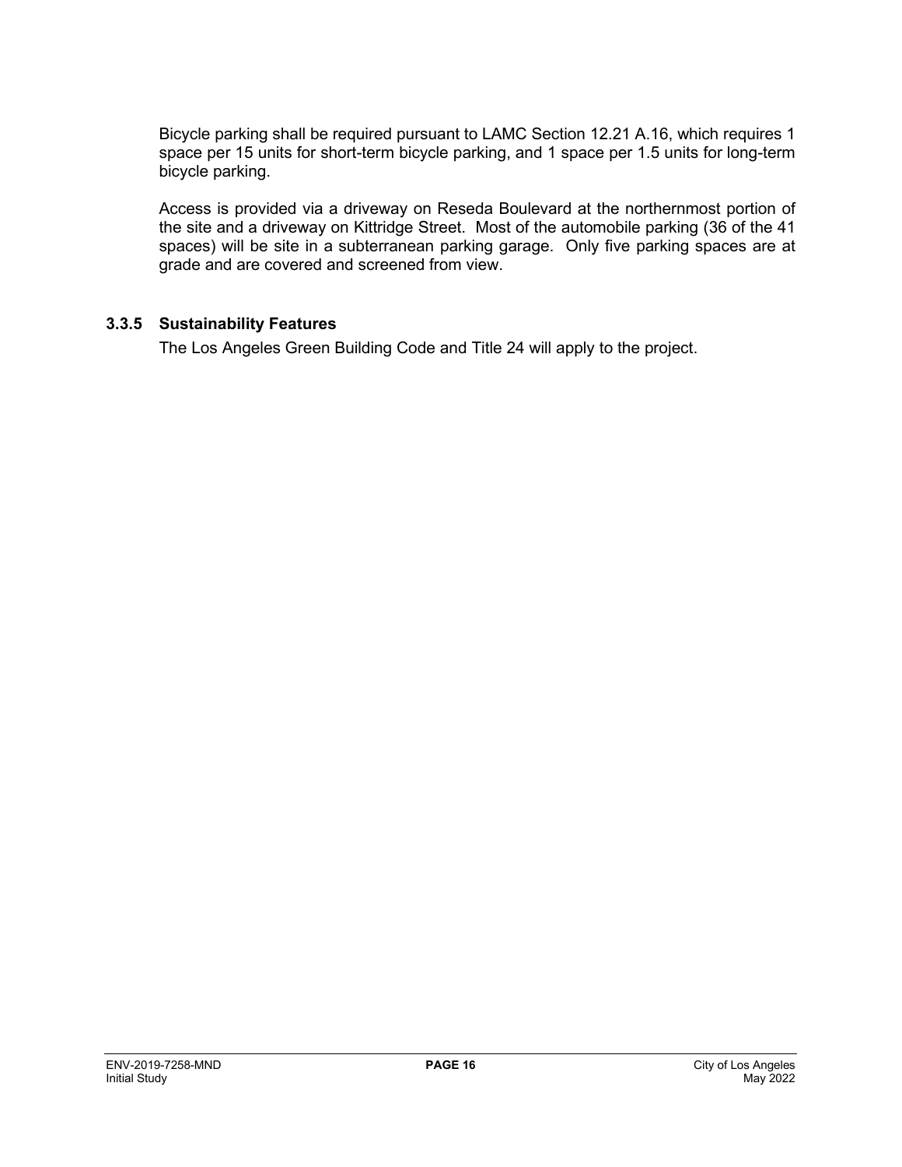Bicycle parking shall be required pursuant to LAMC Section 12.21 A.16, which requires 1 space per 15 units for short-term bicycle parking, and 1 space per 1.5 units for long-term bicycle parking.

Access is provided via a driveway on Reseda Boulevard at the northernmost portion of the site and a driveway on Kittridge Street. Most of the automobile parking (36 of the 41 spaces) will be site in a subterranean parking garage. Only five parking spaces are at grade and are covered and screened from view.

#### **3.3.5 Sustainability Features**

The Los Angeles Green Building Code and Title 24 will apply to the project.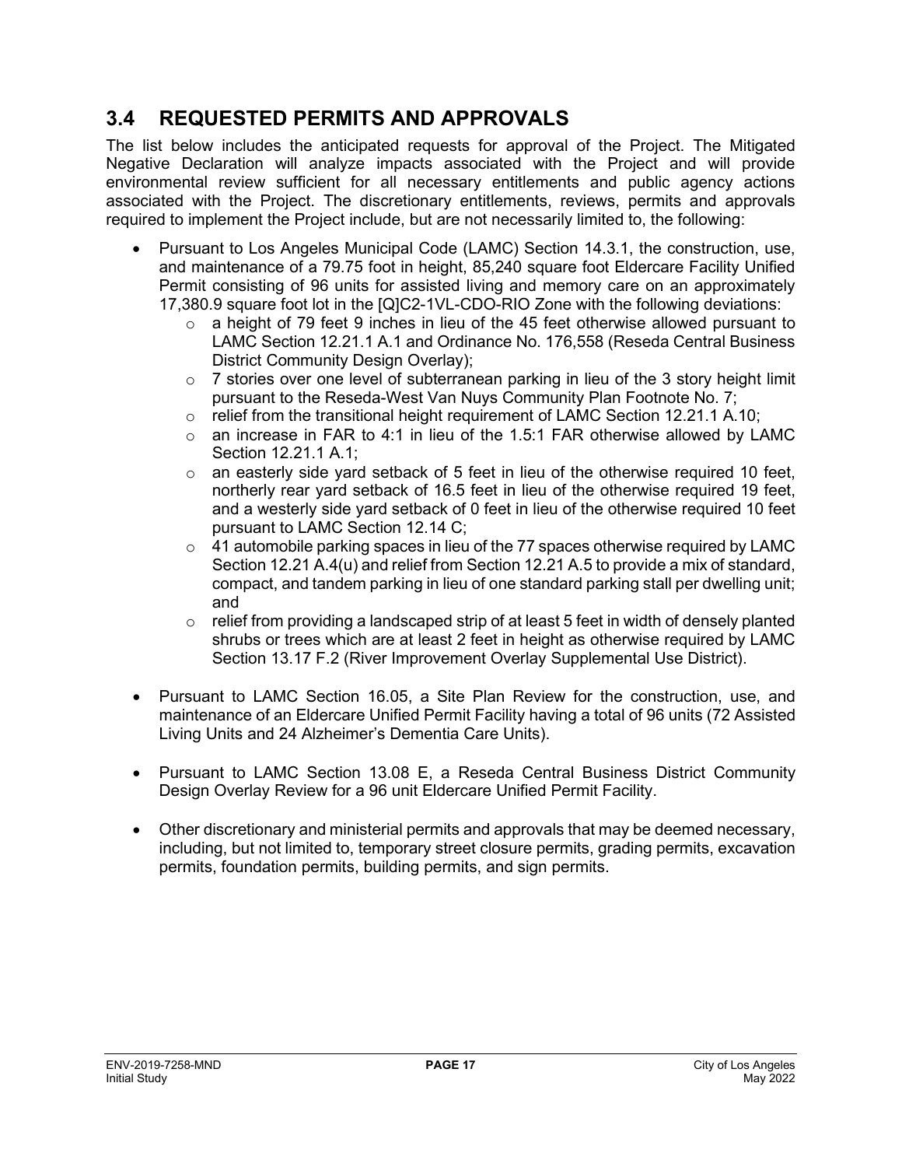# **3.4 REQUESTED PERMITS AND APPROVALS**

The list below includes the anticipated requests for approval of the Project. The Mitigated Negative Declaration will analyze impacts associated with the Project and will provide environmental review sufficient for all necessary entitlements and public agency actions associated with the Project. The discretionary entitlements, reviews, permits and approvals required to implement the Project include, but are not necessarily limited to, the following:

- Pursuant to Los Angeles Municipal Code (LAMC) Section 14.3.1, the construction, use, and maintenance of a 79.75 foot in height, 85,240 square foot Eldercare Facility Unified Permit consisting of 96 units for assisted living and memory care on an approximately 17,380.9 square foot lot in the [Q]C2-1VL-CDO-RIO Zone with the following deviations:
	- $\circ$  a height of 79 feet 9 inches in lieu of the 45 feet otherwise allowed pursuant to LAMC Section 12.21.1 A.1 and Ordinance No. 176,558 (Reseda Central Business District Community Design Overlay);
	- $\circ$  7 stories over one level of subterranean parking in lieu of the 3 story height limit pursuant to the Reseda-West Van Nuys Community Plan Footnote No. 7;
	- $\circ$  relief from the transitional height requirement of LAMC Section 12.21.1 A.10;<br> $\circ$  an increase in FAR to 4:1 in lieu of the 1.5:1 FAR otherwise allowed by LA
	- an increase in FAR to 4:1 in lieu of the 1.5:1 FAR otherwise allowed by LAMC Section 12.21.1 A.1;
	- $\circ$  an easterly side yard setback of 5 feet in lieu of the otherwise required 10 feet, northerly rear yard setback of 16.5 feet in lieu of the otherwise required 19 feet, and a westerly side yard setback of 0 feet in lieu of the otherwise required 10 feet pursuant to LAMC Section 12.14 C;
	- $\circ$  41 automobile parking spaces in lieu of the 77 spaces otherwise required by LAMC Section 12.21 A.4(u) and relief from Section 12.21 A.5 to provide a mix of standard, compact, and tandem parking in lieu of one standard parking stall per dwelling unit; and
	- $\circ$  relief from providing a landscaped strip of at least 5 feet in width of densely planted shrubs or trees which are at least 2 feet in height as otherwise required by LAMC Section 13.17 F.2 (River Improvement Overlay Supplemental Use District).
- Pursuant to LAMC Section 16.05, a Site Plan Review for the construction, use, and maintenance of an Eldercare Unified Permit Facility having a total of 96 units (72 Assisted Living Units and 24 Alzheimer's Dementia Care Units).
- Pursuant to LAMC Section 13.08 E, a Reseda Central Business District Community Design Overlay Review for a 96 unit Eldercare Unified Permit Facility.
- Other discretionary and ministerial permits and approvals that may be deemed necessary, including, but not limited to, temporary street closure permits, grading permits, excavation permits, foundation permits, building permits, and sign permits.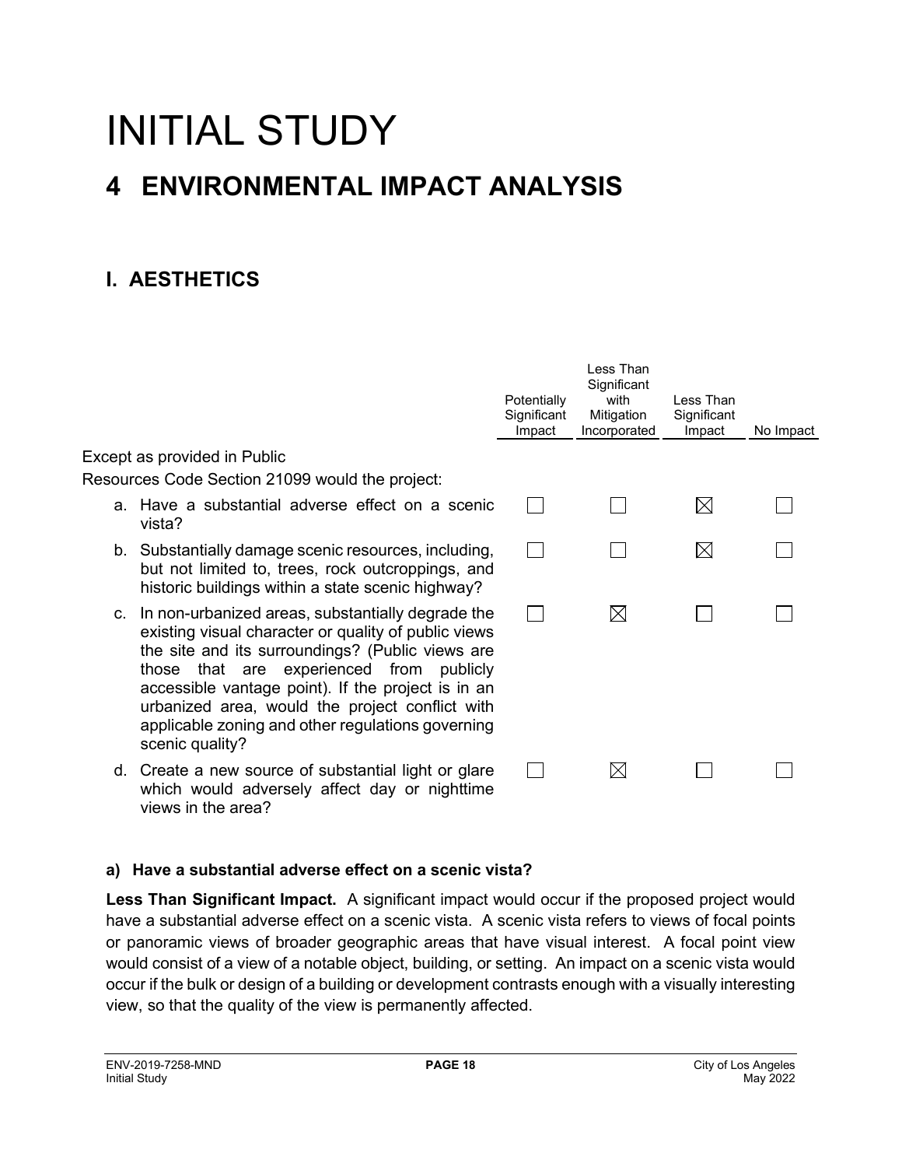# INITIAL STUDY **4 ENVIRONMENTAL IMPACT ANALYSIS**

# **I. AESTHETICS**

|                                                                                                                                                                                                                                                                                                                                                                                               | Potentially<br>Significant<br>Impact | Less Than<br>Significant<br>with<br>Mitigation<br>Incorporated | I ess Than<br>Significant<br>Impact | No Impact |
|-----------------------------------------------------------------------------------------------------------------------------------------------------------------------------------------------------------------------------------------------------------------------------------------------------------------------------------------------------------------------------------------------|--------------------------------------|----------------------------------------------------------------|-------------------------------------|-----------|
| Except as provided in Public                                                                                                                                                                                                                                                                                                                                                                  |                                      |                                                                |                                     |           |
| Resources Code Section 21099 would the project:                                                                                                                                                                                                                                                                                                                                               |                                      |                                                                |                                     |           |
| a. Have a substantial adverse effect on a scenic<br>vista?                                                                                                                                                                                                                                                                                                                                    |                                      |                                                                | $\bowtie$                           |           |
| b. Substantially damage scenic resources, including,<br>but not limited to, trees, rock outcroppings, and<br>historic buildings within a state scenic highway?                                                                                                                                                                                                                                |                                      |                                                                | $\bowtie$                           |           |
| c. In non-urbanized areas, substantially degrade the<br>existing visual character or quality of public views<br>the site and its surroundings? (Public views are<br>those that are experienced from publicly<br>accessible vantage point). If the project is in an<br>urbanized area, would the project conflict with<br>applicable zoning and other regulations governing<br>scenic quality? |                                      | $\boxtimes$                                                    |                                     |           |
| d. Create a new source of substantial light or glare<br>which would adversely affect day or nighttime<br>views in the area?                                                                                                                                                                                                                                                                   |                                      | $\boxtimes$                                                    |                                     |           |

#### **a) Have a substantial adverse effect on a scenic vista?**

**Less Than Significant Impact.** A significant impact would occur if the proposed project would have a substantial adverse effect on a scenic vista. A scenic vista refers to views of focal points or panoramic views of broader geographic areas that have visual interest. A focal point view would consist of a view of a notable object, building, or setting. An impact on a scenic vista would occur if the bulk or design of a building or development contrasts enough with a visually interesting view, so that the quality of the view is permanently affected.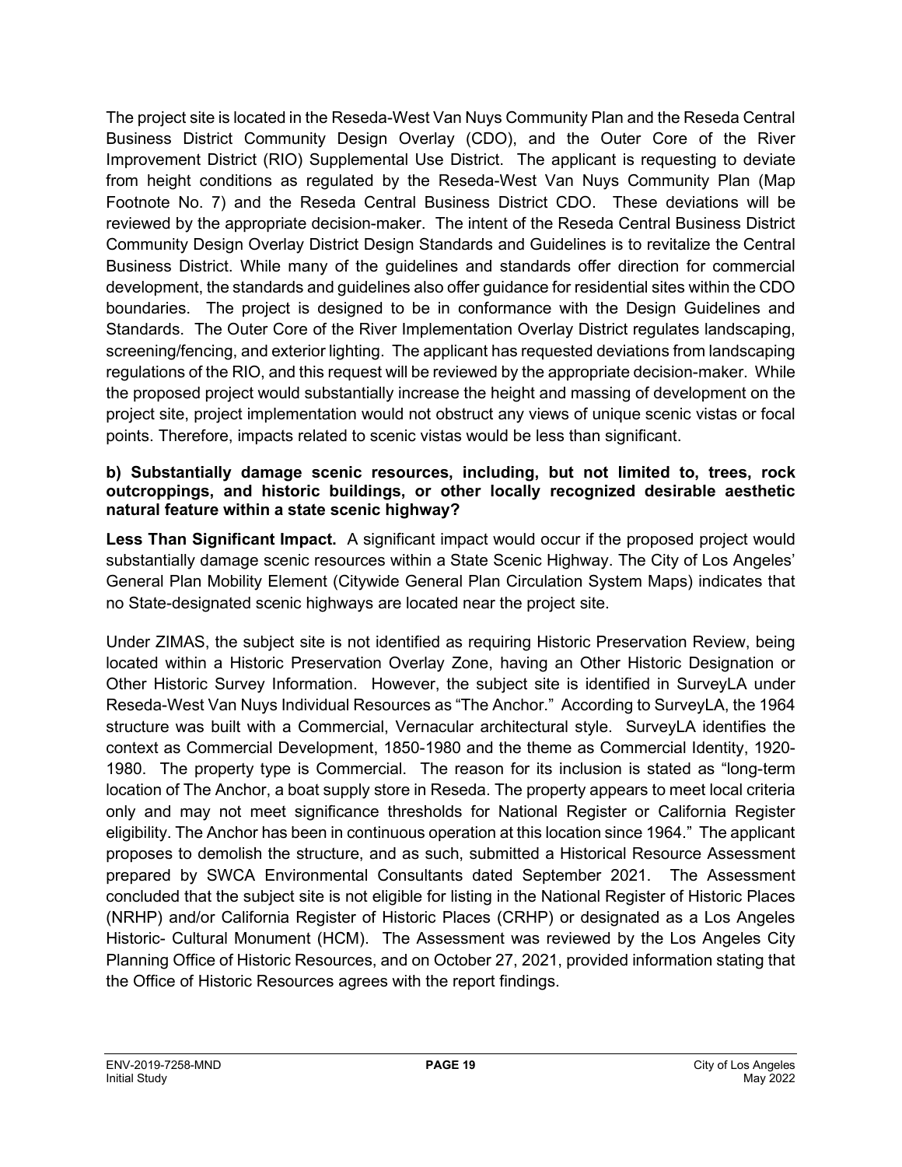The project site is located in the Reseda-West Van Nuys Community Plan and the Reseda Central Business District Community Design Overlay (CDO), and the Outer Core of the River Improvement District (RIO) Supplemental Use District. The applicant is requesting to deviate from height conditions as regulated by the Reseda-West Van Nuys Community Plan (Map Footnote No. 7) and the Reseda Central Business District CDO. These deviations will be reviewed by the appropriate decision-maker. The intent of the Reseda Central Business District Community Design Overlay District Design Standards and Guidelines is to revitalize the Central Business District. While many of the guidelines and standards offer direction for commercial development, the standards and guidelines also offer guidance for residential sites within the CDO boundaries. The project is designed to be in conformance with the Design Guidelines and Standards. The Outer Core of the River Implementation Overlay District regulates landscaping, screening/fencing, and exterior lighting. The applicant has requested deviations from landscaping regulations of the RIO, and this request will be reviewed by the appropriate decision-maker. While the proposed project would substantially increase the height and massing of development on the project site, project implementation would not obstruct any views of unique scenic vistas or focal points. Therefore, impacts related to scenic vistas would be less than significant.

#### **b) Substantially damage scenic resources, including, but not limited to, trees, rock outcroppings, and historic buildings, or other locally recognized desirable aesthetic natural feature within a state scenic highway?**

**Less Than Significant Impact.** A significant impact would occur if the proposed project would substantially damage scenic resources within a State Scenic Highway. The City of Los Angeles' General Plan Mobility Element (Citywide General Plan Circulation System Maps) indicates that no State-designated scenic highways are located near the project site.

Under ZIMAS, the subject site is not identified as requiring Historic Preservation Review, being located within a Historic Preservation Overlay Zone, having an Other Historic Designation or Other Historic Survey Information. However, the subject site is identified in SurveyLA under Reseda-West Van Nuys Individual Resources as "The Anchor." According to SurveyLA, the 1964 structure was built with a Commercial, Vernacular architectural style. SurveyLA identifies the context as Commercial Development, 1850-1980 and the theme as Commercial Identity, 1920- 1980. The property type is Commercial. The reason for its inclusion is stated as "long-term location of The Anchor, a boat supply store in Reseda. The property appears to meet local criteria only and may not meet significance thresholds for National Register or California Register eligibility. The Anchor has been in continuous operation at this location since 1964." The applicant proposes to demolish the structure, and as such, submitted a Historical Resource Assessment prepared by SWCA Environmental Consultants dated September 2021. The Assessment concluded that the subject site is not eligible for listing in the National Register of Historic Places (NRHP) and/or California Register of Historic Places (CRHP) or designated as a Los Angeles Historic- Cultural Monument (HCM). The Assessment was reviewed by the Los Angeles City Planning Office of Historic Resources, and on October 27, 2021, provided information stating that the Office of Historic Resources agrees with the report findings.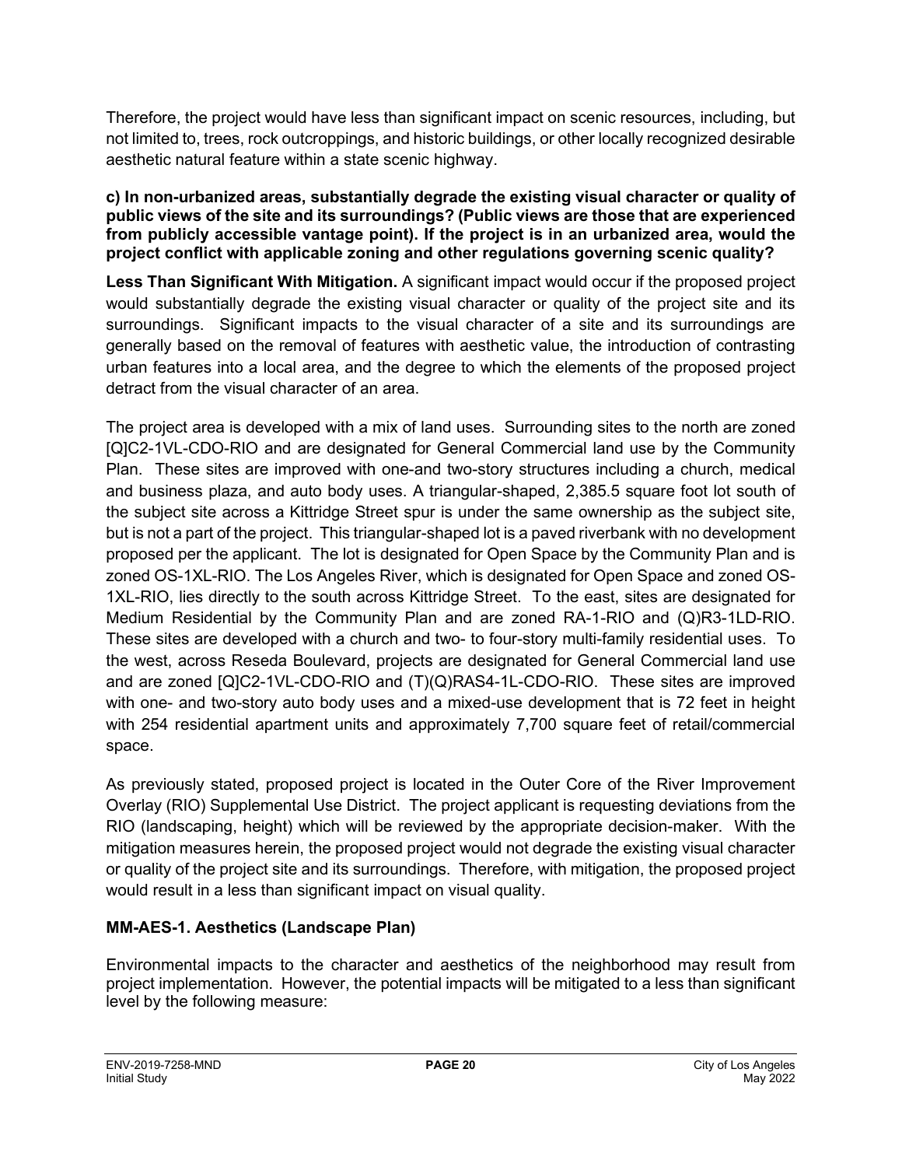Therefore, the project would have less than significant impact on scenic resources, including, but not limited to, trees, rock outcroppings, and historic buildings, or other locally recognized desirable aesthetic natural feature within a state scenic highway.

**c) In non-urbanized areas, substantially degrade the existing visual character or quality of public views of the site and its surroundings? (Public views are those that are experienced from publicly accessible vantage point). If the project is in an urbanized area, would the project conflict with applicable zoning and other regulations governing scenic quality?**

**Less Than Significant With Mitigation.** A significant impact would occur if the proposed project would substantially degrade the existing visual character or quality of the project site and its surroundings. Significant impacts to the visual character of a site and its surroundings are generally based on the removal of features with aesthetic value, the introduction of contrasting urban features into a local area, and the degree to which the elements of the proposed project detract from the visual character of an area.

The project area is developed with a mix of land uses. Surrounding sites to the north are zoned [Q]C2-1VL-CDO-RIO and are designated for General Commercial land use by the Community Plan. These sites are improved with one-and two-story structures including a church, medical and business plaza, and auto body uses. A triangular-shaped, 2,385.5 square foot lot south of the subject site across a Kittridge Street spur is under the same ownership as the subject site, but is not a part of the project. This triangular-shaped lot is a paved riverbank with no development proposed per the applicant. The lot is designated for Open Space by the Community Plan and is zoned OS-1XL-RIO. The Los Angeles River, which is designated for Open Space and zoned OS-1XL-RIO, lies directly to the south across Kittridge Street. To the east, sites are designated for Medium Residential by the Community Plan and are zoned RA-1-RIO and (Q)R3-1LD-RIO. These sites are developed with a church and two- to four-story multi-family residential uses. To the west, across Reseda Boulevard, projects are designated for General Commercial land use and are zoned [Q]C2-1VL-CDO-RIO and (T)(Q)RAS4-1L-CDO-RIO. These sites are improved with one- and two-story auto body uses and a mixed-use development that is 72 feet in height with 254 residential apartment units and approximately 7,700 square feet of retail/commercial space.

As previously stated, proposed project is located in the Outer Core of the River Improvement Overlay (RIO) Supplemental Use District. The project applicant is requesting deviations from the RIO (landscaping, height) which will be reviewed by the appropriate decision-maker. With the mitigation measures herein, the proposed project would not degrade the existing visual character or quality of the project site and its surroundings.Therefore, with mitigation, the proposed project would result in a less than significant impact on visual quality.

#### **MM-AES-1. Aesthetics (Landscape Plan)**

Environmental impacts to the character and aesthetics of the neighborhood may result from project implementation. However, the potential impacts will be mitigated to a less than significant level by the following measure: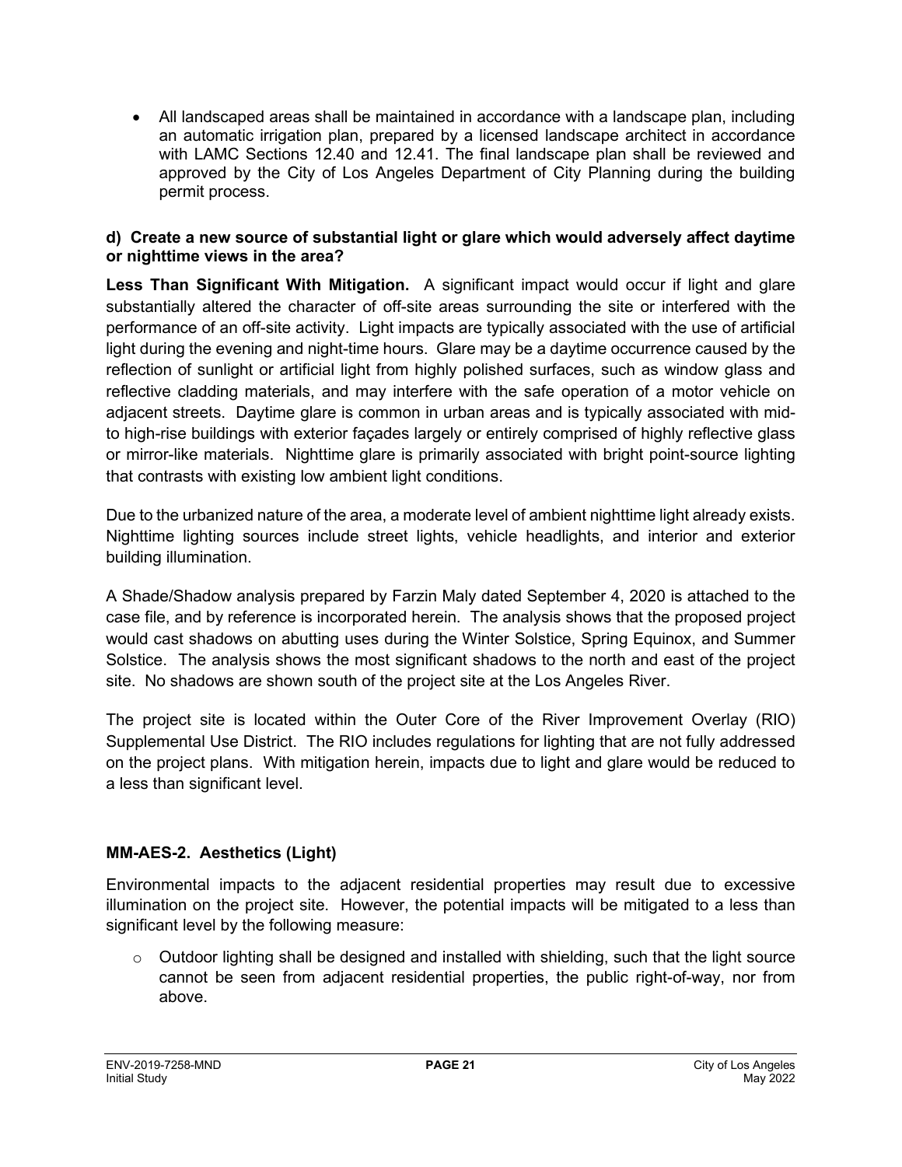• All landscaped areas shall be maintained in accordance with a landscape plan, including an automatic irrigation plan, prepared by a licensed landscape architect in accordance with LAMC Sections 12.40 and 12.41. The final landscape plan shall be reviewed and approved by the City of Los Angeles Department of City Planning during the building permit process.

#### **d) Create a new source of substantial light or glare which would adversely affect daytime or nighttime views in the area?**

**Less Than Significant With Mitigation.** A significant impact would occur if light and glare substantially altered the character of off-site areas surrounding the site or interfered with the performance of an off-site activity. Light impacts are typically associated with the use of artificial light during the evening and night-time hours. Glare may be a daytime occurrence caused by the reflection of sunlight or artificial light from highly polished surfaces, such as window glass and reflective cladding materials, and may interfere with the safe operation of a motor vehicle on adjacent streets. Daytime glare is common in urban areas and is typically associated with midto high-rise buildings with exterior façades largely or entirely comprised of highly reflective glass or mirror-like materials. Nighttime glare is primarily associated with bright point-source lighting that contrasts with existing low ambient light conditions.

Due to the urbanized nature of the area, a moderate level of ambient nighttime light already exists. Nighttime lighting sources include street lights, vehicle headlights, and interior and exterior building illumination.

A Shade/Shadow analysis prepared by Farzin Maly dated September 4, 2020 is attached to the case file, and by reference is incorporated herein. The analysis shows that the proposed project would cast shadows on abutting uses during the Winter Solstice, Spring Equinox, and Summer Solstice. The analysis shows the most significant shadows to the north and east of the project site. No shadows are shown south of the project site at the Los Angeles River.

The project site is located within the Outer Core of the River Improvement Overlay (RIO) Supplemental Use District. The RIO includes regulations for lighting that are not fully addressed on the project plans. With mitigation herein, impacts due to light and glare would be reduced to a less than significant level.

#### **MM-AES-2. Aesthetics (Light)**

Environmental impacts to the adjacent residential properties may result due to excessive illumination on the project site. However, the potential impacts will be mitigated to a less than significant level by the following measure:

 $\circ$  Outdoor lighting shall be designed and installed with shielding, such that the light source cannot be seen from adjacent residential properties, the public right-of-way, nor from above.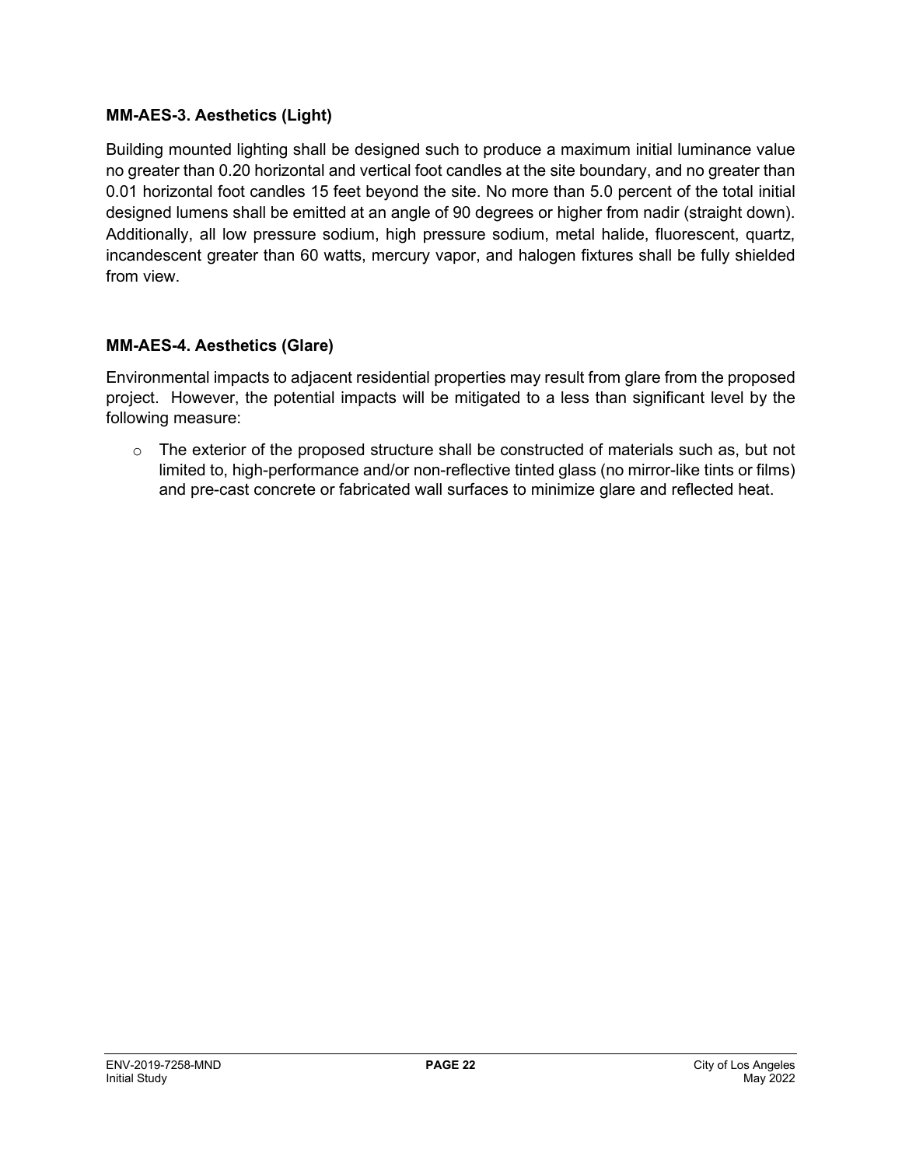#### **MM-AES-3. Aesthetics (Light)**

Building mounted lighting shall be designed such to produce a maximum initial luminance value no greater than 0.20 horizontal and vertical foot candles at the site boundary, and no greater than 0.01 horizontal foot candles 15 feet beyond the site. No more than 5.0 percent of the total initial designed lumens shall be emitted at an angle of 90 degrees or higher from nadir (straight down). Additionally, all low pressure sodium, high pressure sodium, metal halide, fluorescent, quartz, incandescent greater than 60 watts, mercury vapor, and halogen fixtures shall be fully shielded from view.

#### **MM-AES-4. Aesthetics (Glare)**

Environmental impacts to adjacent residential properties may result from glare from the proposed project. However, the potential impacts will be mitigated to a less than significant level by the following measure:

 $\circ$  The exterior of the proposed structure shall be constructed of materials such as, but not limited to, high-performance and/or non-reflective tinted glass (no mirror-like tints or films) and pre-cast concrete or fabricated wall surfaces to minimize glare and reflected heat.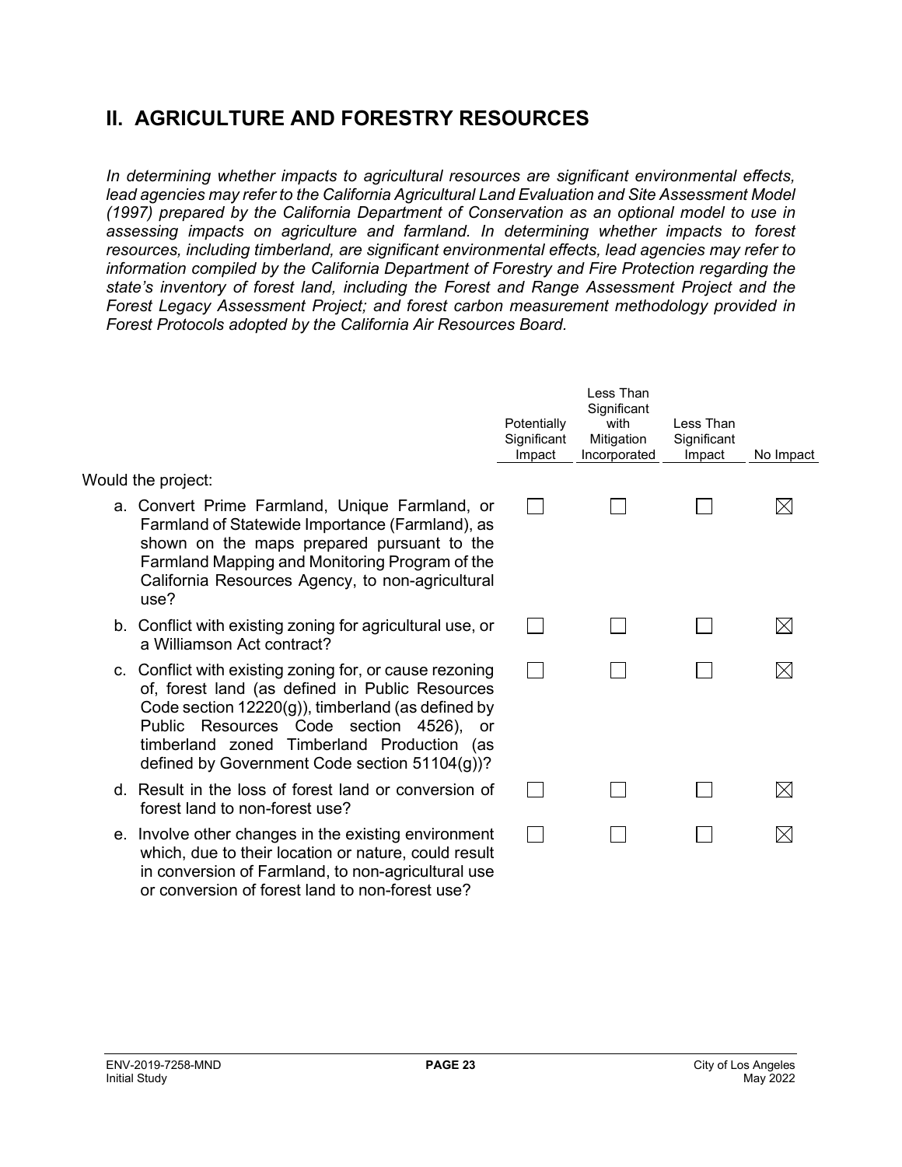# **II. AGRICULTURE AND FORESTRY RESOURCES**

*In determining whether impacts to agricultural resources are significant environmental effects, lead agencies may refer to the California Agricultural Land Evaluation and Site Assessment Model (1997) prepared by the California Department of Conservation as an optional model to use in assessing impacts on agriculture and farmland. In determining whether impacts to forest resources, including timberland, are significant environmental effects, lead agencies may refer to information compiled by the California Department of Forestry and Fire Protection regarding the state's inventory of forest land, including the Forest and Range Assessment Project and the Forest Legacy Assessment Project; and forest carbon measurement methodology provided in Forest Protocols adopted by the California Air Resources Board.* 

|                                                                                                                                                                                                                                                                                                           | Potentially<br>Significant<br>Impact | Less Than<br>Significant<br>with<br>Mitigation<br>Incorporated | Less Than<br>Significant<br>Impact | No Impact   |
|-----------------------------------------------------------------------------------------------------------------------------------------------------------------------------------------------------------------------------------------------------------------------------------------------------------|--------------------------------------|----------------------------------------------------------------|------------------------------------|-------------|
| Would the project:                                                                                                                                                                                                                                                                                        |                                      |                                                                |                                    |             |
| a. Convert Prime Farmland, Unique Farmland, or<br>Farmland of Statewide Importance (Farmland), as<br>shown on the maps prepared pursuant to the<br>Farmland Mapping and Monitoring Program of the<br>California Resources Agency, to non-agricultural<br>use?                                             |                                      |                                                                |                                    | $\boxtimes$ |
| b. Conflict with existing zoning for agricultural use, or<br>a Williamson Act contract?                                                                                                                                                                                                                   |                                      |                                                                |                                    | $\boxtimes$ |
| c. Conflict with existing zoning for, or cause rezoning<br>of, forest land (as defined in Public Resources<br>Code section 12220(g)), timberland (as defined by<br>Public Resources Code section 4526), or<br>timberland zoned Timberland Production (as<br>defined by Government Code section 51104(g))? |                                      |                                                                |                                    | $\boxtimes$ |
| d. Result in the loss of forest land or conversion of<br>forest land to non-forest use?                                                                                                                                                                                                                   |                                      |                                                                |                                    | $\boxtimes$ |
| e. Involve other changes in the existing environment<br>which, due to their location or nature, could result<br>in conversion of Farmland, to non-agricultural use<br>or conversion of forest land to non-forest use?                                                                                     |                                      |                                                                |                                    | $\boxtimes$ |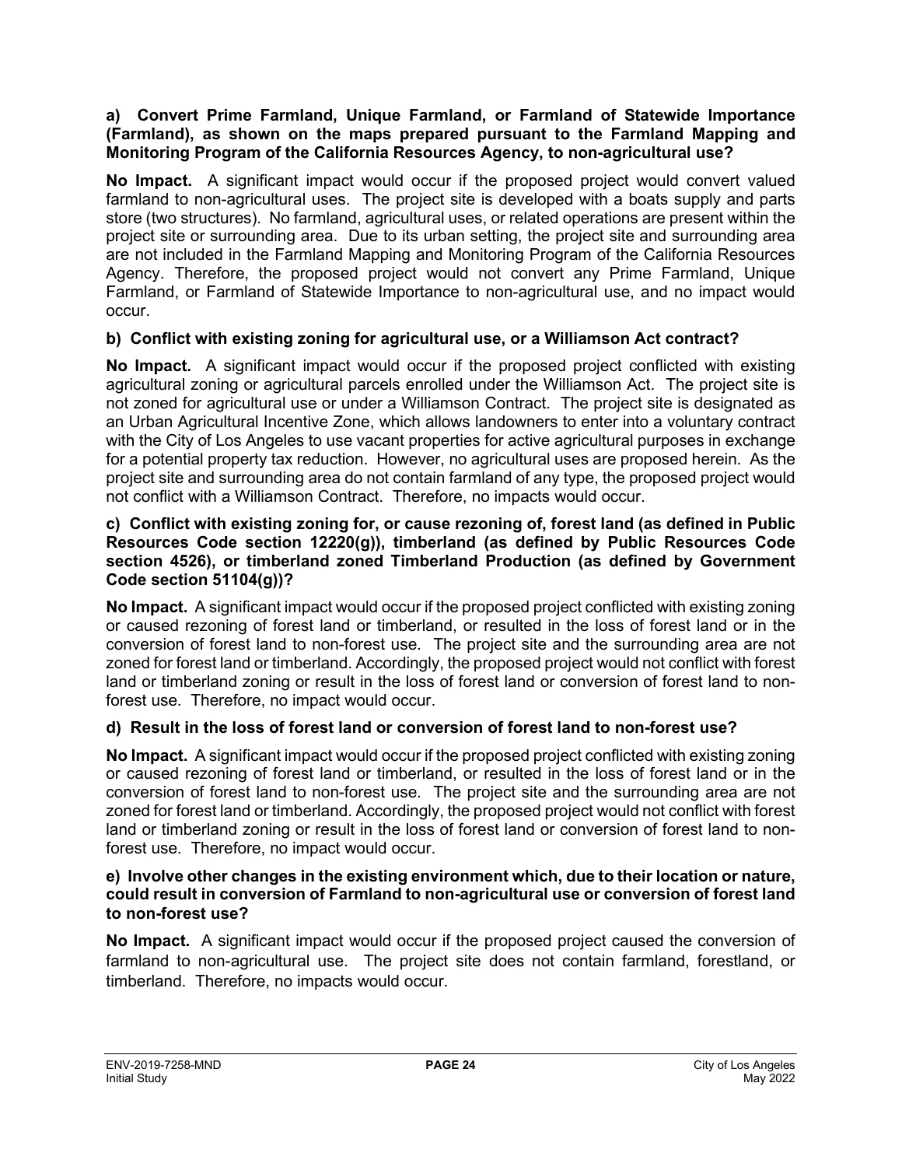#### **a) Convert Prime Farmland, Unique Farmland, or Farmland of Statewide Importance (Farmland), as shown on the maps prepared pursuant to the Farmland Mapping and Monitoring Program of the California Resources Agency, to non-agricultural use?**

**No Impact.** A significant impact would occur if the proposed project would convert valued farmland to non-agricultural uses. The project site is developed with a boats supply and parts store (two structures). No farmland, agricultural uses, or related operations are present within the project site or surrounding area. Due to its urban setting, the project site and surrounding area are not included in the Farmland Mapping and Monitoring Program of the California Resources Agency. Therefore, the proposed project would not convert any Prime Farmland, Unique Farmland, or Farmland of Statewide Importance to non-agricultural use, and no impact would occur.

#### **b) Conflict with existing zoning for agricultural use, or a Williamson Act contract?**

**No Impact.** A significant impact would occur if the proposed project conflicted with existing agricultural zoning or agricultural parcels enrolled under the Williamson Act. The project site is not zoned for agricultural use or under a Williamson Contract. The project site is designated as an Urban Agricultural Incentive Zone, which allows landowners to enter into a voluntary contract with the City of Los Angeles to use vacant properties for active agricultural purposes in exchange for a potential property tax reduction. However, no agricultural uses are proposed herein. As the project site and surrounding area do not contain farmland of any type, the proposed project would not conflict with a Williamson Contract. Therefore, no impacts would occur.

#### **c) Conflict with existing zoning for, or cause rezoning of, forest land (as defined in Public Resources Code section 12220(g)), timberland (as defined by Public Resources Code section 4526), or timberland zoned Timberland Production (as defined by Government Code section 51104(g))?**

**No Impact.** A significant impact would occur if the proposed project conflicted with existing zoning or caused rezoning of forest land or timberland, or resulted in the loss of forest land or in the conversion of forest land to non-forest use. The project site and the surrounding area are not zoned for forest land or timberland. Accordingly, the proposed project would not conflict with forest land or timberland zoning or result in the loss of forest land or conversion of forest land to nonforest use. Therefore, no impact would occur.

#### **d) Result in the loss of forest land or conversion of forest land to non-forest use?**

**No Impact.** A significant impact would occur if the proposed project conflicted with existing zoning or caused rezoning of forest land or timberland, or resulted in the loss of forest land or in the conversion of forest land to non-forest use. The project site and the surrounding area are not zoned for forest land or timberland. Accordingly, the proposed project would not conflict with forest land or timberland zoning or result in the loss of forest land or conversion of forest land to nonforest use. Therefore, no impact would occur.

#### **e) Involve other changes in the existing environment which, due to their location or nature, could result in conversion of Farmland to non-agricultural use or conversion of forest land to non-forest use?**

**No Impact.** A significant impact would occur if the proposed project caused the conversion of farmland to non-agricultural use. The project site does not contain farmland, forestland, or timberland. Therefore, no impacts would occur.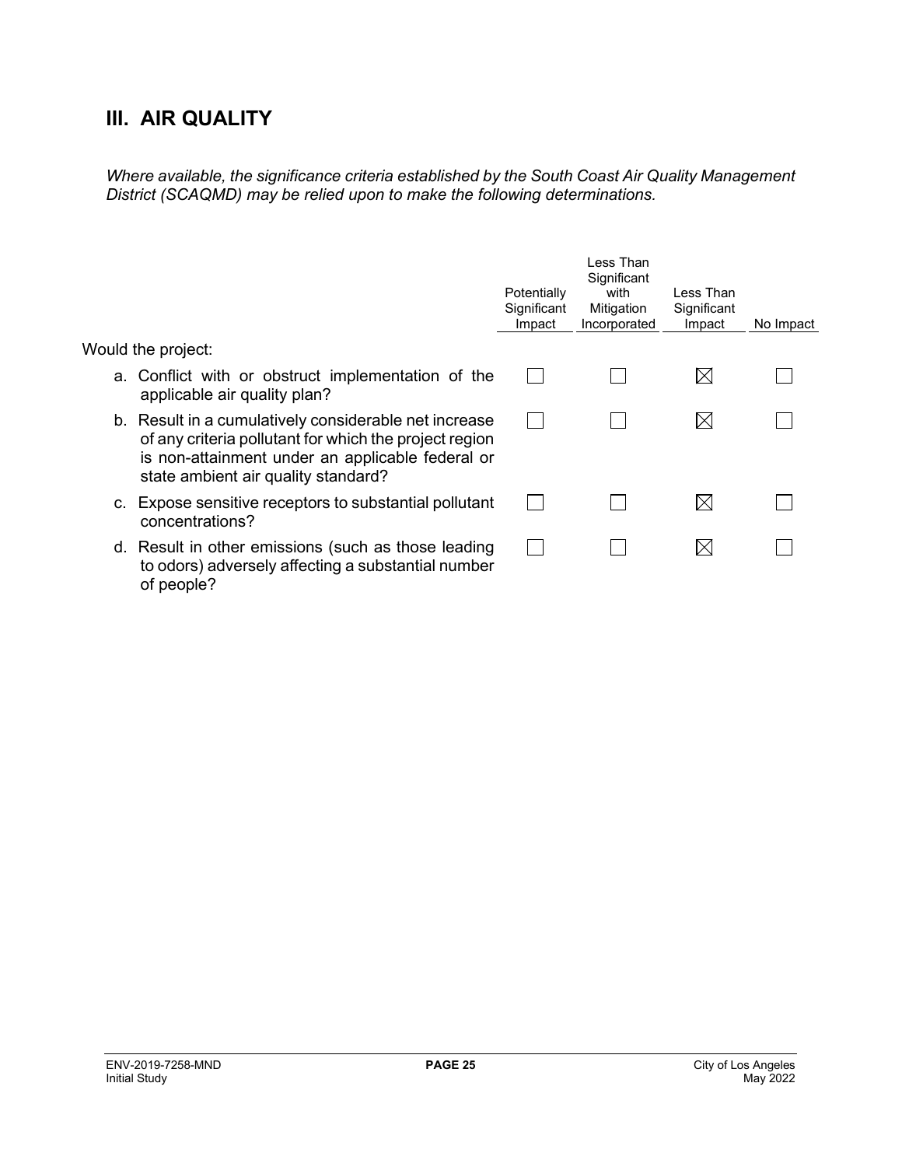# **III. AIR QUALITY**

*Where available, the significance criteria established by the South Coast Air Quality Management District (SCAQMD) may be relied upon to make the following determinations.*

|                                                                                                                                                                                                            | Potentially<br>Significant<br>Impact | Less Than<br>Significant<br>with<br>Mitigation<br>Incorporated | Less Than<br>Significant<br>Impact | No Impact |
|------------------------------------------------------------------------------------------------------------------------------------------------------------------------------------------------------------|--------------------------------------|----------------------------------------------------------------|------------------------------------|-----------|
| Would the project:                                                                                                                                                                                         |                                      |                                                                |                                    |           |
| a. Conflict with or obstruct implementation of the<br>applicable air quality plan?                                                                                                                         |                                      |                                                                | $\bowtie$                          |           |
| b. Result in a cumulatively considerable net increase<br>of any criteria pollutant for which the project region<br>is non-attainment under an applicable federal or<br>state ambient air quality standard? |                                      |                                                                | $\boxtimes$                        |           |
| c. Expose sensitive receptors to substantial pollutant<br>concentrations?                                                                                                                                  |                                      |                                                                | IХI                                |           |
| d. Result in other emissions (such as those leading<br>to odors) adversely affecting a substantial number<br>of people?                                                                                    |                                      |                                                                | $\boxtimes$                        |           |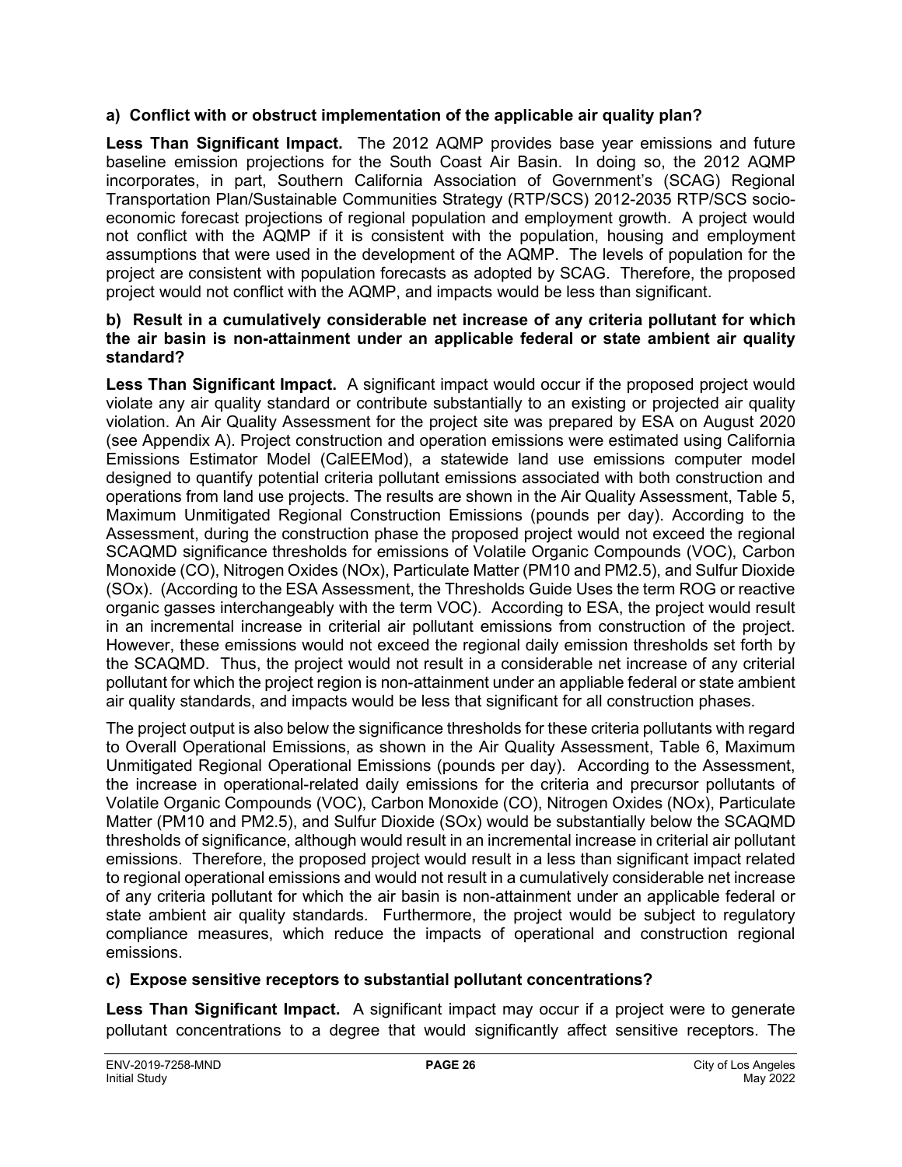#### **a) Conflict with or obstruct implementation of the applicable air quality plan?**

**Less Than Significant Impact.** The 2012 AQMP provides base year emissions and future baseline emission projections for the South Coast Air Basin. In doing so, the 2012 AQMP incorporates, in part, Southern California Association of Government's (SCAG) Regional Transportation Plan/Sustainable Communities Strategy (RTP/SCS) 2012-2035 RTP/SCS socioeconomic forecast projections of regional population and employment growth. A project would not conflict with the AQMP if it is consistent with the population, housing and employment assumptions that were used in the development of the AQMP. The levels of population for the project are consistent with population forecasts as adopted by SCAG. Therefore, the proposed project would not conflict with the AQMP, and impacts would be less than significant.

#### **b) Result in a cumulatively considerable net increase of any criteria pollutant for which the air basin is non-attainment under an applicable federal or state ambient air quality standard?**

**Less Than Significant Impact.** A significant impact would occur if the proposed project would violate any air quality standard or contribute substantially to an existing or projected air quality violation. An Air Quality Assessment for the project site was prepared by ESA on August 2020 (see Appendix A). Project construction and operation emissions were estimated using California Emissions Estimator Model (CalEEMod), a statewide land use emissions computer model designed to quantify potential criteria pollutant emissions associated with both construction and operations from land use projects. The results are shown in the Air Quality Assessment, Table 5, Maximum Unmitigated Regional Construction Emissions (pounds per day). According to the Assessment, during the construction phase the proposed project would not exceed the regional SCAQMD significance thresholds for emissions of Volatile Organic Compounds (VOC), Carbon Monoxide (CO), Nitrogen Oxides (NOx), Particulate Matter (PM10 and PM2.5), and Sulfur Dioxide (SOx). (According to the ESA Assessment, the Thresholds Guide Uses the term ROG or reactive organic gasses interchangeably with the term VOC). According to ESA, the project would result in an incremental increase in criterial air pollutant emissions from construction of the project. However, these emissions would not exceed the regional daily emission thresholds set forth by the SCAQMD. Thus, the project would not result in a considerable net increase of any criterial pollutant for which the project region is non-attainment under an appliable federal or state ambient air quality standards, and impacts would be less that significant for all construction phases.

The project output is also below the significance thresholds for these criteria pollutants with regard to Overall Operational Emissions, as shown in the Air Quality Assessment, Table 6, Maximum Unmitigated Regional Operational Emissions (pounds per day). According to the Assessment, the increase in operational-related daily emissions for the criteria and precursor pollutants of Volatile Organic Compounds (VOC), Carbon Monoxide (CO), Nitrogen Oxides (NOx), Particulate Matter (PM10 and PM2.5), and Sulfur Dioxide (SOx) would be substantially below the SCAQMD thresholds of significance, although would result in an incremental increase in criterial air pollutant emissions. Therefore, the proposed project would result in a less than significant impact related to regional operational emissions and would not result in a cumulatively considerable net increase of any criteria pollutant for which the air basin is non-attainment under an applicable federal or state ambient air quality standards. Furthermore, the project would be subject to regulatory compliance measures, which reduce the impacts of operational and construction regional emissions.

#### **c) Expose sensitive receptors to substantial pollutant concentrations?**

**Less Than Significant Impact.** A significant impact may occur if a project were to generate pollutant concentrations to a degree that would significantly affect sensitive receptors. The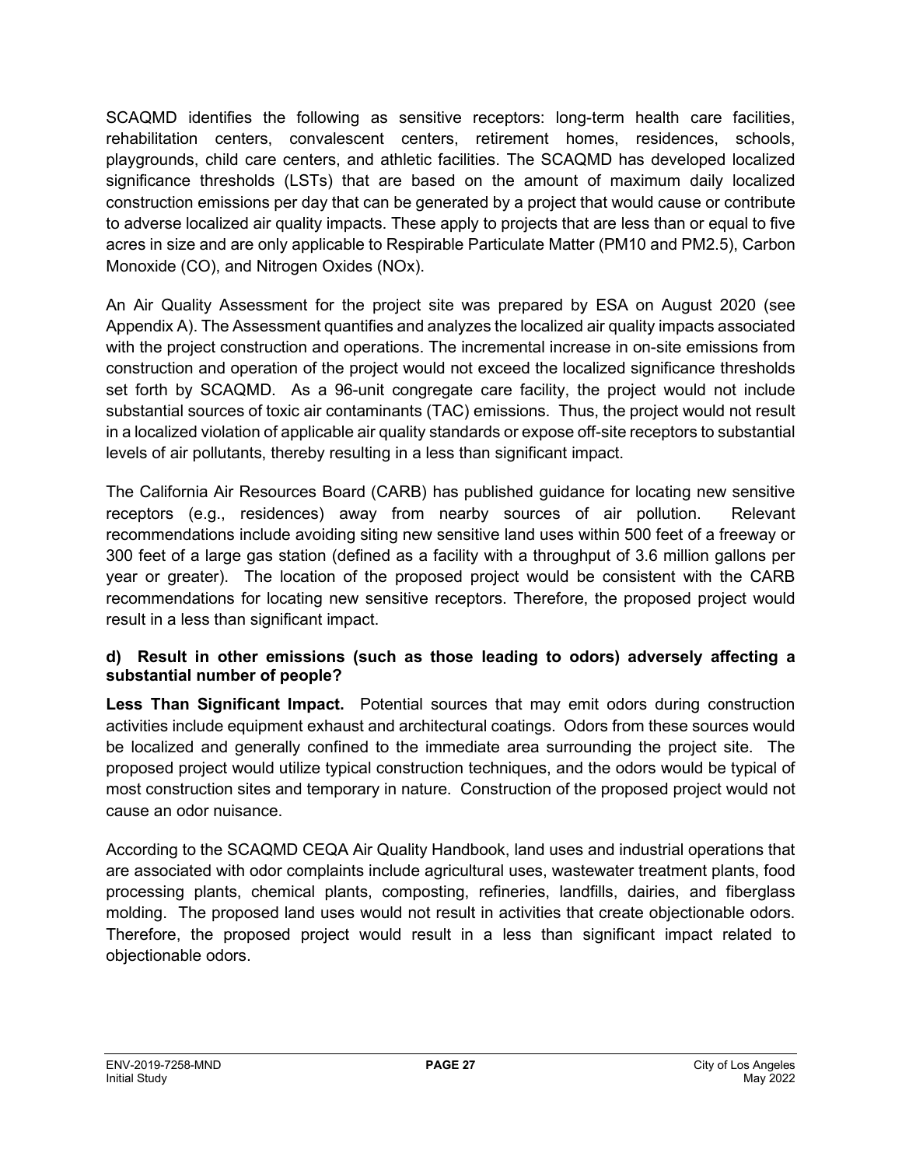SCAQMD identifies the following as sensitive receptors: long-term health care facilities, rehabilitation centers, convalescent centers, retirement homes, residences, schools, playgrounds, child care centers, and athletic facilities. The SCAQMD has developed localized significance thresholds (LSTs) that are based on the amount of maximum daily localized construction emissions per day that can be generated by a project that would cause or contribute to adverse localized air quality impacts. These apply to projects that are less than or equal to five acres in size and are only applicable to Respirable Particulate Matter (PM10 and PM2.5), Carbon Monoxide (CO), and Nitrogen Oxides (NOx).

An Air Quality Assessment for the project site was prepared by ESA on August 2020 (see Appendix A). The Assessment quantifies and analyzes the localized air quality impacts associated with the project construction and operations. The incremental increase in on-site emissions from construction and operation of the project would not exceed the localized significance thresholds set forth by SCAQMD. As a 96-unit congregate care facility, the project would not include substantial sources of toxic air contaminants (TAC) emissions. Thus, the project would not result in a localized violation of applicable air quality standards or expose off-site receptors to substantial levels of air pollutants, thereby resulting in a less than significant impact.

The California Air Resources Board (CARB) has published guidance for locating new sensitive receptors (e.g., residences) away from nearby sources of air pollution. Relevant recommendations include avoiding siting new sensitive land uses within 500 feet of a freeway or 300 feet of a large gas station (defined as a facility with a throughput of 3.6 million gallons per year or greater). The location of the proposed project would be consistent with the CARB recommendations for locating new sensitive receptors. Therefore, the proposed project would result in a less than significant impact.

#### **d) Result in other emissions (such as those leading to odors) adversely affecting a substantial number of people?**

**Less Than Significant Impact.** Potential sources that may emit odors during construction activities include equipment exhaust and architectural coatings. Odors from these sources would be localized and generally confined to the immediate area surrounding the project site. The proposed project would utilize typical construction techniques, and the odors would be typical of most construction sites and temporary in nature. Construction of the proposed project would not cause an odor nuisance.

According to the SCAQMD CEQA Air Quality Handbook, land uses and industrial operations that are associated with odor complaints include agricultural uses, wastewater treatment plants, food processing plants, chemical plants, composting, refineries, landfills, dairies, and fiberglass molding. The proposed land uses would not result in activities that create objectionable odors. Therefore, the proposed project would result in a less than significant impact related to objectionable odors.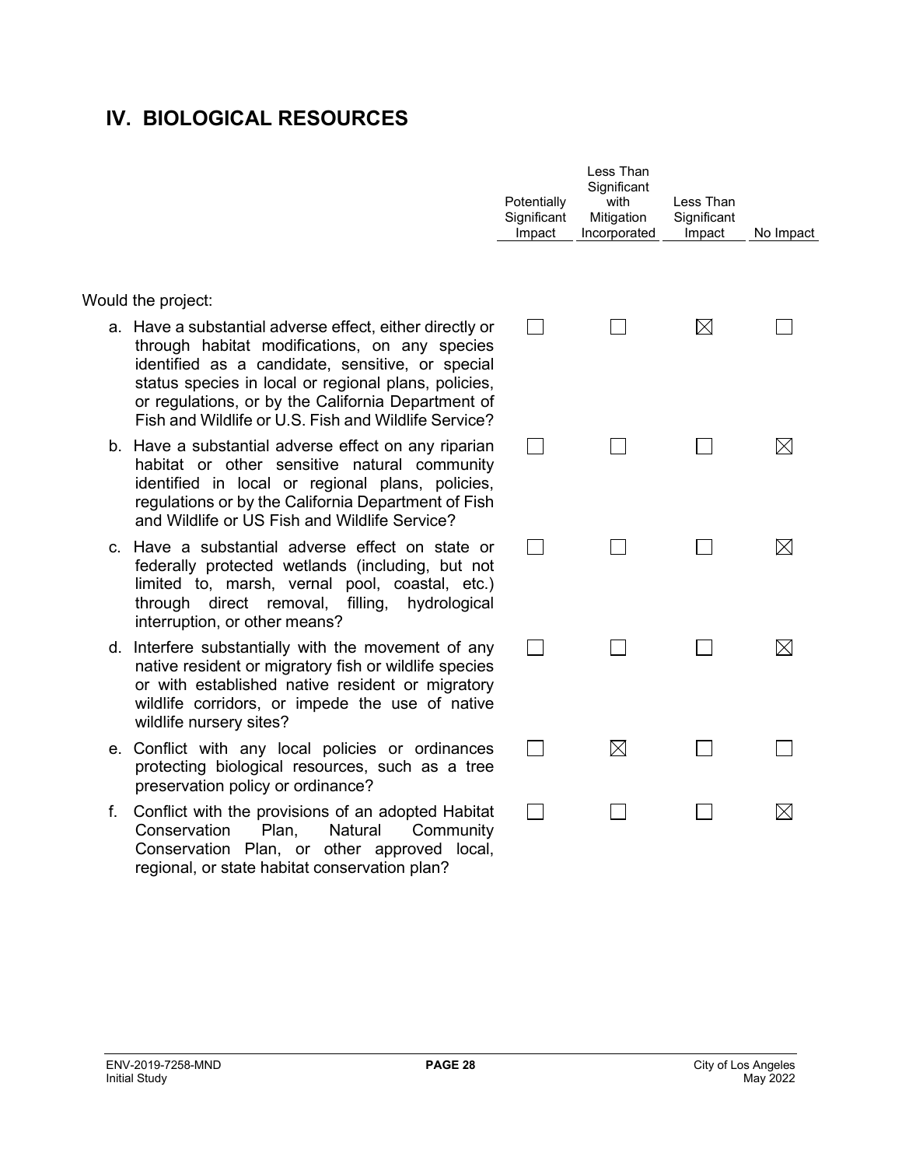### **IV. BIOLOGICAL RESOURCES**

Would the project:

- a. Have a substantial adverse effect, either directly or through habitat modifications, on any species identified as a candidate, sensitive, or special status species in local or regional plans, policies, or regulations, or by the California Department of Fish and Wildlife or U.S. Fish and Wildlife Service?
- b. Have a substantial adverse effect on any riparian habitat or other sensitive natural community identified in local or regional plans, policies, regulations or by the California Department of Fish and Wildlife or US Fish and Wildlife Service?
- c. Have a substantial adverse effect on state or federally protected wetlands (including, but not limited to, marsh, vernal pool, coastal, etc.) through direct removal, filling, hydrological interruption, or other means?
- d. Interfere substantially with the movement of any native resident or migratory fish or wildlife species or with established native resident or migratory wildlife corridors, or impede the use of native wildlife nursery sites?
- e. Conflict with any local policies or ordinances protecting biological resources, such as a tree preservation policy or ordinance?
- f. Conflict with the provisions of an adopted Habitat Conservation Plan, Natural Community Conservation Plan, or other approved local, regional, or state habitat conservation plan?

| Potentially<br>Significant<br>Impact | Less Than<br>Significant<br>with<br>Mitigation<br>Incorporated | Less Than<br>Significant<br>Impact | No Impact   |
|--------------------------------------|----------------------------------------------------------------|------------------------------------|-------------|
|                                      |                                                                | $\boxtimes$                        |             |
|                                      |                                                                |                                    | $\boxtimes$ |
|                                      |                                                                |                                    | $\boxtimes$ |
|                                      |                                                                | $\blacksquare$                     | $\boxtimes$ |
|                                      | $\boxtimes$                                                    |                                    |             |
|                                      |                                                                |                                    |             |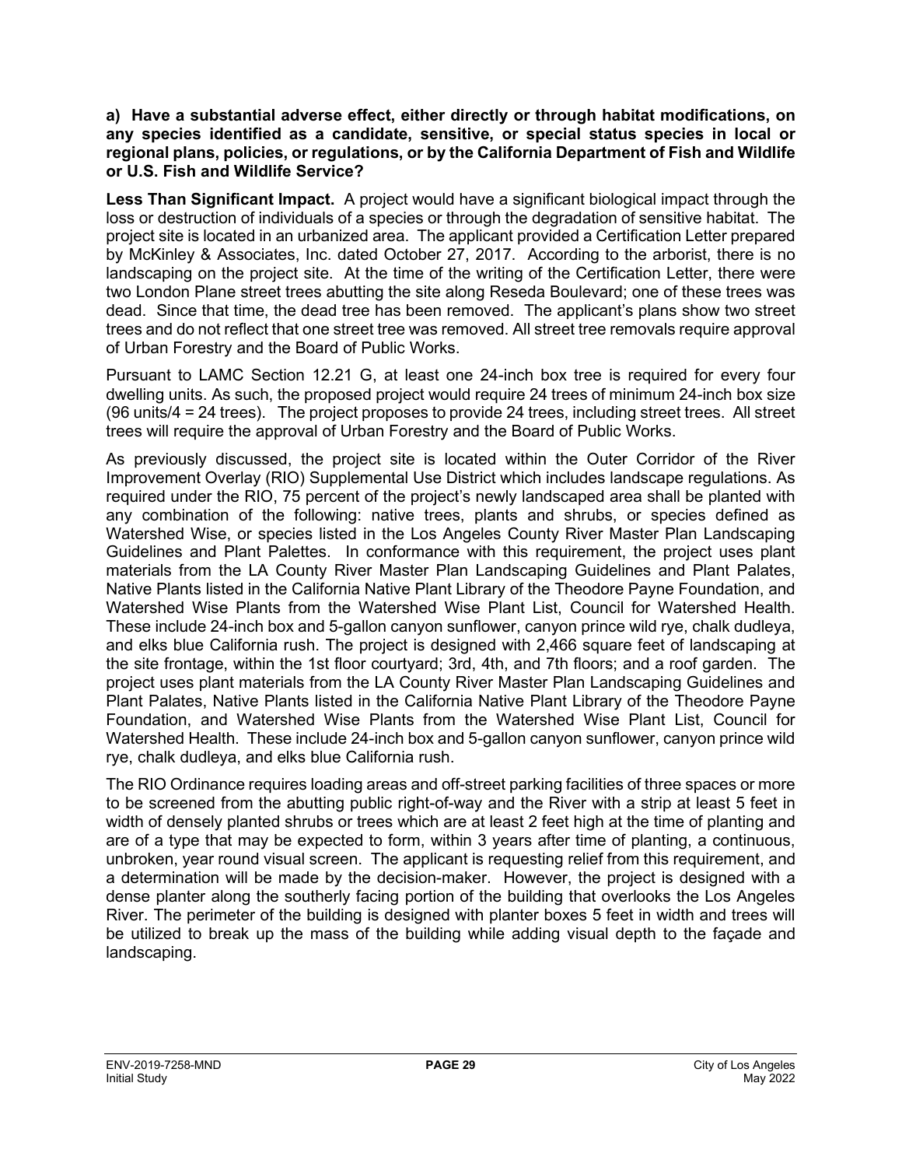**a) Have a substantial adverse effect, either directly or through habitat modifications, on any species identified as a candidate, sensitive, or special status species in local or regional plans, policies, or regulations, or by the California Department of Fish and Wildlife or U.S. Fish and Wildlife Service?**

**Less Than Significant Impact.** A project would have a significant biological impact through the loss or destruction of individuals of a species or through the degradation of sensitive habitat. The project site is located in an urbanized area. The applicant provided a Certification Letter prepared by McKinley & Associates, Inc. dated October 27, 2017. According to the arborist, there is no landscaping on the project site. At the time of the writing of the Certification Letter, there were two London Plane street trees abutting the site along Reseda Boulevard; one of these trees was dead. Since that time, the dead tree has been removed. The applicant's plans show two street trees and do not reflect that one street tree was removed. All street tree removals require approval of Urban Forestry and the Board of Public Works.

Pursuant to LAMC Section 12.21 G, at least one 24-inch box tree is required for every four dwelling units. As such, the proposed project would require 24 trees of minimum 24-inch box size (96 units/4 = 24 trees). The project proposes to provide 24 trees, including street trees. All street trees will require the approval of Urban Forestry and the Board of Public Works.

As previously discussed, the project site is located within the Outer Corridor of the River Improvement Overlay (RIO) Supplemental Use District which includes landscape regulations. As required under the RIO, 75 percent of the project's newly landscaped area shall be planted with any combination of the following: native trees, plants and shrubs, or species defined as Watershed Wise, or species listed in the Los Angeles County River Master Plan Landscaping Guidelines and Plant Palettes. In conformance with this requirement, the project uses plant materials from the LA County River Master Plan Landscaping Guidelines and Plant Palates, Native Plants listed in the California Native Plant Library of the Theodore Payne Foundation, and Watershed Wise Plants from the Watershed Wise Plant List, Council for Watershed Health. These include 24-inch box and 5-gallon canyon sunflower, canyon prince wild rye, chalk dudleya, and elks blue California rush. The project is designed with 2,466 square feet of landscaping at the site frontage, within the 1st floor courtyard; 3rd, 4th, and 7th floors; and a roof garden. The project uses plant materials from the LA County River Master Plan Landscaping Guidelines and Plant Palates, Native Plants listed in the California Native Plant Library of the Theodore Payne Foundation, and Watershed Wise Plants from the Watershed Wise Plant List, Council for Watershed Health. These include 24-inch box and 5-gallon canyon sunflower, canyon prince wild rye, chalk dudleya, and elks blue California rush.

The RIO Ordinance requires loading areas and off-street parking facilities of three spaces or more to be screened from the abutting public right-of-way and the River with a strip at least 5 feet in width of densely planted shrubs or trees which are at least 2 feet high at the time of planting and are of a type that may be expected to form, within 3 years after time of planting, a continuous, unbroken, year round visual screen. The applicant is requesting relief from this requirement, and a determination will be made by the decision-maker. However, the project is designed with a dense planter along the southerly facing portion of the building that overlooks the Los Angeles River. The perimeter of the building is designed with planter boxes 5 feet in width and trees will be utilized to break up the mass of the building while adding visual depth to the façade and landscaping.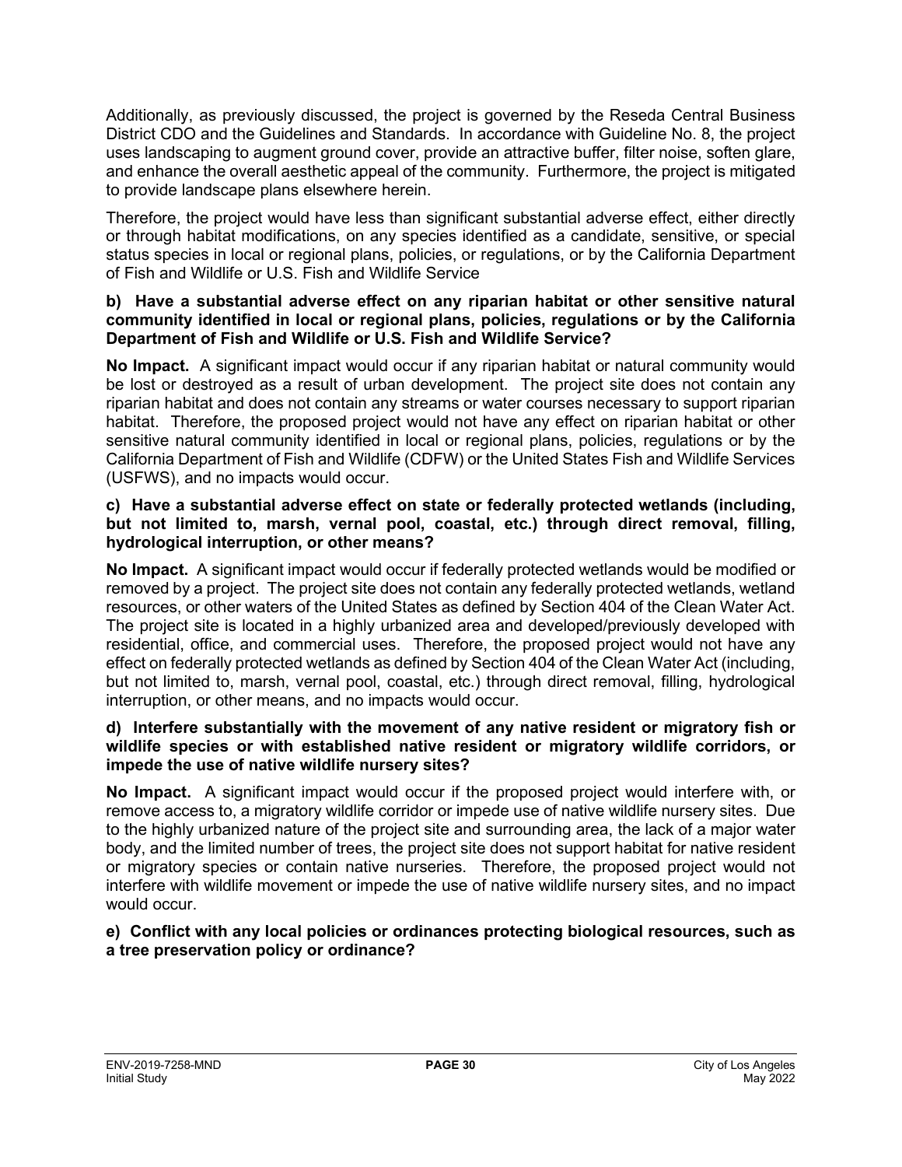Additionally, as previously discussed, the project is governed by the Reseda Central Business District CDO and the Guidelines and Standards. In accordance with Guideline No. 8, the project uses landscaping to augment ground cover, provide an attractive buffer, filter noise, soften glare, and enhance the overall aesthetic appeal of the community. Furthermore, the project is mitigated to provide landscape plans elsewhere herein.

Therefore, the project would have less than significant substantial adverse effect, either directly or through habitat modifications, on any species identified as a candidate, sensitive, or special status species in local or regional plans, policies, or regulations, or by the California Department of Fish and Wildlife or U.S. Fish and Wildlife Service

#### **b) Have a substantial adverse effect on any riparian habitat or other sensitive natural community identified in local or regional plans, policies, regulations or by the California Department of Fish and Wildlife or U.S. Fish and Wildlife Service?**

**No Impact.** A significant impact would occur if any riparian habitat or natural community would be lost or destroyed as a result of urban development. The project site does not contain any riparian habitat and does not contain any streams or water courses necessary to support riparian habitat. Therefore, the proposed project would not have any effect on riparian habitat or other sensitive natural community identified in local or regional plans, policies, regulations or by the California Department of Fish and Wildlife (CDFW) or the United States Fish and Wildlife Services (USFWS), and no impacts would occur.

#### **c) Have a substantial adverse effect on state or federally protected wetlands (including, but not limited to, marsh, vernal pool, coastal, etc.) through direct removal, filling, hydrological interruption, or other means?**

**No Impact.** A significant impact would occur if federally protected wetlands would be modified or removed by a project. The project site does not contain any federally protected wetlands, wetland resources, or other waters of the United States as defined by Section 404 of the Clean Water Act. The project site is located in a highly urbanized area and developed/previously developed with residential, office, and commercial uses. Therefore, the proposed project would not have any effect on federally protected wetlands as defined by Section 404 of the Clean Water Act (including, but not limited to, marsh, vernal pool, coastal, etc.) through direct removal, filling, hydrological interruption, or other means, and no impacts would occur.

#### **d) Interfere substantially with the movement of any native resident or migratory fish or wildlife species or with established native resident or migratory wildlife corridors, or impede the use of native wildlife nursery sites?**

**No Impact.** A significant impact would occur if the proposed project would interfere with, or remove access to, a migratory wildlife corridor or impede use of native wildlife nursery sites. Due to the highly urbanized nature of the project site and surrounding area, the lack of a major water body, and the limited number of trees, the project site does not support habitat for native resident or migratory species or contain native nurseries. Therefore, the proposed project would not interfere with wildlife movement or impede the use of native wildlife nursery sites, and no impact would occur.

#### **e) Conflict with any local policies or ordinances protecting biological resources, such as a tree preservation policy or ordinance?**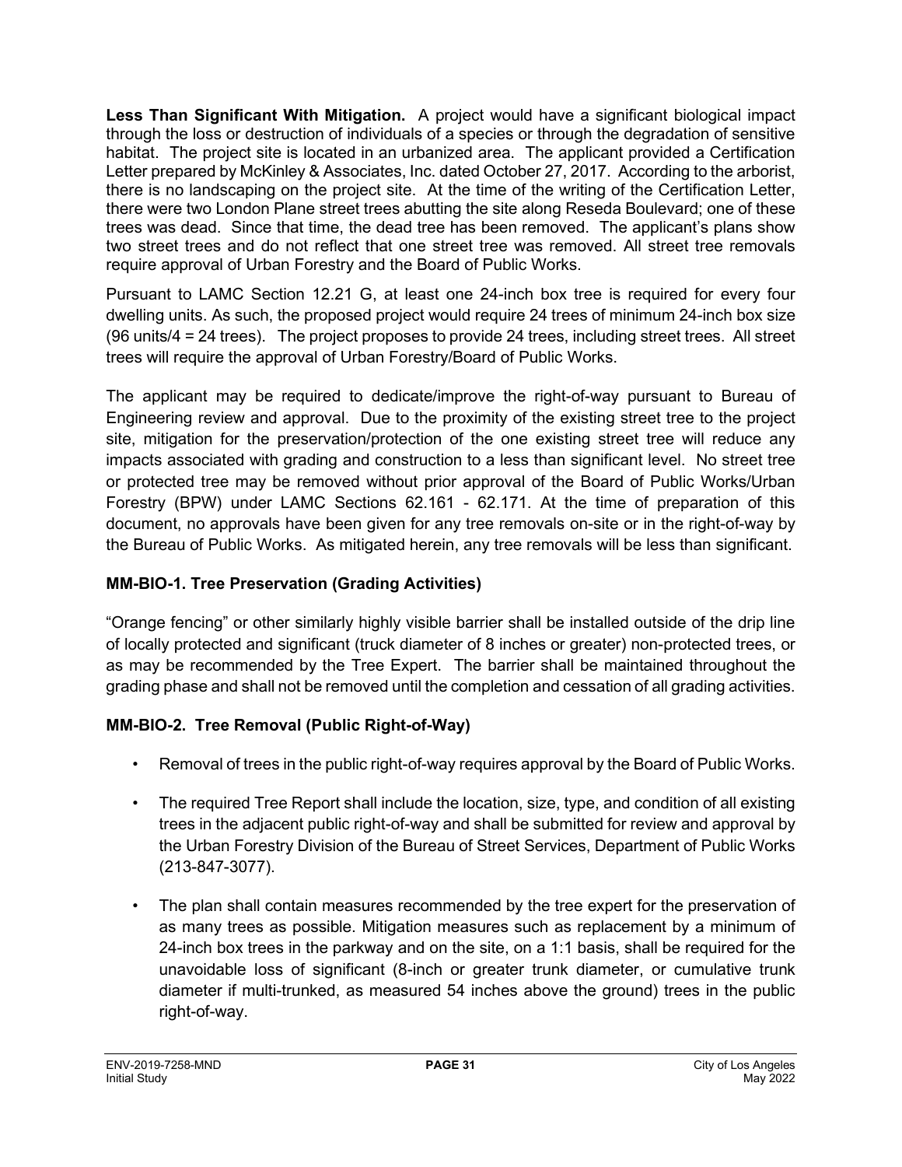**Less Than Significant With Mitigation.** A project would have a significant biological impact through the loss or destruction of individuals of a species or through the degradation of sensitive habitat. The project site is located in an urbanized area. The applicant provided a Certification Letter prepared by McKinley & Associates, Inc. dated October 27, 2017. According to the arborist, there is no landscaping on the project site. At the time of the writing of the Certification Letter, there were two London Plane street trees abutting the site along Reseda Boulevard; one of these trees was dead. Since that time, the dead tree has been removed. The applicant's plans show two street trees and do not reflect that one street tree was removed. All street tree removals require approval of Urban Forestry and the Board of Public Works.

Pursuant to LAMC Section 12.21 G, at least one 24-inch box tree is required for every four dwelling units. As such, the proposed project would require 24 trees of minimum 24-inch box size (96 units/4 = 24 trees). The project proposes to provide 24 trees, including street trees. All street trees will require the approval of Urban Forestry/Board of Public Works.

The applicant may be required to dedicate/improve the right-of-way pursuant to Bureau of Engineering review and approval. Due to the proximity of the existing street tree to the project site, mitigation for the preservation/protection of the one existing street tree will reduce any impacts associated with grading and construction to a less than significant level. No street tree or protected tree may be removed without prior approval of the Board of Public Works/Urban Forestry (BPW) under LAMC Sections 62.161 - 62.171. At the time of preparation of this document, no approvals have been given for any tree removals on-site or in the right-of-way by the Bureau of Public Works. As mitigated herein, any tree removals will be less than significant.

### **MM-BIO-1. Tree Preservation (Grading Activities)**

"Orange fencing" or other similarly highly visible barrier shall be installed outside of the drip line of locally protected and significant (truck diameter of 8 inches or greater) non-protected trees, or as may be recommended by the Tree Expert. The barrier shall be maintained throughout the grading phase and shall not be removed until the completion and cessation of all grading activities.

### **MM-BIO-2. Tree Removal (Public Right-of-Way)**

- Removal of trees in the public right-of-way requires approval by the Board of Public Works.
- The required Tree Report shall include the location, size, type, and condition of all existing trees in the adjacent public right-of-way and shall be submitted for review and approval by the Urban Forestry Division of the Bureau of Street Services, Department of Public Works (213-847-3077).
- The plan shall contain measures recommended by the tree expert for the preservation of as many trees as possible. Mitigation measures such as replacement by a minimum of 24-inch box trees in the parkway and on the site, on a 1:1 basis, shall be required for the unavoidable loss of significant (8-inch or greater trunk diameter, or cumulative trunk diameter if multi-trunked, as measured 54 inches above the ground) trees in the public right-of-way.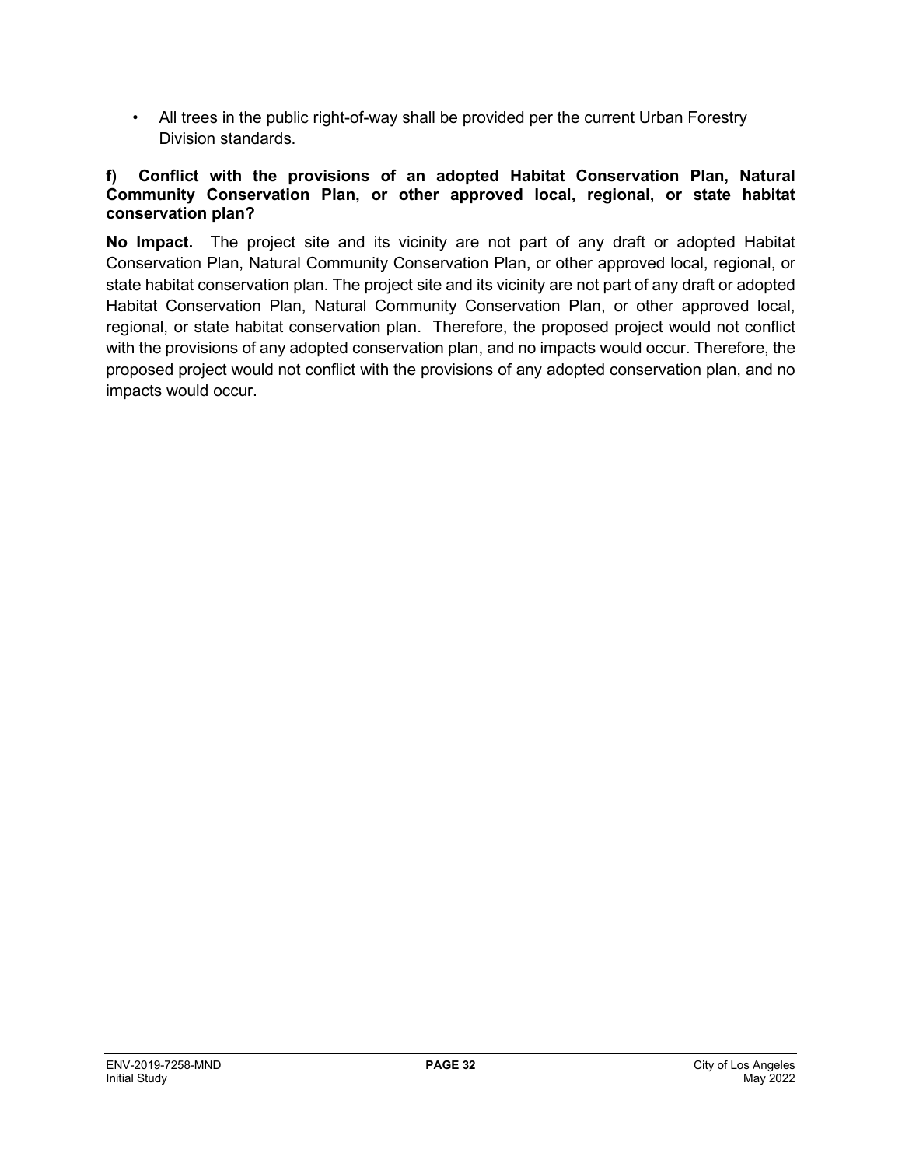• All trees in the public right-of-way shall be provided per the current Urban Forestry Division standards.

#### **f) Conflict with the provisions of an adopted Habitat Conservation Plan, Natural Community Conservation Plan, or other approved local, regional, or state habitat conservation plan?**

**No Impact.** The project site and its vicinity are not part of any draft or adopted Habitat Conservation Plan, Natural Community Conservation Plan, or other approved local, regional, or state habitat conservation plan. The project site and its vicinity are not part of any draft or adopted Habitat Conservation Plan, Natural Community Conservation Plan, or other approved local, regional, or state habitat conservation plan. Therefore, the proposed project would not conflict with the provisions of any adopted conservation plan, and no impacts would occur. Therefore, the proposed project would not conflict with the provisions of any adopted conservation plan, and no impacts would occur.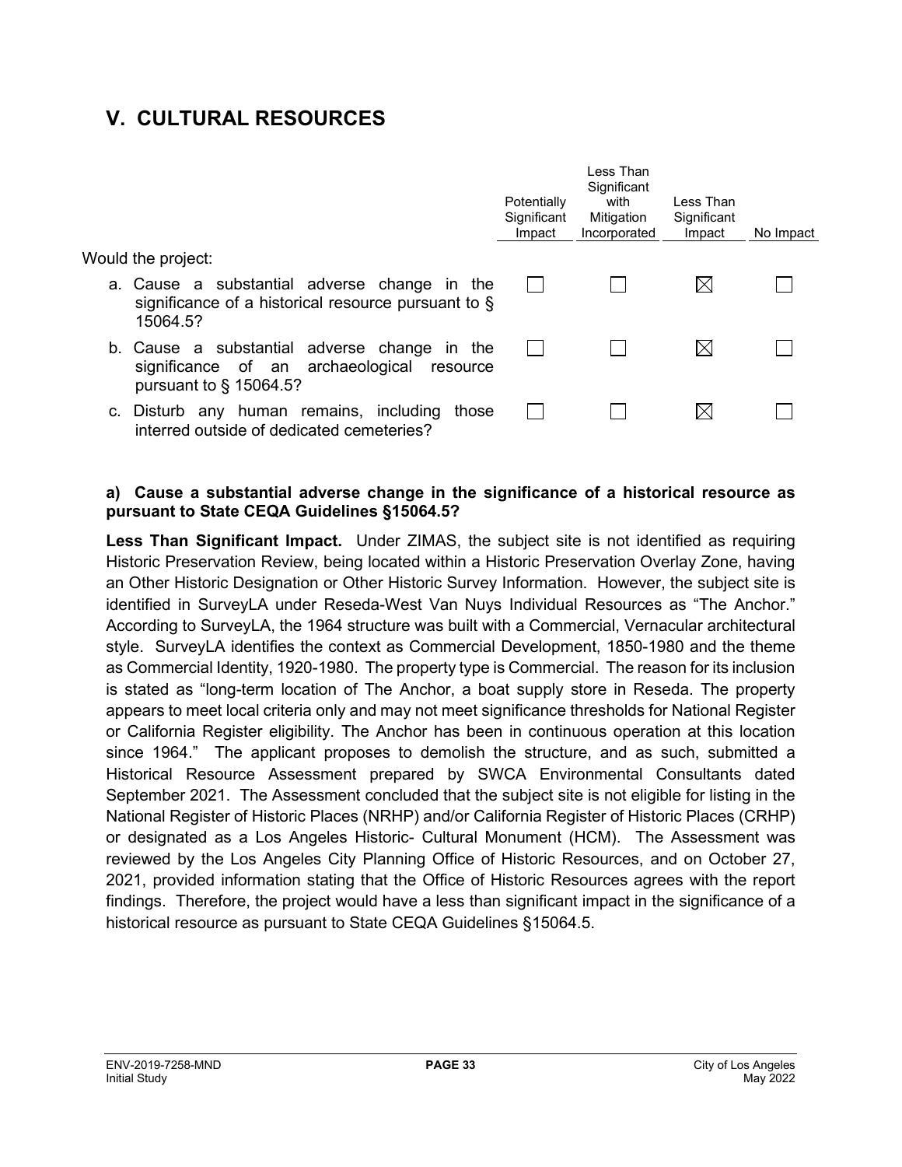# **V. CULTURAL RESOURCES**

|                                                                                                                         | Potentially<br>Significant<br>Impact | l ess Than<br>Significant<br>with<br>Mitigation<br>Incorporated | I ess Than<br>Significant<br>Impact | No Impact |
|-------------------------------------------------------------------------------------------------------------------------|--------------------------------------|-----------------------------------------------------------------|-------------------------------------|-----------|
| Would the project:                                                                                                      |                                      |                                                                 |                                     |           |
| a. Cause a substantial adverse change in the<br>significance of a historical resource pursuant to $\S$<br>15064.5?      |                                      |                                                                 | IХI                                 |           |
| b. Cause a substantial adverse change in the<br>significance of an archaeological resource<br>pursuant to $\S$ 15064.5? |                                      |                                                                 |                                     |           |
| c. Disturb any human remains, including<br>those<br>interred outside of dedicated cemeteries?                           |                                      |                                                                 |                                     |           |

#### **a) Cause a substantial adverse change in the significance of a historical resource as pursuant to State CEQA Guidelines §15064.5?**

**Less Than Significant Impact.** Under ZIMAS, the subject site is not identified as requiring Historic Preservation Review, being located within a Historic Preservation Overlay Zone, having an Other Historic Designation or Other Historic Survey Information. However, the subject site is identified in SurveyLA under Reseda-West Van Nuys Individual Resources as "The Anchor." According to SurveyLA, the 1964 structure was built with a Commercial, Vernacular architectural style. SurveyLA identifies the context as Commercial Development, 1850-1980 and the theme as Commercial Identity, 1920-1980. The property type is Commercial. The reason for its inclusion is stated as "long-term location of The Anchor, a boat supply store in Reseda. The property appears to meet local criteria only and may not meet significance thresholds for National Register or California Register eligibility. The Anchor has been in continuous operation at this location since 1964." The applicant proposes to demolish the structure, and as such, submitted a Historical Resource Assessment prepared by SWCA Environmental Consultants dated September 2021. The Assessment concluded that the subject site is not eligible for listing in the National Register of Historic Places (NRHP) and/or California Register of Historic Places (CRHP) or designated as a Los Angeles Historic- Cultural Monument (HCM). The Assessment was reviewed by the Los Angeles City Planning Office of Historic Resources, and on October 27, 2021, provided information stating that the Office of Historic Resources agrees with the report findings. Therefore, the project would have a less than significant impact in the significance of a historical resource as pursuant to State CEQA Guidelines §15064.5.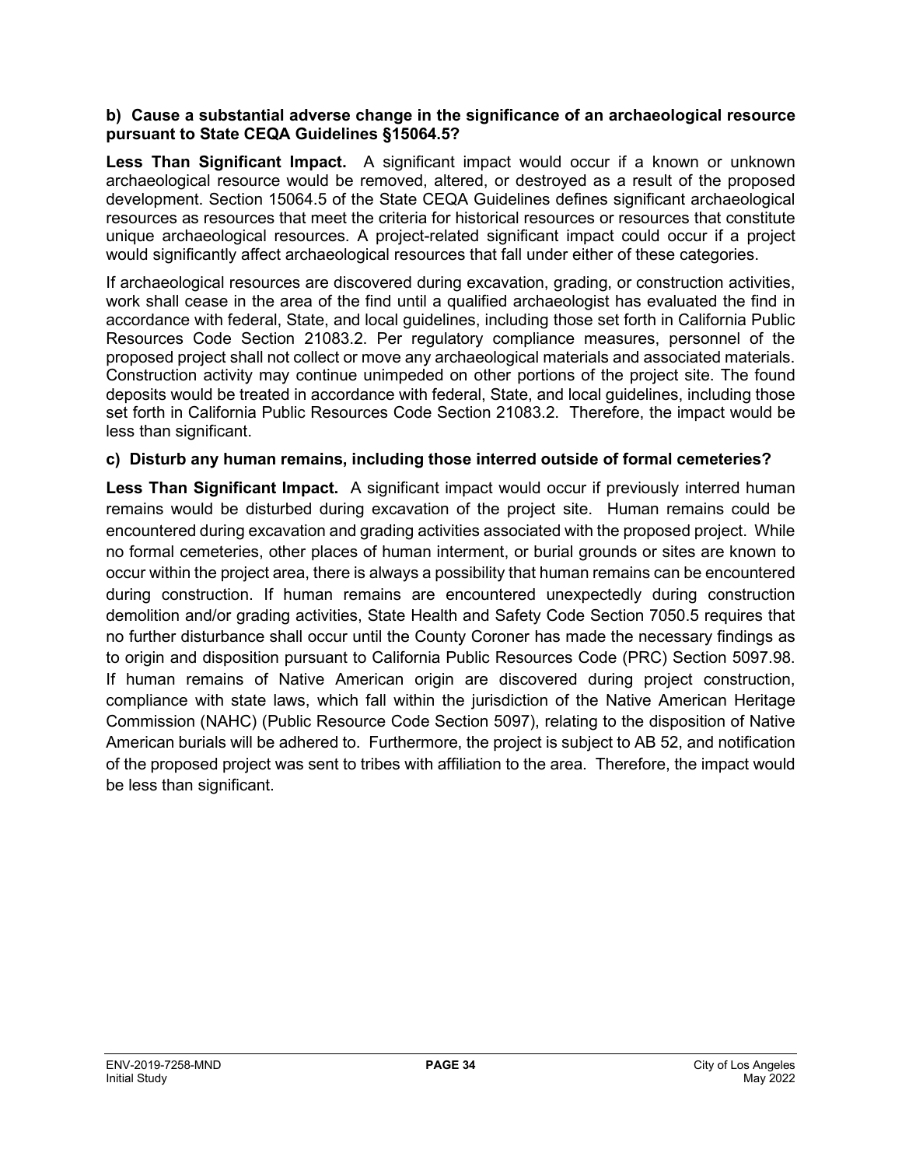#### **b) Cause a substantial adverse change in the significance of an archaeological resource pursuant to State CEQA Guidelines §15064.5?**

**Less Than Significant Impact.** A significant impact would occur if a known or unknown archaeological resource would be removed, altered, or destroyed as a result of the proposed development. Section 15064.5 of the State CEQA Guidelines defines significant archaeological resources as resources that meet the criteria for historical resources or resources that constitute unique archaeological resources. A project-related significant impact could occur if a project would significantly affect archaeological resources that fall under either of these categories.

If archaeological resources are discovered during excavation, grading, or construction activities, work shall cease in the area of the find until a qualified archaeologist has evaluated the find in accordance with federal, State, and local guidelines, including those set forth in California Public Resources Code Section 21083.2. Per regulatory compliance measures, personnel of the proposed project shall not collect or move any archaeological materials and associated materials. Construction activity may continue unimpeded on other portions of the project site. The found deposits would be treated in accordance with federal, State, and local guidelines, including those set forth in California Public Resources Code Section 21083.2. Therefore, the impact would be less than significant.

#### **c) Disturb any human remains, including those interred outside of formal cemeteries?**

**Less Than Significant Impact.** A significant impact would occur if previously interred human remains would be disturbed during excavation of the project site. Human remains could be encountered during excavation and grading activities associated with the proposed project. While no formal cemeteries, other places of human interment, or burial grounds or sites are known to occur within the project area, there is always a possibility that human remains can be encountered during construction. If human remains are encountered unexpectedly during construction demolition and/or grading activities, State Health and Safety Code Section 7050.5 requires that no further disturbance shall occur until the County Coroner has made the necessary findings as to origin and disposition pursuant to California Public Resources Code (PRC) Section 5097.98. If human remains of Native American origin are discovered during project construction, compliance with state laws, which fall within the jurisdiction of the Native American Heritage Commission (NAHC) (Public Resource Code Section 5097), relating to the disposition of Native American burials will be adhered to. Furthermore, the project is subject to AB 52, and notification of the proposed project was sent to tribes with affiliation to the area. Therefore, the impact would be less than significant.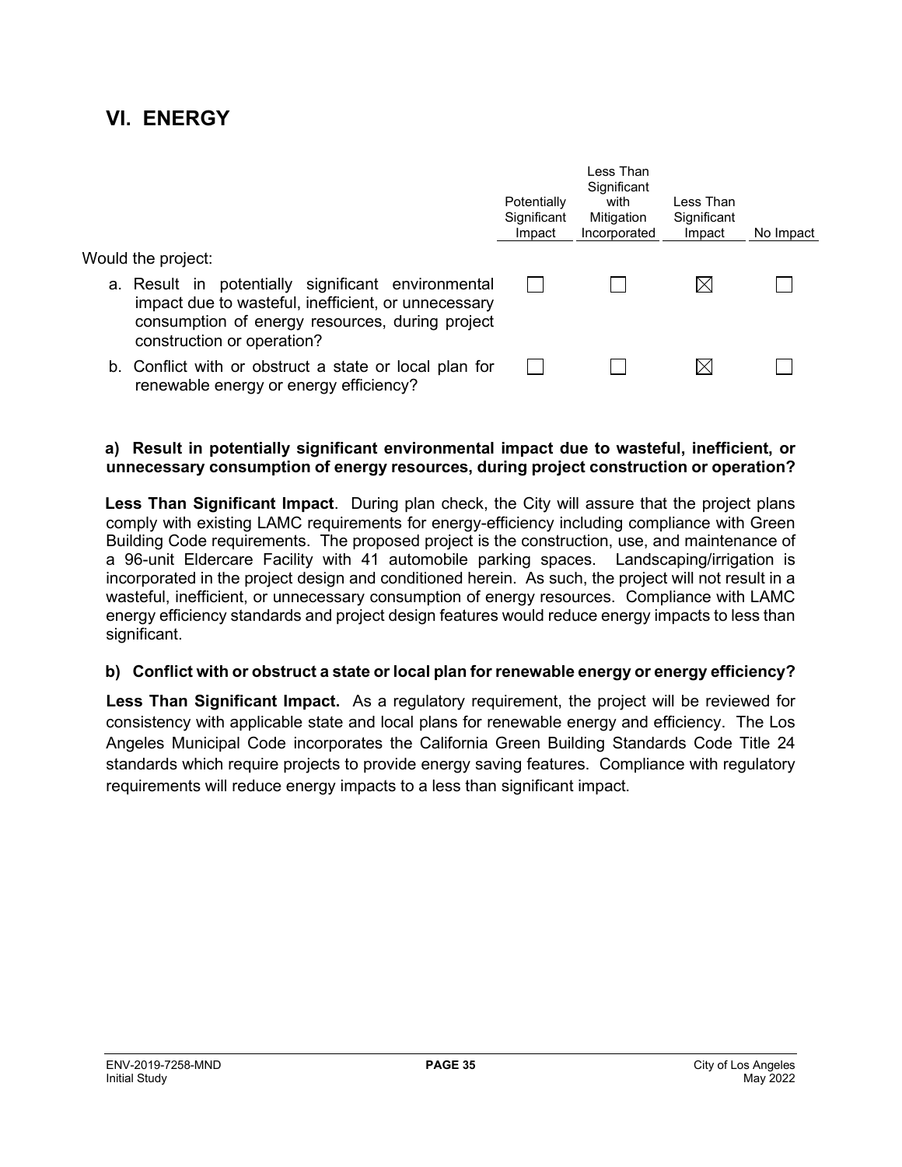## **VI. ENERGY**

|                                                                                                                                                                                            | Potentially<br>Significant<br>Impact | l ess Than<br>Significant<br>with<br>Mitigation<br>Incorporated | Less Than<br>Significant<br>Impact | No Impact |
|--------------------------------------------------------------------------------------------------------------------------------------------------------------------------------------------|--------------------------------------|-----------------------------------------------------------------|------------------------------------|-----------|
| Would the project:                                                                                                                                                                         |                                      |                                                                 |                                    |           |
| a. Result in potentially significant environmental<br>impact due to wasteful, inefficient, or unnecessary<br>consumption of energy resources, during project<br>construction or operation? |                                      |                                                                 |                                    |           |
| b. Conflict with or obstruct a state or local plan for<br>renewable energy or energy efficiency?                                                                                           |                                      |                                                                 |                                    |           |

#### **a) Result in potentially significant environmental impact due to wasteful, inefficient, or unnecessary consumption of energy resources, during project construction or operation?**

**Less Than Significant Impact**. During plan check, the City will assure that the project plans comply with existing LAMC requirements for energy-efficiency including compliance with Green Building Code requirements. The proposed project is the construction, use, and maintenance of a 96-unit Eldercare Facility with 41 automobile parking spaces. Landscaping/irrigation is incorporated in the project design and conditioned herein. As such, the project will not result in a wasteful, inefficient, or unnecessary consumption of energy resources. Compliance with LAMC energy efficiency standards and project design features would reduce energy impacts to less than significant.

#### **b) Conflict with or obstruct a state or local plan for renewable energy or energy efficiency?**

**Less Than Significant Impact.** As a regulatory requirement, the project will be reviewed for consistency with applicable state and local plans for renewable energy and efficiency. The Los Angeles Municipal Code incorporates the California Green Building Standards Code Title 24 standards which require projects to provide energy saving features. Compliance with regulatory requirements will reduce energy impacts to a less than significant impact.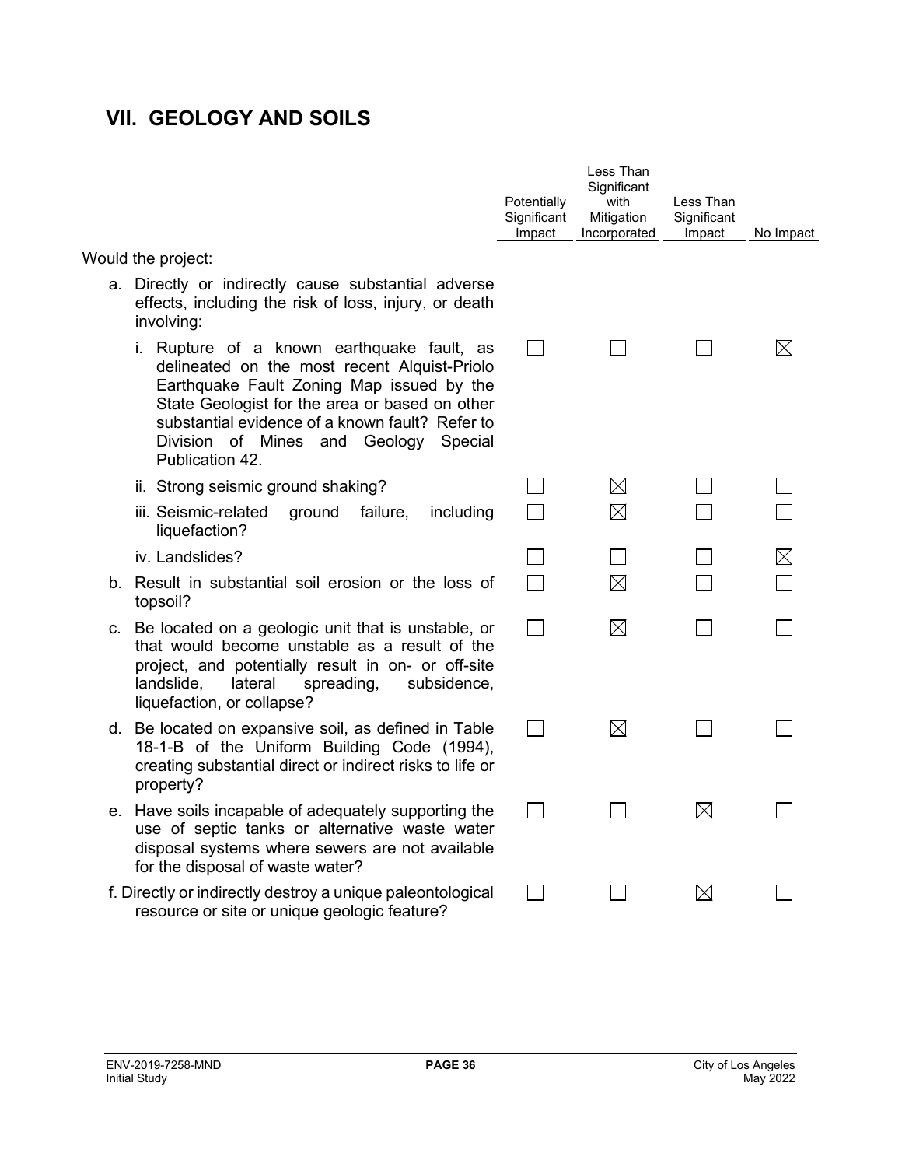# **VII. GEOLOGY AND SOILS**

|                                                                                                                                                                                                                                                                                                             | Potentially<br>Significant<br>Impact | Less Than<br>Significant<br>with<br>Mitigation<br>Incorporated | Less Than<br>Significant<br>Impact | No Impact   |
|-------------------------------------------------------------------------------------------------------------------------------------------------------------------------------------------------------------------------------------------------------------------------------------------------------------|--------------------------------------|----------------------------------------------------------------|------------------------------------|-------------|
| Would the project:                                                                                                                                                                                                                                                                                          |                                      |                                                                |                                    |             |
| a. Directly or indirectly cause substantial adverse<br>effects, including the risk of loss, injury, or death<br>involving:                                                                                                                                                                                  |                                      |                                                                |                                    |             |
| i. Rupture of a known earthquake fault, as<br>delineated on the most recent Alquist-Priolo<br>Earthquake Fault Zoning Map issued by the<br>State Geologist for the area or based on other<br>substantial evidence of a known fault? Refer to<br>Division of Mines and Geology<br>Special<br>Publication 42. | $\sim$                               |                                                                |                                    | IХI         |
| ii. Strong seismic ground shaking?                                                                                                                                                                                                                                                                          |                                      | $\boxtimes$                                                    |                                    |             |
| iii. Seismic-related<br>ground<br>failure,<br>including<br>liquefaction?                                                                                                                                                                                                                                    |                                      | $\boxtimes$                                                    |                                    |             |
| iv. Landslides?                                                                                                                                                                                                                                                                                             |                                      |                                                                |                                    | $\boxtimes$ |
| b. Result in substantial soil erosion or the loss of<br>topsoil?                                                                                                                                                                                                                                            |                                      | $\boxtimes$                                                    |                                    |             |
| c. Be located on a geologic unit that is unstable, or<br>that would become unstable as a result of the<br>project, and potentially result in on- or off-site<br>lateral<br>landslide,<br>spreading,<br>subsidence,<br>liquefaction, or collapse?                                                            | $\sim$                               | $\boxtimes$                                                    |                                    |             |
| d. Be located on expansive soil, as defined in Table<br>18-1-B of the Uniform Building Code (1994),<br>creating substantial direct or indirect risks to life or<br>property?                                                                                                                                |                                      | $\boxtimes$                                                    |                                    |             |
| e. Have soils incapable of adequately supporting the<br>use of septic tanks or alternative waste water<br>disposal systems where sewers are not available<br>for the disposal of waste water?                                                                                                               | $\sim$                               |                                                                | $\boxtimes$                        |             |
| f. Directly or indirectly destroy a unique paleontological<br>resource or site or unique geologic feature?                                                                                                                                                                                                  |                                      |                                                                | $\boxtimes$                        |             |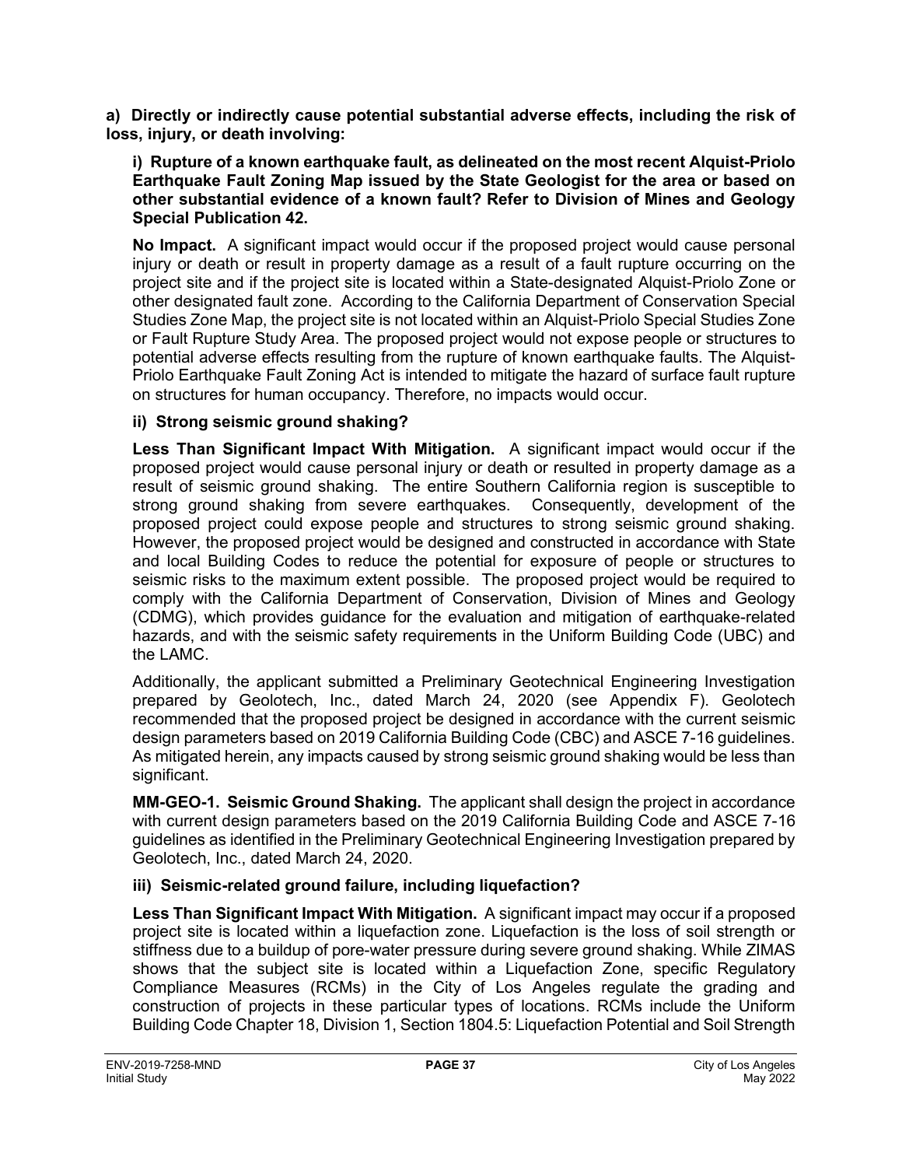**a) Directly or indirectly cause potential substantial adverse effects, including the risk of loss, injury, or death involving:**

**i) Rupture of a known earthquake fault, as delineated on the most recent Alquist-Priolo Earthquake Fault Zoning Map issued by the State Geologist for the area or based on other substantial evidence of a known fault? Refer to Division of Mines and Geology Special Publication 42.**

**No Impact.** A significant impact would occur if the proposed project would cause personal injury or death or result in property damage as a result of a fault rupture occurring on the project site and if the project site is located within a State-designated Alquist-Priolo Zone or other designated fault zone. According to the California Department of Conservation Special Studies Zone Map, the project site is not located within an Alquist-Priolo Special Studies Zone or Fault Rupture Study Area. The proposed project would not expose people or structures to potential adverse effects resulting from the rupture of known earthquake faults. The Alquist-Priolo Earthquake Fault Zoning Act is intended to mitigate the hazard of surface fault rupture on structures for human occupancy. Therefore, no impacts would occur.

## **ii) Strong seismic ground shaking?**

**Less Than Significant Impact With Mitigation.** A significant impact would occur if the proposed project would cause personal injury or death or resulted in property damage as a result of seismic ground shaking. The entire Southern California region is susceptible to strong ground shaking from severe earthquakes. Consequently, development of the proposed project could expose people and structures to strong seismic ground shaking. However, the proposed project would be designed and constructed in accordance with State and local Building Codes to reduce the potential for exposure of people or structures to seismic risks to the maximum extent possible. The proposed project would be required to comply with the California Department of Conservation, Division of Mines and Geology (CDMG), which provides guidance for the evaluation and mitigation of earthquake-related hazards, and with the seismic safety requirements in the Uniform Building Code (UBC) and the LAMC.

Additionally, the applicant submitted a Preliminary Geotechnical Engineering Investigation prepared by Geolotech, Inc., dated March 24, 2020 (see Appendix F). Geolotech recommended that the proposed project be designed in accordance with the current seismic design parameters based on 2019 California Building Code (CBC) and ASCE 7-16 guidelines. As mitigated herein, any impacts caused by strong seismic ground shaking would be less than significant.

**MM-GEO-1. Seismic Ground Shaking.** The applicant shall design the project in accordance with current design parameters based on the 2019 California Building Code and ASCE 7-16 guidelines as identified in the Preliminary Geotechnical Engineering Investigation prepared by Geolotech, Inc., dated March 24, 2020.

## **iii) Seismic-related ground failure, including liquefaction?**

**Less Than Significant Impact With Mitigation.** A significant impact may occur if a proposed project site is located within a liquefaction zone. Liquefaction is the loss of soil strength or stiffness due to a buildup of pore-water pressure during severe ground shaking. While ZIMAS shows that the subject site is located within a Liquefaction Zone, specific Regulatory Compliance Measures (RCMs) in the City of Los Angeles regulate the grading and construction of projects in these particular types of locations. RCMs include the Uniform Building Code Chapter 18, Division 1, Section 1804.5: Liquefaction Potential and Soil Strength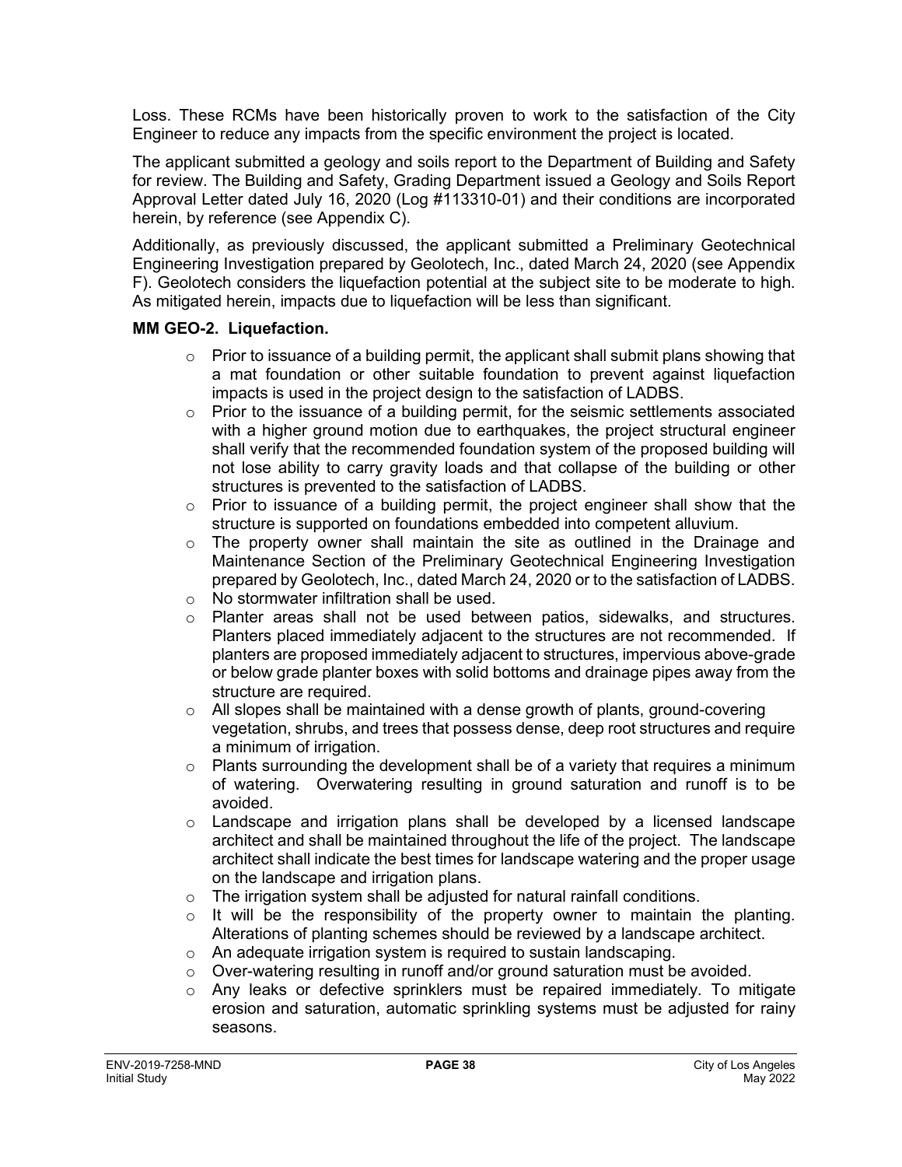Loss. These RCMs have been historically proven to work to the satisfaction of the City Engineer to reduce any impacts from the specific environment the project is located.

The applicant submitted a geology and soils report to the Department of Building and Safety for review. The Building and Safety, Grading Department issued a Geology and Soils Report Approval Letter dated July 16, 2020 (Log #113310-01) and their conditions are incorporated herein, by reference (see Appendix C).

Additionally, as previously discussed, the applicant submitted a Preliminary Geotechnical Engineering Investigation prepared by Geolotech, Inc., dated March 24, 2020 (see Appendix F). Geolotech considers the liquefaction potential at the subject site to be moderate to high. As mitigated herein, impacts due to liquefaction will be less than significant.

### **MM GEO-2. Liquefaction.**

- $\circ$  Prior to issuance of a building permit, the applicant shall submit plans showing that a mat foundation or other suitable foundation to prevent against liquefaction impacts is used in the project design to the satisfaction of LADBS.
- $\circ$  Prior to the issuance of a building permit, for the seismic settlements associated with a higher ground motion due to earthquakes, the project structural engineer shall verify that the recommended foundation system of the proposed building will not lose ability to carry gravity loads and that collapse of the building or other structures is prevented to the satisfaction of LADBS.
- $\circ$  Prior to issuance of a building permit, the project engineer shall show that the structure is supported on foundations embedded into competent alluvium.
- $\circ$  The property owner shall maintain the site as outlined in the Drainage and Maintenance Section of the Preliminary Geotechnical Engineering Investigation prepared by Geolotech, Inc., dated March 24, 2020 or to the satisfaction of LADBS.
- $\circ$  No stormwater infiltration shall be used.<br>  $\circ$  Planter areas shall not be used betv
- Planter areas shall not be used between patios, sidewalks, and structures. Planters placed immediately adjacent to the structures are not recommended. If planters are proposed immediately adjacent to structures, impervious above-grade or below grade planter boxes with solid bottoms and drainage pipes away from the structure are required.
- $\circ$  All slopes shall be maintained with a dense growth of plants, ground-covering vegetation, shrubs, and trees that possess dense, deep root structures and require a minimum of irrigation.
- $\circ$  Plants surrounding the development shall be of a variety that requires a minimum of watering. Overwatering resulting in ground saturation and runoff is to be avoided.
- $\circ$  Landscape and irrigation plans shall be developed by a licensed landscape architect and shall be maintained throughout the life of the project. The landscape architect shall indicate the best times for landscape watering and the proper usage on the landscape and irrigation plans.
- $\circ$  The irrigation system shall be adjusted for natural rainfall conditions.
- $\circ$  It will be the responsibility of the property owner to maintain the planting. Alterations of planting schemes should be reviewed by a landscape architect.
- o An adequate irrigation system is required to sustain landscaping.
- $\circ$  Over-watering resulting in runoff and/or ground saturation must be avoided.
- o Any leaks or defective sprinklers must be repaired immediately. To mitigate erosion and saturation, automatic sprinkling systems must be adjusted for rainy seasons.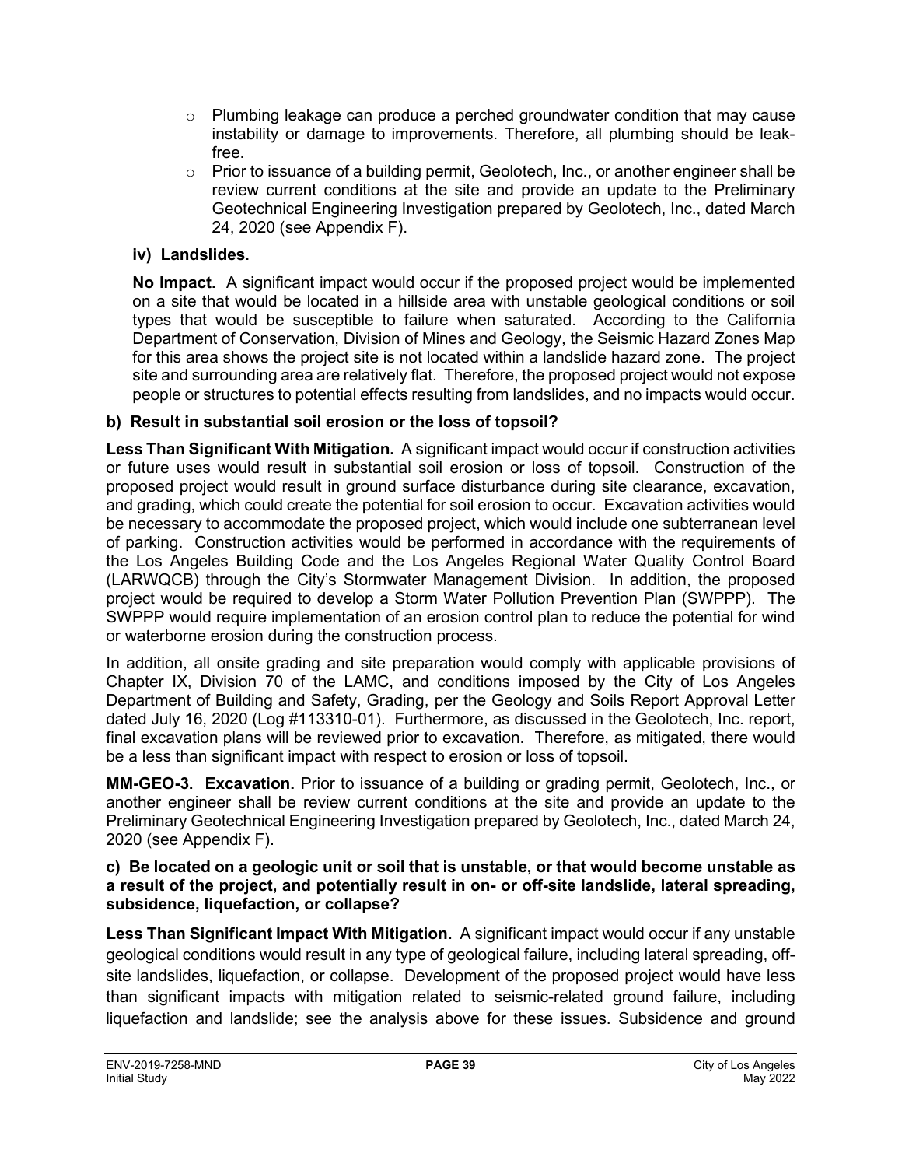- o Plumbing leakage can produce a perched groundwater condition that may cause instability or damage to improvements. Therefore, all plumbing should be leakfree.
- $\circ$  Prior to issuance of a building permit, Geolotech, Inc., or another engineer shall be review current conditions at the site and provide an update to the Preliminary Geotechnical Engineering Investigation prepared by Geolotech, Inc., dated March 24, 2020 (see Appendix F).

## **iv) Landslides.**

**No Impact.** A significant impact would occur if the proposed project would be implemented on a site that would be located in a hillside area with unstable geological conditions or soil types that would be susceptible to failure when saturated. According to the California Department of Conservation, Division of Mines and Geology, the Seismic Hazard Zones Map for this area shows the project site is not located within a landslide hazard zone. The project site and surrounding area are relatively flat. Therefore, the proposed project would not expose people or structures to potential effects resulting from landslides, and no impacts would occur.

## **b) Result in substantial soil erosion or the loss of topsoil?**

**Less Than Significant With Mitigation.** A significant impact would occur if construction activities or future uses would result in substantial soil erosion or loss of topsoil. Construction of the proposed project would result in ground surface disturbance during site clearance, excavation, and grading, which could create the potential for soil erosion to occur. Excavation activities would be necessary to accommodate the proposed project, which would include one subterranean level of parking. Construction activities would be performed in accordance with the requirements of the Los Angeles Building Code and the Los Angeles Regional Water Quality Control Board (LARWQCB) through the City's Stormwater Management Division. In addition, the proposed project would be required to develop a Storm Water Pollution Prevention Plan (SWPPP). The SWPPP would require implementation of an erosion control plan to reduce the potential for wind or waterborne erosion during the construction process.

In addition, all onsite grading and site preparation would comply with applicable provisions of Chapter IX, Division 70 of the LAMC, and conditions imposed by the City of Los Angeles Department of Building and Safety, Grading, per the Geology and Soils Report Approval Letter dated July 16, 2020 (Log #113310-01). Furthermore, as discussed in the Geolotech, Inc. report, final excavation plans will be reviewed prior to excavation. Therefore, as mitigated, there would be a less than significant impact with respect to erosion or loss of topsoil.

**MM-GEO-3. Excavation.** Prior to issuance of a building or grading permit, Geolotech, Inc., or another engineer shall be review current conditions at the site and provide an update to the Preliminary Geotechnical Engineering Investigation prepared by Geolotech, Inc., dated March 24, 2020 (see Appendix F).

#### **c) Be located on a geologic unit or soil that is unstable, or that would become unstable as a result of the project, and potentially result in on- or off-site landslide, lateral spreading, subsidence, liquefaction, or collapse?**

**Less Than Significant Impact With Mitigation.** A significant impact would occur if any unstable geological conditions would result in any type of geological failure, including lateral spreading, offsite landslides, liquefaction, or collapse. Development of the proposed project would have less than significant impacts with mitigation related to seismic-related ground failure, including liquefaction and landslide; see the analysis above for these issues. Subsidence and ground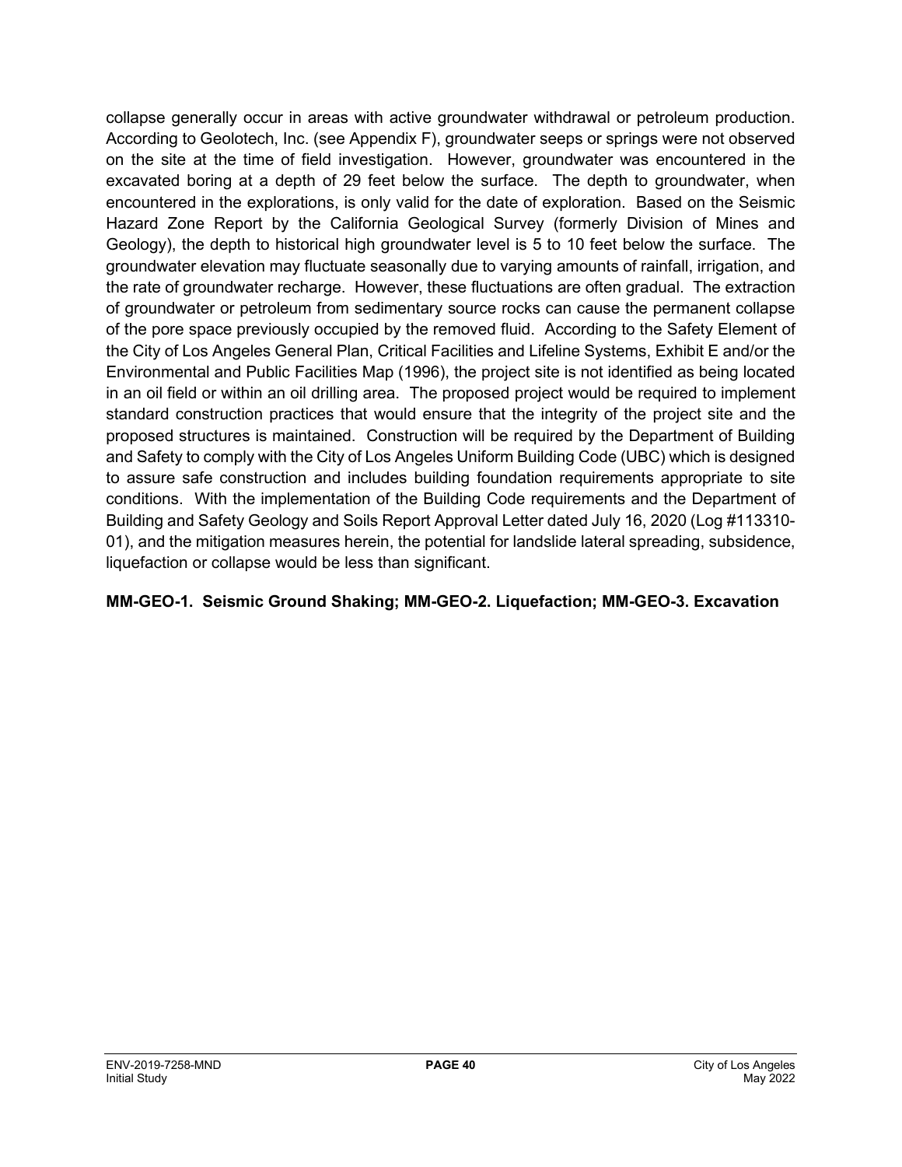collapse generally occur in areas with active groundwater withdrawal or petroleum production. According to Geolotech, Inc. (see Appendix F), groundwater seeps or springs were not observed on the site at the time of field investigation. However, groundwater was encountered in the excavated boring at a depth of 29 feet below the surface. The depth to groundwater, when encountered in the explorations, is only valid for the date of exploration. Based on the Seismic Hazard Zone Report by the California Geological Survey (formerly Division of Mines and Geology), the depth to historical high groundwater level is 5 to 10 feet below the surface. The groundwater elevation may fluctuate seasonally due to varying amounts of rainfall, irrigation, and the rate of groundwater recharge. However, these fluctuations are often gradual. The extraction of groundwater or petroleum from sedimentary source rocks can cause the permanent collapse of the pore space previously occupied by the removed fluid. According to the Safety Element of the City of Los Angeles General Plan, Critical Facilities and Lifeline Systems, Exhibit E and/or the Environmental and Public Facilities Map (1996), the project site is not identified as being located in an oil field or within an oil drilling area. The proposed project would be required to implement standard construction practices that would ensure that the integrity of the project site and the proposed structures is maintained. Construction will be required by the Department of Building and Safety to comply with the City of Los Angeles Uniform Building Code (UBC) which is designed to assure safe construction and includes building foundation requirements appropriate to site conditions. With the implementation of the Building Code requirements and the Department of Building and Safety Geology and Soils Report Approval Letter dated July 16, 2020 (Log #113310- 01), and the mitigation measures herein, the potential for landslide lateral spreading, subsidence, liquefaction or collapse would be less than significant.

## **MM-GEO-1. Seismic Ground Shaking; MM-GEO-2. Liquefaction; MM-GEO-3. Excavation**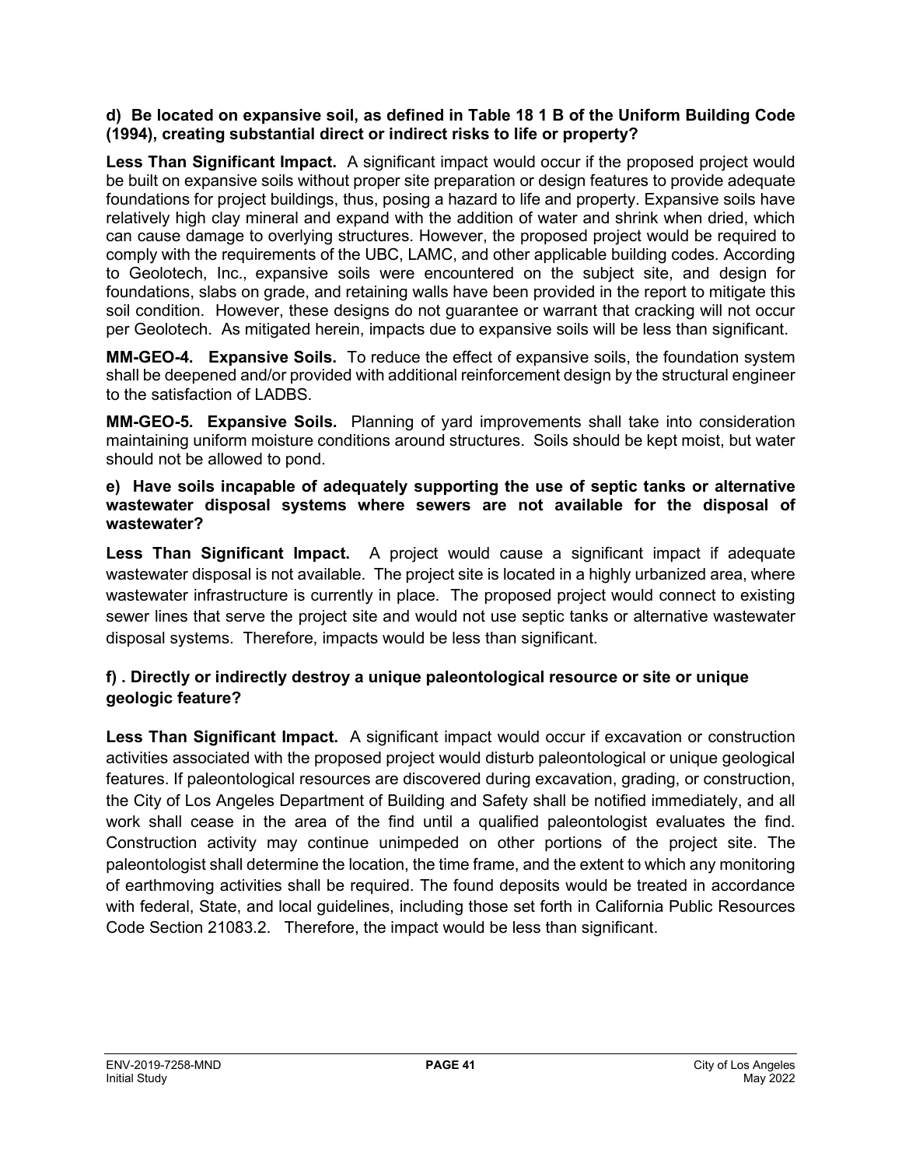#### **d) Be located on expansive soil, as defined in Table 18 1 B of the Uniform Building Code (1994), creating substantial direct or indirect risks to life or property?**

Less Than Significant Impact. A significant impact would occur if the proposed project would be built on expansive soils without proper site preparation or design features to provide adequate foundations for project buildings, thus, posing a hazard to life and property. Expansive soils have relatively high clay mineral and expand with the addition of water and shrink when dried, which can cause damage to overlying structures. However, the proposed project would be required to comply with the requirements of the UBC, LAMC, and other applicable building codes. According to Geolotech, Inc., expansive soils were encountered on the subject site, and design for foundations, slabs on grade, and retaining walls have been provided in the report to mitigate this soil condition. However, these designs do not guarantee or warrant that cracking will not occur per Geolotech. As mitigated herein, impacts due to expansive soils will be less than significant.

**MM-GEO-4. Expansive Soils.** To reduce the effect of expansive soils, the foundation system shall be deepened and/or provided with additional reinforcement design by the structural engineer to the satisfaction of LADBS.

**MM-GEO-5. Expansive Soils.** Planning of yard improvements shall take into consideration maintaining uniform moisture conditions around structures. Soils should be kept moist, but water should not be allowed to pond.

#### **e) Have soils incapable of adequately supporting the use of septic tanks or alternative wastewater disposal systems where sewers are not available for the disposal of wastewater?**

**Less Than Significant Impact.** A project would cause a significant impact if adequate wastewater disposal is not available. The project site is located in a highly urbanized area, where wastewater infrastructure is currently in place. The proposed project would connect to existing sewer lines that serve the project site and would not use septic tanks or alternative wastewater disposal systems. Therefore, impacts would be less than significant.

## **f) . Directly or indirectly destroy a unique paleontological resource or site or unique geologic feature?**

**Less Than Significant Impact.** A significant impact would occur if excavation or construction activities associated with the proposed project would disturb paleontological or unique geological features. If paleontological resources are discovered during excavation, grading, or construction, the City of Los Angeles Department of Building and Safety shall be notified immediately, and all work shall cease in the area of the find until a qualified paleontologist evaluates the find. Construction activity may continue unimpeded on other portions of the project site. The paleontologist shall determine the location, the time frame, and the extent to which any monitoring of earthmoving activities shall be required. The found deposits would be treated in accordance with federal, State, and local guidelines, including those set forth in California Public Resources Code Section 21083.2. Therefore, the impact would be less than significant.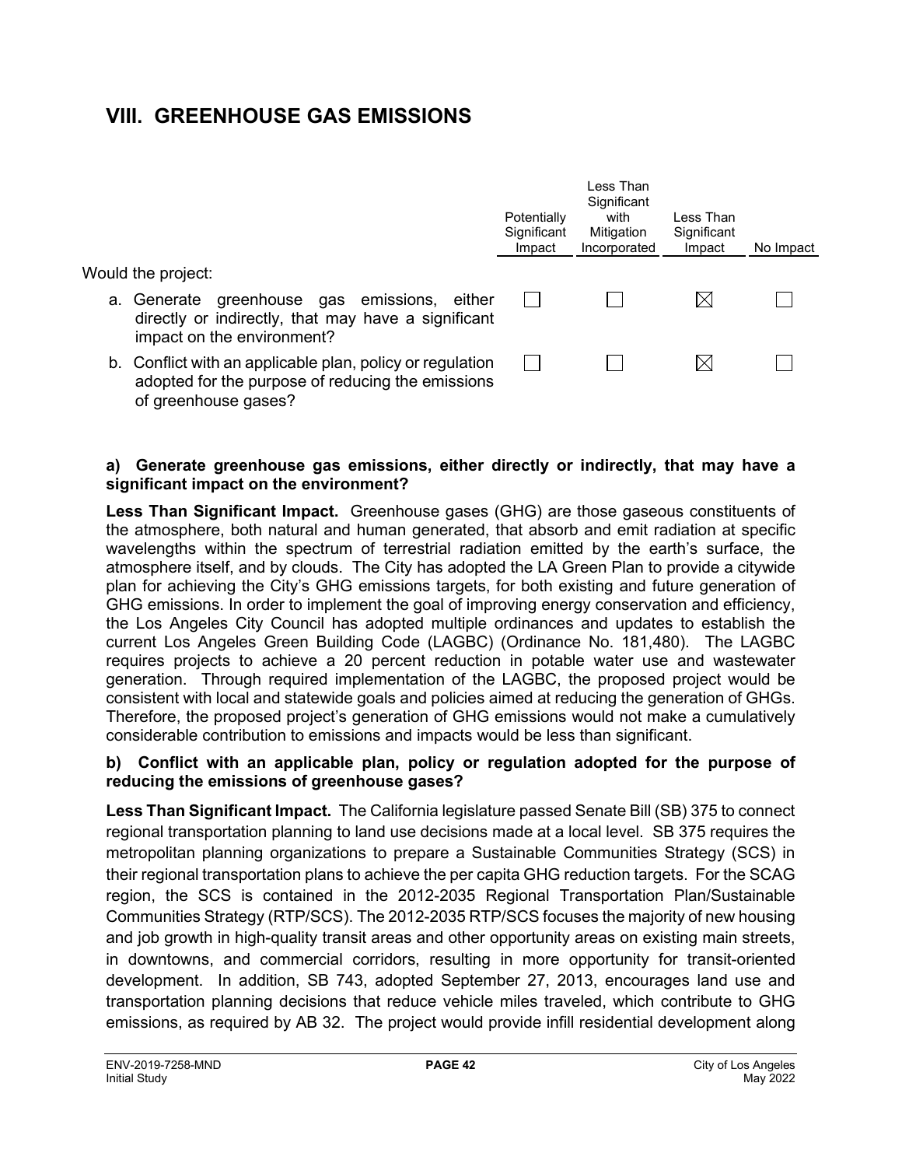## **VIII. GREENHOUSE GAS EMISSIONS**

|                                                                                                                                        | Potentially<br>Significant<br>Impact | Less Than<br>Significant<br>with<br>Mitigation<br>Incorporated | I ess Than<br>Significant<br>Impact | No Impact |
|----------------------------------------------------------------------------------------------------------------------------------------|--------------------------------------|----------------------------------------------------------------|-------------------------------------|-----------|
| Would the project:                                                                                                                     |                                      |                                                                |                                     |           |
| a. Generate greenhouse gas emissions, either<br>directly or indirectly, that may have a significant<br>impact on the environment?      |                                      |                                                                |                                     |           |
| b. Conflict with an applicable plan, policy or regulation<br>adopted for the purpose of reducing the emissions<br>of greenhouse gases? |                                      |                                                                |                                     |           |

#### **a) Generate greenhouse gas emissions, either directly or indirectly, that may have a significant impact on the environment?**

**Less Than Significant Impact.** Greenhouse gases (GHG) are those gaseous constituents of the atmosphere, both natural and human generated, that absorb and emit radiation at specific wavelengths within the spectrum of terrestrial radiation emitted by the earth's surface, the atmosphere itself, and by clouds. The City has adopted the LA Green Plan to provide a citywide plan for achieving the City's GHG emissions targets, for both existing and future generation of GHG emissions. In order to implement the goal of improving energy conservation and efficiency, the Los Angeles City Council has adopted multiple ordinances and updates to establish the current Los Angeles Green Building Code (LAGBC) (Ordinance No. 181,480). The LAGBC requires projects to achieve a 20 percent reduction in potable water use and wastewater generation. Through required implementation of the LAGBC, the proposed project would be consistent with local and statewide goals and policies aimed at reducing the generation of GHGs. Therefore, the proposed project's generation of GHG emissions would not make a cumulatively considerable contribution to emissions and impacts would be less than significant.

#### **b) Conflict with an applicable plan, policy or regulation adopted for the purpose of reducing the emissions of greenhouse gases?**

**Less Than Significant Impact.** The California legislature passed Senate Bill (SB) 375 to connect regional transportation planning to land use decisions made at a local level. SB 375 requires the metropolitan planning organizations to prepare a Sustainable Communities Strategy (SCS) in their regional transportation plans to achieve the per capita GHG reduction targets. For the SCAG region, the SCS is contained in the 2012-2035 Regional Transportation Plan/Sustainable Communities Strategy (RTP/SCS). The 2012-2035 RTP/SCS focuses the majority of new housing and job growth in high-quality transit areas and other opportunity areas on existing main streets, in downtowns, and commercial corridors, resulting in more opportunity for transit-oriented development. In addition, SB 743, adopted September 27, 2013, encourages land use and transportation planning decisions that reduce vehicle miles traveled, which contribute to GHG emissions, as required by AB 32. The project would provide infill residential development along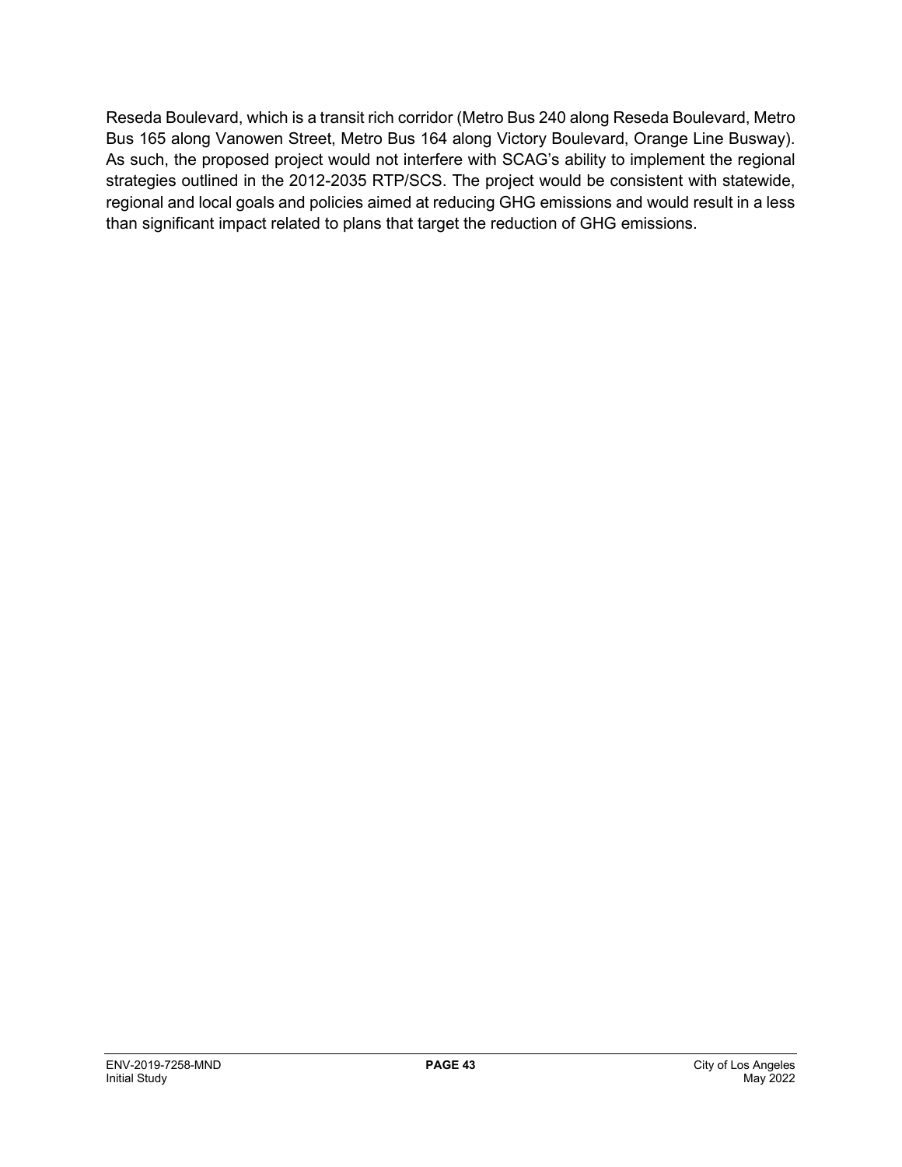Reseda Boulevard, which is a transit rich corridor (Metro Bus 240 along Reseda Boulevard, Metro Bus 165 along Vanowen Street, Metro Bus 164 along Victory Boulevard, Orange Line Busway). As such, the proposed project would not interfere with SCAG's ability to implement the regional strategies outlined in the 2012-2035 RTP/SCS. The project would be consistent with statewide, regional and local goals and policies aimed at reducing GHG emissions and would result in a less than significant impact related to plans that target the reduction of GHG emissions.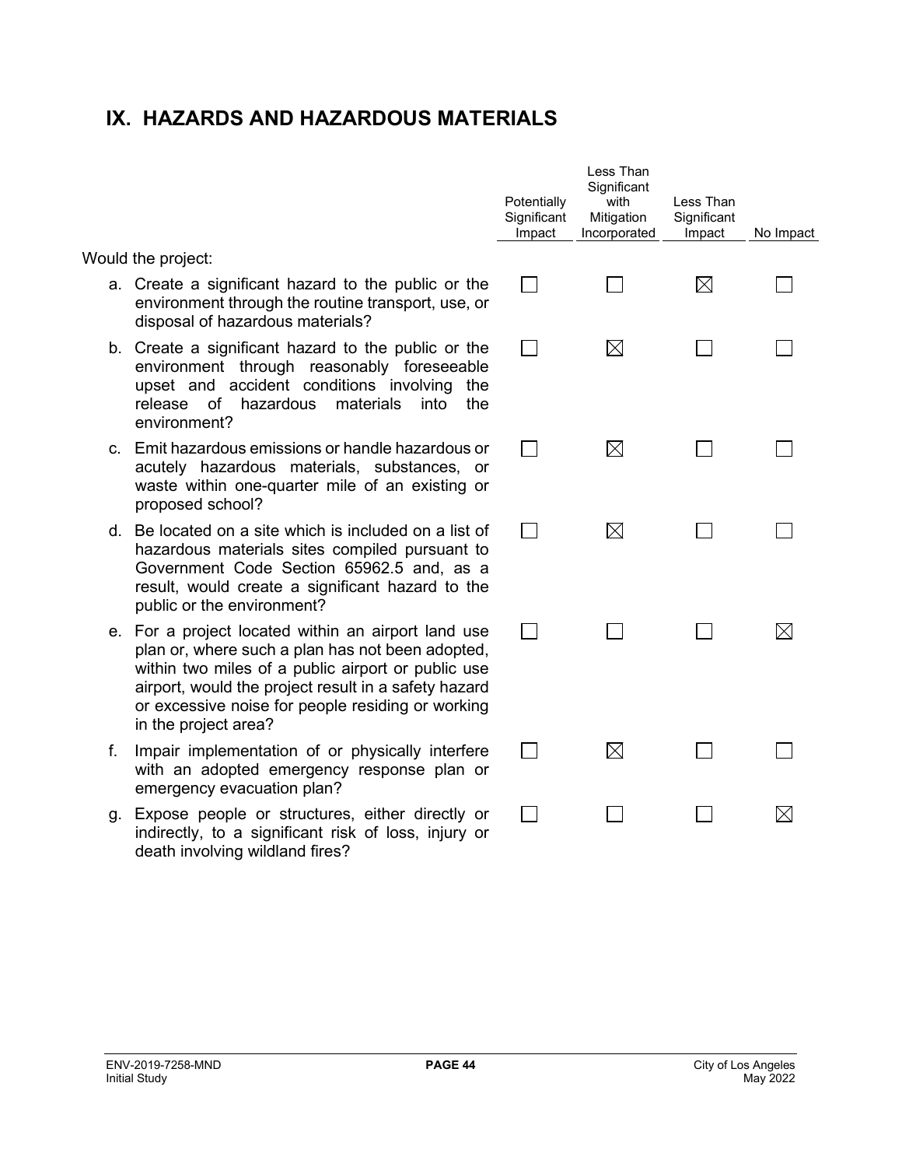## **IX. HAZARDS AND HAZARDOUS MATERIALS**

Would the project:

- a. Create a significant hazard to the public or the environment through the routine transport, use, or disposal of hazardous materials?
- b. Create a significant hazard to the public or the environment through reasonably foreseeable upset and accident conditions involving the release of hazardous materials into the environment?
- c. Emit hazardous emissions or handle hazardous or acutely hazardous materials, substances, or waste within one-quarter mile of an existing or proposed school?
- d. Be located on a site which is included on a list of hazardous materials sites compiled pursuant to Government Code Section 65962.5 and, as a result, would create a significant hazard to the public or the environment?
- e. For a project located within an airport land use plan or, where such a plan has not been adopted, within two miles of a public airport or public use airport, would the project result in a safety hazard or excessive noise for people residing or working in the project area?
- f. Impair implementation of or physically interfere with an adopted emergency response plan or emergency evacuation plan?
- g. Expose people or structures, either directly or indirectly, to a significant risk of loss, injury or death involving wildland fires?

| Potentially<br>Significant<br>Impact | Less Than<br>Significant<br>with<br>Mitigation<br>Incorporated | Less Than<br>Significant<br>Impact | No Impact |
|--------------------------------------|----------------------------------------------------------------|------------------------------------|-----------|
|                                      |                                                                | $\boxtimes$                        |           |
|                                      | $\boxtimes$                                                    |                                    |           |
|                                      | $\boxtimes$                                                    |                                    |           |
|                                      | $\boxtimes$                                                    |                                    |           |
|                                      |                                                                |                                    | ⊠         |
|                                      | ⊠                                                              |                                    |           |
|                                      |                                                                |                                    | $\times$  |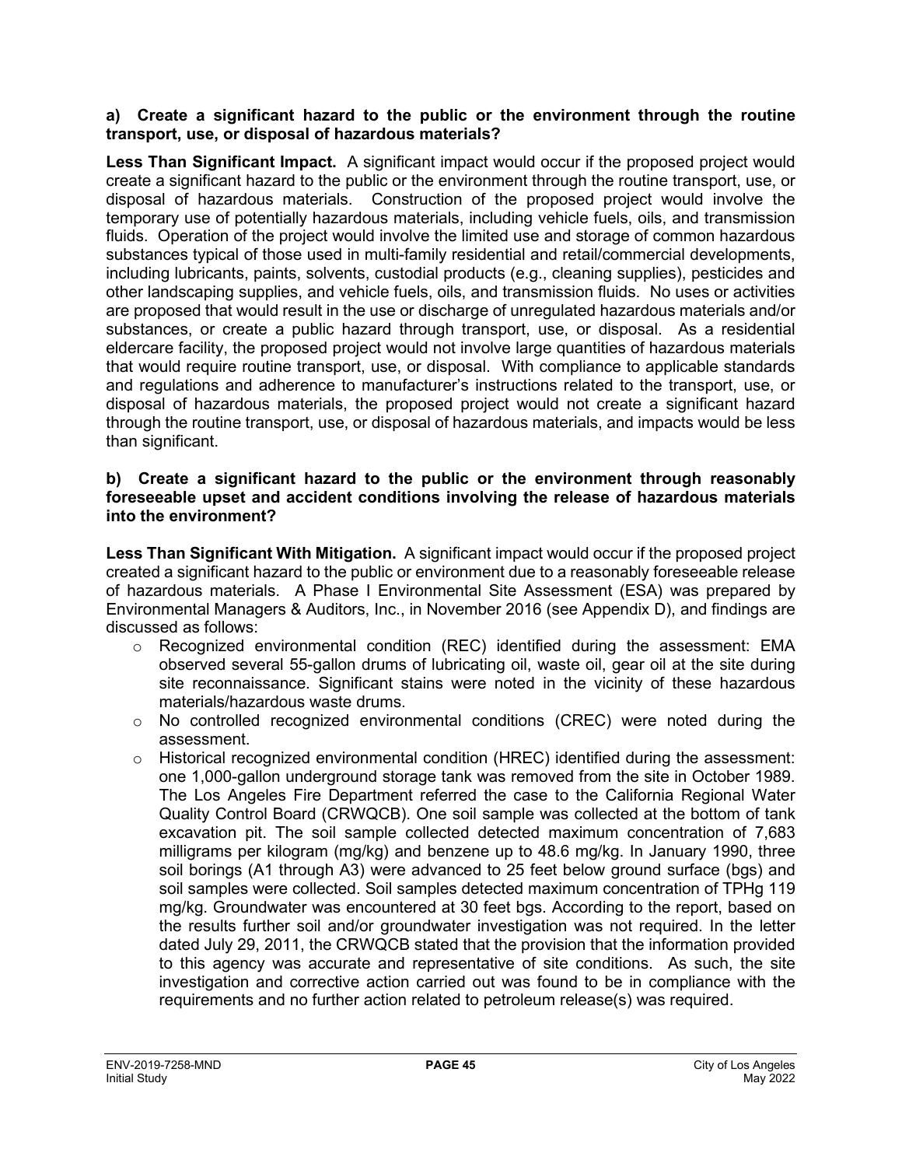#### **a) Create a significant hazard to the public or the environment through the routine transport, use, or disposal of hazardous materials?**

Less Than Significant Impact. A significant impact would occur if the proposed project would create a significant hazard to the public or the environment through the routine transport, use, or disposal of hazardous materials. Construction of the proposed project would involve the temporary use of potentially hazardous materials, including vehicle fuels, oils, and transmission fluids. Operation of the project would involve the limited use and storage of common hazardous substances typical of those used in multi-family residential and retail/commercial developments, including lubricants, paints, solvents, custodial products (e.g., cleaning supplies), pesticides and other landscaping supplies, and vehicle fuels, oils, and transmission fluids. No uses or activities are proposed that would result in the use or discharge of unregulated hazardous materials and/or substances, or create a public hazard through transport, use, or disposal. As a residential eldercare facility, the proposed project would not involve large quantities of hazardous materials that would require routine transport, use, or disposal. With compliance to applicable standards and regulations and adherence to manufacturer's instructions related to the transport, use, or disposal of hazardous materials, the proposed project would not create a significant hazard through the routine transport, use, or disposal of hazardous materials, and impacts would be less than significant.

#### **b) Create a significant hazard to the public or the environment through reasonably foreseeable upset and accident conditions involving the release of hazardous materials into the environment?**

**Less Than Significant With Mitigation.** A significant impact would occur if the proposed project created a significant hazard to the public or environment due to a reasonably foreseeable release of hazardous materials. A Phase I Environmental Site Assessment (ESA) was prepared by Environmental Managers & Auditors, Inc., in November 2016 (see Appendix D), and findings are discussed as follows:

- o Recognized environmental condition (REC) identified during the assessment: EMA observed several 55-gallon drums of lubricating oil, waste oil, gear oil at the site during site reconnaissance. Significant stains were noted in the vicinity of these hazardous materials/hazardous waste drums.
- o No controlled recognized environmental conditions (CREC) were noted during the assessment.
- $\circ$  Historical recognized environmental condition (HREC) identified during the assessment: one 1,000-gallon underground storage tank was removed from the site in October 1989. The Los Angeles Fire Department referred the case to the California Regional Water Quality Control Board (CRWQCB). One soil sample was collected at the bottom of tank excavation pit. The soil sample collected detected maximum concentration of 7,683 milligrams per kilogram (mg/kg) and benzene up to 48.6 mg/kg. In January 1990, three soil borings (A1 through A3) were advanced to 25 feet below ground surface (bgs) and soil samples were collected. Soil samples detected maximum concentration of TPHg 119 mg/kg. Groundwater was encountered at 30 feet bgs. According to the report, based on the results further soil and/or groundwater investigation was not required. In the letter dated July 29, 2011, the CRWQCB stated that the provision that the information provided to this agency was accurate and representative of site conditions. As such, the site investigation and corrective action carried out was found to be in compliance with the requirements and no further action related to petroleum release(s) was required.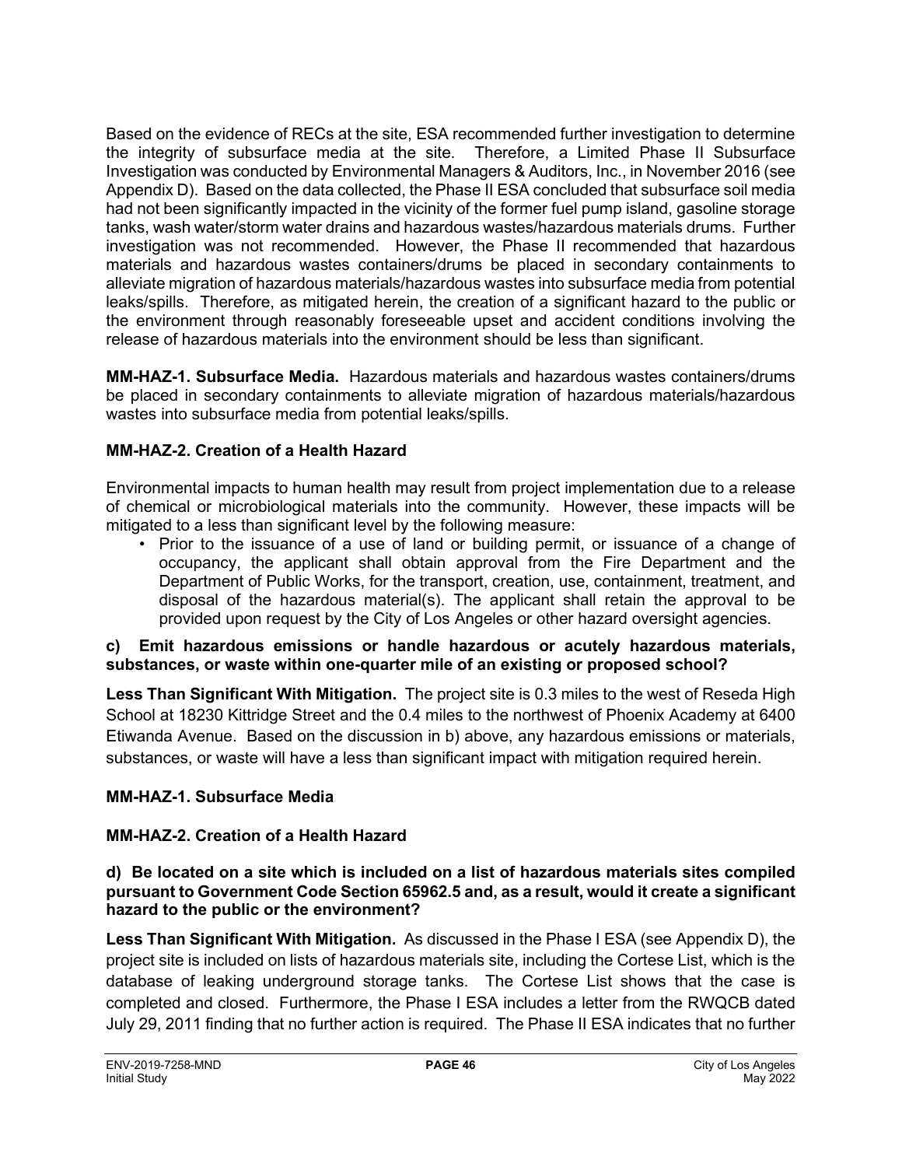Based on the evidence of RECs at the site, ESA recommended further investigation to determine the integrity of subsurface media at the site. Therefore, a Limited Phase II Subsurface Investigation was conducted by Environmental Managers & Auditors, Inc., in November 2016 (see Appendix D). Based on the data collected, the Phase II ESA concluded that subsurface soil media had not been significantly impacted in the vicinity of the former fuel pump island, gasoline storage tanks, wash water/storm water drains and hazardous wastes/hazardous materials drums. Further investigation was not recommended. However, the Phase II recommended that hazardous materials and hazardous wastes containers/drums be placed in secondary containments to alleviate migration of hazardous materials/hazardous wastes into subsurface media from potential leaks/spills. Therefore, as mitigated herein, the creation of a significant hazard to the public or the environment through reasonably foreseeable upset and accident conditions involving the release of hazardous materials into the environment should be less than significant.

**MM-HAZ-1. Subsurface Media.** Hazardous materials and hazardous wastes containers/drums be placed in secondary containments to alleviate migration of hazardous materials/hazardous wastes into subsurface media from potential leaks/spills.

## **MM-HAZ-2. Creation of a Health Hazard**

Environmental impacts to human health may result from project implementation due to a release of chemical or microbiological materials into the community. However, these impacts will be mitigated to a less than significant level by the following measure:

• Prior to the issuance of a use of land or building permit, or issuance of a change of occupancy, the applicant shall obtain approval from the Fire Department and the Department of Public Works, for the transport, creation, use, containment, treatment, and disposal of the hazardous material(s). The applicant shall retain the approval to be provided upon request by the City of Los Angeles or other hazard oversight agencies.

#### **c) Emit hazardous emissions or handle hazardous or acutely hazardous materials, substances, or waste within one-quarter mile of an existing or proposed school?**

**Less Than Significant With Mitigation.** The project site is 0.3 miles to the west of Reseda High School at 18230 Kittridge Street and the 0.4 miles to the northwest of Phoenix Academy at 6400 Etiwanda Avenue. Based on the discussion in b) above, any hazardous emissions or materials, substances, or waste will have a less than significant impact with mitigation required herein.

## **MM-HAZ-1. Subsurface Media**

## **MM-HAZ-2. Creation of a Health Hazard**

#### **d) Be located on a site which is included on a list of hazardous materials sites compiled pursuant to Government Code Section 65962.5 and, as a result, would it create a significant hazard to the public or the environment?**

**Less Than Significant With Mitigation.** As discussed in the Phase I ESA (see Appendix D), the project site is included on lists of hazardous materials site, including the Cortese List, which is the database of leaking underground storage tanks. The Cortese List shows that the case is completed and closed. Furthermore, the Phase I ESA includes a letter from the RWQCB dated July 29, 2011 finding that no further action is required. The Phase II ESA indicates that no further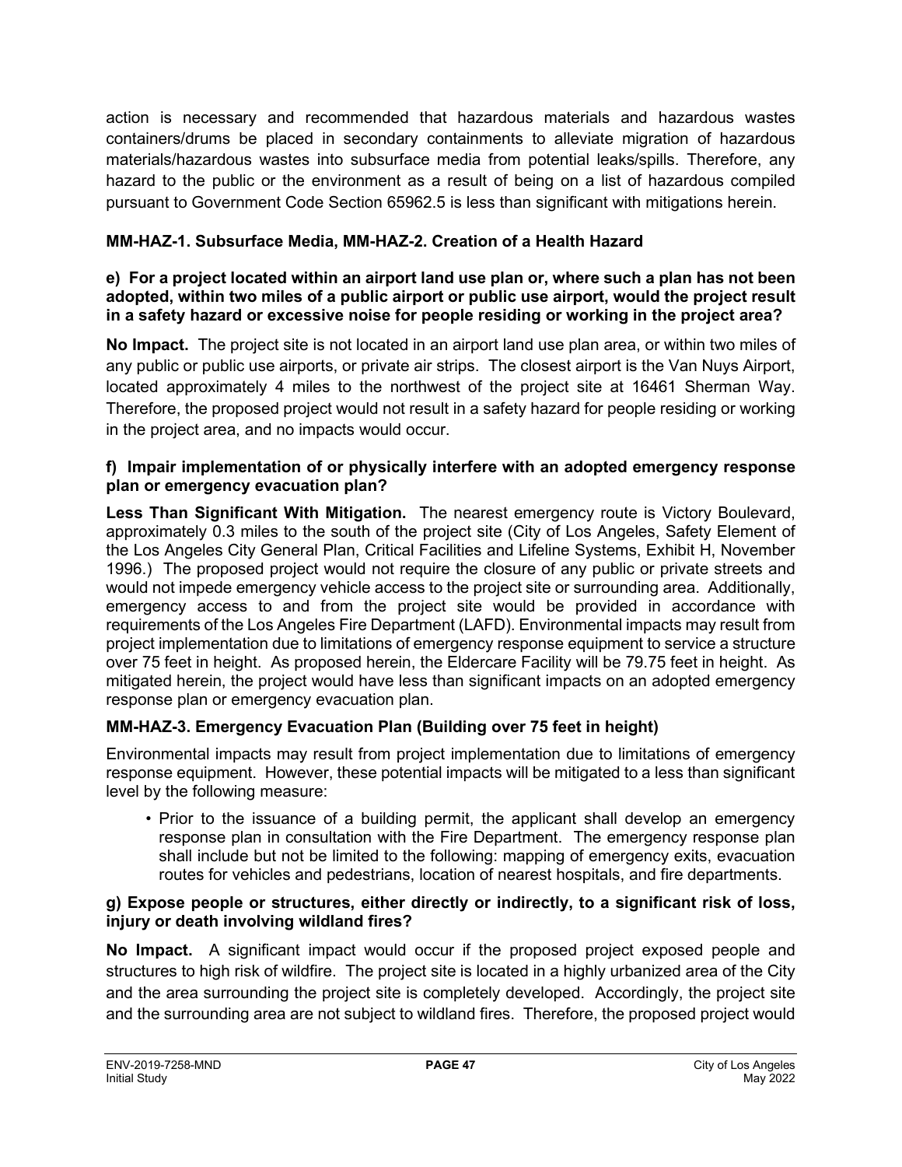action is necessary and recommended that hazardous materials and hazardous wastes containers/drums be placed in secondary containments to alleviate migration of hazardous materials/hazardous wastes into subsurface media from potential leaks/spills. Therefore, any hazard to the public or the environment as a result of being on a list of hazardous compiled pursuant to Government Code Section 65962.5 is less than significant with mitigations herein.

## **MM-HAZ-1. Subsurface Media, MM-HAZ-2. Creation of a Health Hazard**

#### **e) For a project located within an airport land use plan or, where such a plan has not been adopted, within two miles of a public airport or public use airport, would the project result in a safety hazard or excessive noise for people residing or working in the project area?**

**No Impact.** The project site is not located in an airport land use plan area, or within two miles of any public or public use airports, or private air strips. The closest airport is the Van Nuys Airport, located approximately 4 miles to the northwest of the project site at 16461 Sherman Way. Therefore, the proposed project would not result in a safety hazard for people residing or working in the project area, and no impacts would occur.

#### **f) Impair implementation of or physically interfere with an adopted emergency response plan or emergency evacuation plan?**

**Less Than Significant With Mitigation.** The nearest emergency route is Victory Boulevard, approximately 0.3 miles to the south of the project site (City of Los Angeles, Safety Element of the Los Angeles City General Plan, Critical Facilities and Lifeline Systems, Exhibit H, November 1996.) The proposed project would not require the closure of any public or private streets and would not impede emergency vehicle access to the project site or surrounding area. Additionally, emergency access to and from the project site would be provided in accordance with requirements of the Los Angeles Fire Department (LAFD). Environmental impacts may result from project implementation due to limitations of emergency response equipment to service a structure over 75 feet in height. As proposed herein, the Eldercare Facility will be 79.75 feet in height. As mitigated herein, the project would have less than significant impacts on an adopted emergency response plan or emergency evacuation plan.

## **MM-HAZ-3. Emergency Evacuation Plan (Building over 75 feet in height)**

Environmental impacts may result from project implementation due to limitations of emergency response equipment. However, these potential impacts will be mitigated to a less than significant level by the following measure:

• Prior to the issuance of a building permit, the applicant shall develop an emergency response plan in consultation with the Fire Department. The emergency response plan shall include but not be limited to the following: mapping of emergency exits, evacuation routes for vehicles and pedestrians, location of nearest hospitals, and fire departments.

#### **g) Expose people or structures, either directly or indirectly, to a significant risk of loss, injury or death involving wildland fires?**

**No Impact.** A significant impact would occur if the proposed project exposed people and structures to high risk of wildfire. The project site is located in a highly urbanized area of the City and the area surrounding the project site is completely developed. Accordingly, the project site and the surrounding area are not subject to wildland fires. Therefore, the proposed project would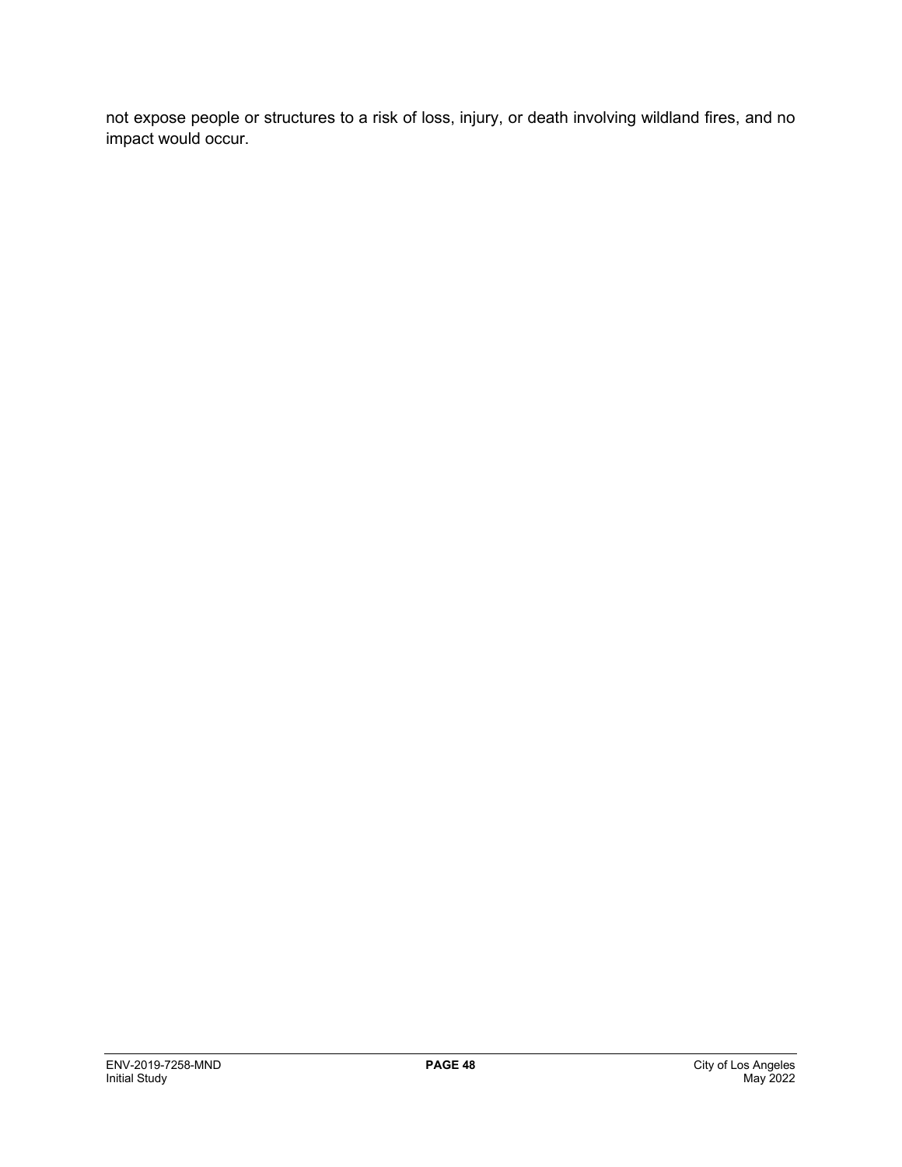not expose people or structures to a risk of loss, injury, or death involving wildland fires, and no impact would occur.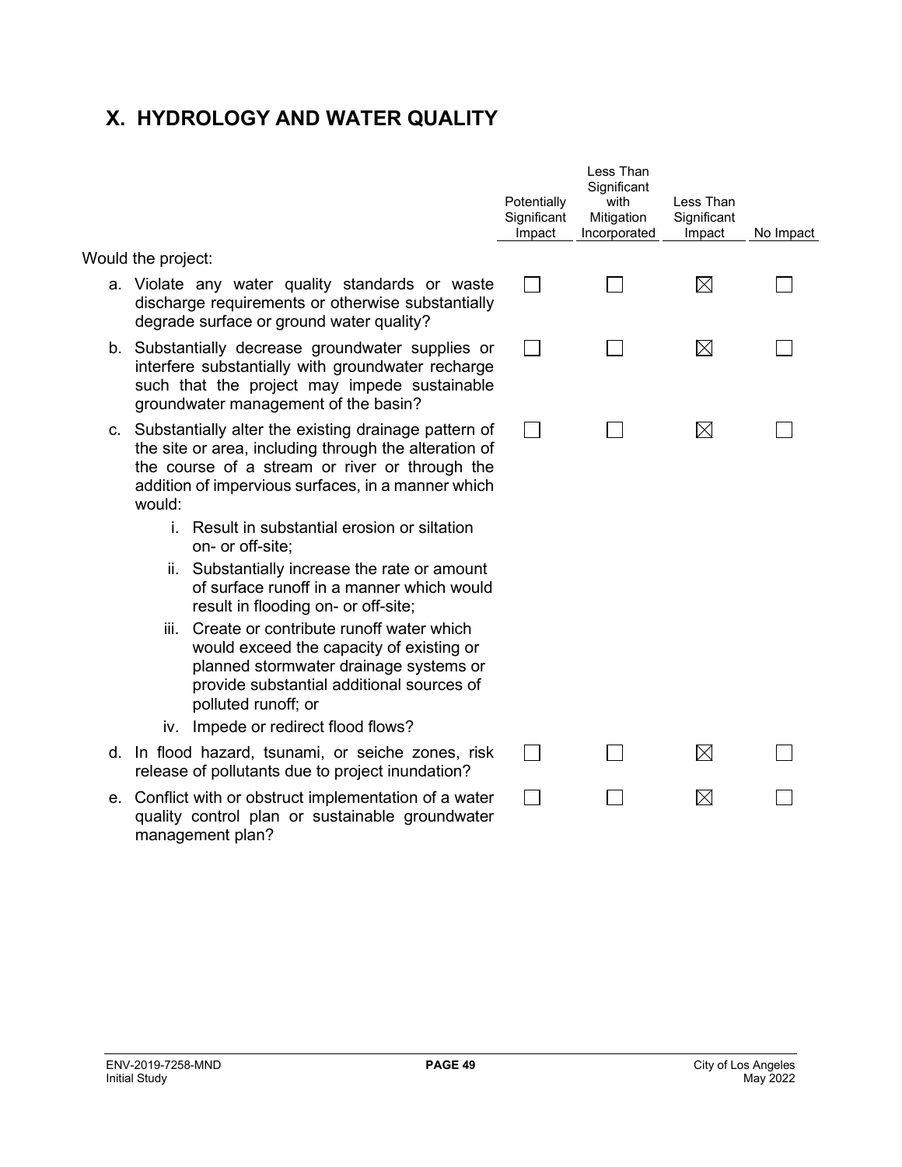## **X. HYDROLOGY AND WATER QUALITY**

|  |  | Would the project: |
|--|--|--------------------|
|--|--|--------------------|

- a. Violate any water quality standards or was discharge requirements or otherwise substantial degrade surface or ground water quality?
- b. Substantially decrease groundwater supplies interfere substantially with groundwater recharge such that the project may impede sustainal groundwater management of the basin?
- c. Substantially alter the existing drainage pattern the site or area, including through the alteration the course of a stream or river or through t addition of impervious surfaces, in a manner whi would:
	- i. Result in substantial erosion or siltation on- or off-site;
	- ii. Substantially increase the rate or amour of surface runoff in a manner which would result in flooding on- or off-site;
	- iii. Create or contribute runoff water which would exceed the capacity of existing or planned stormwater drainage systems or provide substantial additional sources of polluted runoff; or
	- iv. Impede or redirect flood flows?
- d. In flood hazard, tsunami, or seiche zones, ri release of pollutants due to project inundation?
- e. Conflict with or obstruct implementation of a wat quality control plan or sustainable groundwat management plan?

|                            | Potentially<br>Significant<br>Impact | Less Than<br>Significant<br>with<br>Mitigation<br>Incorporated | Less Than<br>Significant<br>Impact | No Impact |
|----------------------------|--------------------------------------|----------------------------------------------------------------|------------------------------------|-----------|
| ste<br>ally                |                                      |                                                                | $\boxtimes$                        |           |
| or<br>ge·<br>ble           |                                      |                                                                | $\boxtimes$                        |           |
| ı of<br>ı of<br>the<br>ich |                                      |                                                                | $\boxtimes$                        |           |
| nt<br>uld                  |                                      |                                                                |                                    |           |
| r<br>эr<br>λf              |                                      |                                                                |                                    |           |
| isk                        |                                      |                                                                | $\boxtimes$                        |           |
| ıter<br>ıter               |                                      |                                                                | M                                  |           |
|                            |                                      |                                                                |                                    |           |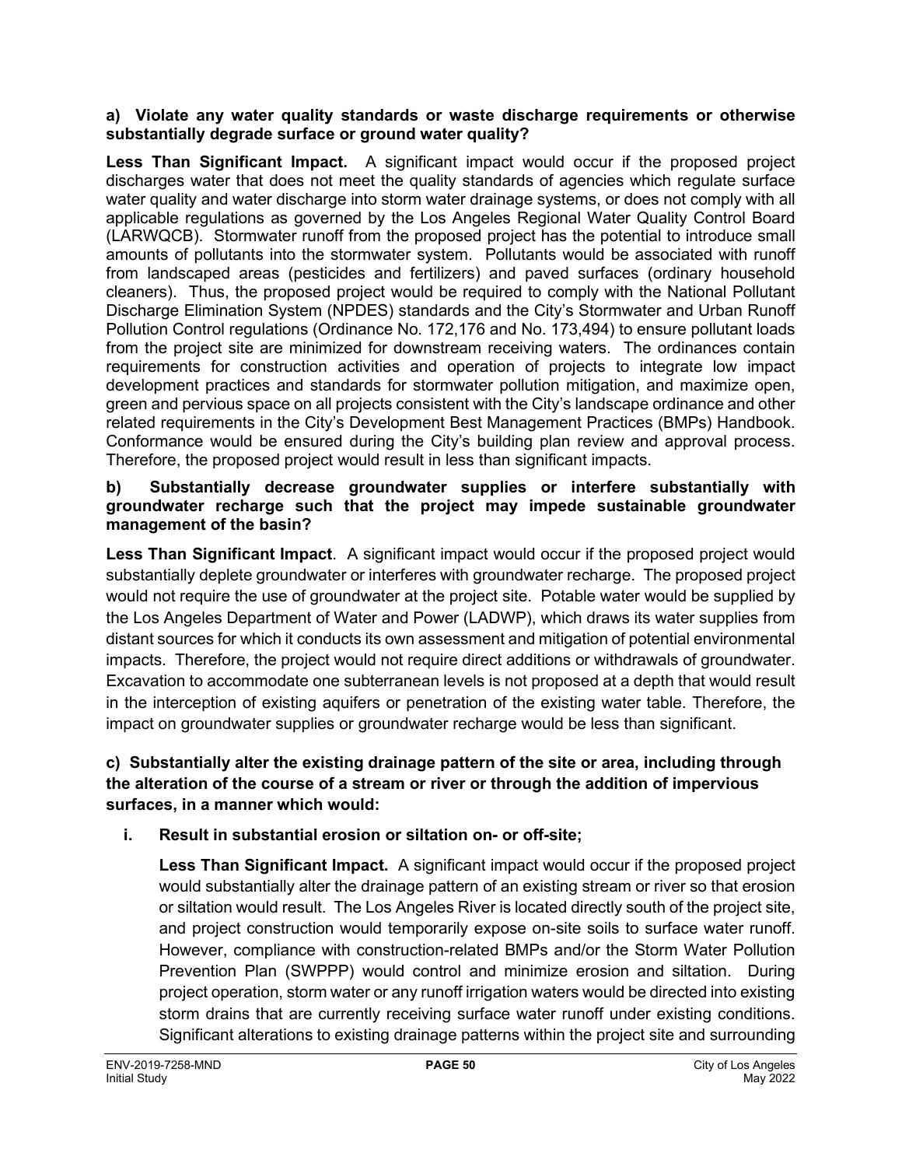#### **a) Violate any water quality standards or waste discharge requirements or otherwise substantially degrade surface or ground water quality?**

**Less Than Significant Impact.** A significant impact would occur if the proposed project discharges water that does not meet the quality standards of agencies which regulate surface water quality and water discharge into storm water drainage systems, or does not comply with all applicable regulations as governed by the Los Angeles Regional Water Quality Control Board (LARWQCB). Stormwater runoff from the proposed project has the potential to introduce small amounts of pollutants into the stormwater system. Pollutants would be associated with runoff from landscaped areas (pesticides and fertilizers) and paved surfaces (ordinary household cleaners). Thus, the proposed project would be required to comply with the National Pollutant Discharge Elimination System (NPDES) standards and the City's Stormwater and Urban Runoff Pollution Control regulations (Ordinance No. 172,176 and No. 173,494) to ensure pollutant loads from the project site are minimized for downstream receiving waters. The ordinances contain requirements for construction activities and operation of projects to integrate low impact development practices and standards for stormwater pollution mitigation, and maximize open, green and pervious space on all projects consistent with the City's landscape ordinance and other related requirements in the City's Development Best Management Practices (BMPs) Handbook. Conformance would be ensured during the City's building plan review and approval process. Therefore, the proposed project would result in less than significant impacts.

#### **b) Substantially decrease groundwater supplies or interfere substantially with groundwater recharge such that the project may impede sustainable groundwater management of the basin?**

**Less Than Significant Impact**. A significant impact would occur if the proposed project would substantially deplete groundwater or interferes with groundwater recharge. The proposed project would not require the use of groundwater at the project site. Potable water would be supplied by the Los Angeles Department of Water and Power (LADWP), which draws its water supplies from distant sources for which it conducts its own assessment and mitigation of potential environmental impacts. Therefore, the project would not require direct additions or withdrawals of groundwater. Excavation to accommodate one subterranean levels is not proposed at a depth that would result in the interception of existing aquifers or penetration of the existing water table. Therefore, the impact on groundwater supplies or groundwater recharge would be less than significant.

### **c) Substantially alter the existing drainage pattern of the site or area, including through the alteration of the course of a stream or river or through the addition of impervious surfaces, in a manner which would:**

## **i. Result in substantial erosion or siltation on- or off-site;**

**Less Than Significant Impact.** A significant impact would occur if the proposed project would substantially alter the drainage pattern of an existing stream or river so that erosion or siltation would result. The Los Angeles River is located directly south of the project site, and project construction would temporarily expose on-site soils to surface water runoff. However, compliance with construction-related BMPs and/or the Storm Water Pollution Prevention Plan (SWPPP) would control and minimize erosion and siltation. During project operation, storm water or any runoff irrigation waters would be directed into existing storm drains that are currently receiving surface water runoff under existing conditions. Significant alterations to existing drainage patterns within the project site and surrounding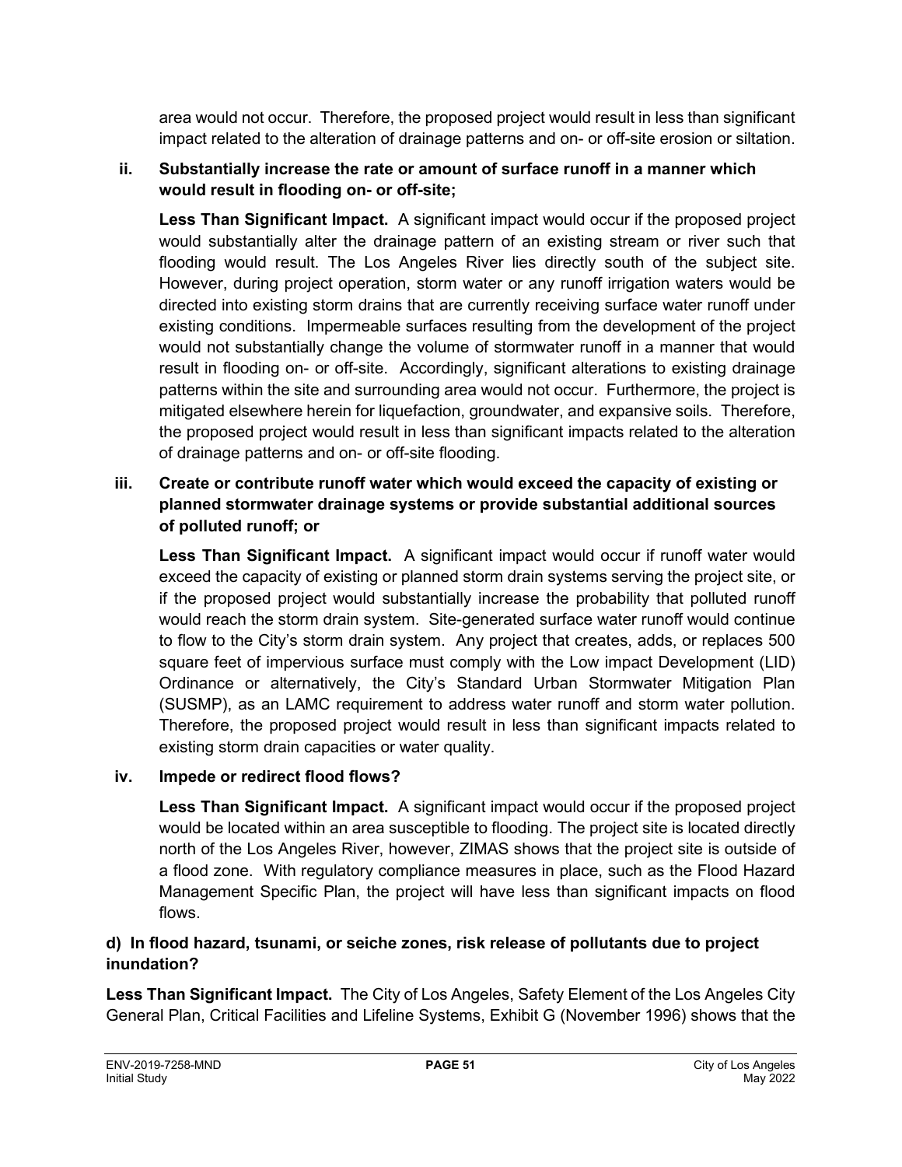area would not occur. Therefore, the proposed project would result in less than significant impact related to the alteration of drainage patterns and on- or off-site erosion or siltation.

## **ii. Substantially increase the rate or amount of surface runoff in a manner which would result in flooding on- or off-site;**

**Less Than Significant Impact.** A significant impact would occur if the proposed project would substantially alter the drainage pattern of an existing stream or river such that flooding would result. The Los Angeles River lies directly south of the subject site. However, during project operation, storm water or any runoff irrigation waters would be directed into existing storm drains that are currently receiving surface water runoff under existing conditions. Impermeable surfaces resulting from the development of the project would not substantially change the volume of stormwater runoff in a manner that would result in flooding on- or off-site. Accordingly, significant alterations to existing drainage patterns within the site and surrounding area would not occur. Furthermore, the project is mitigated elsewhere herein for liquefaction, groundwater, and expansive soils. Therefore, the proposed project would result in less than significant impacts related to the alteration of drainage patterns and on- or off-site flooding.

## **iii. Create or contribute runoff water which would exceed the capacity of existing or planned stormwater drainage systems or provide substantial additional sources of polluted runoff; or**

**Less Than Significant Impact.** A significant impact would occur if runoff water would exceed the capacity of existing or planned storm drain systems serving the project site, or if the proposed project would substantially increase the probability that polluted runoff would reach the storm drain system. Site-generated surface water runoff would continue to flow to the City's storm drain system. Any project that creates, adds, or replaces 500 square feet of impervious surface must comply with the Low impact Development (LID) Ordinance or alternatively, the City's Standard Urban Stormwater Mitigation Plan (SUSMP), as an LAMC requirement to address water runoff and storm water pollution. Therefore, the proposed project would result in less than significant impacts related to existing storm drain capacities or water quality.

## **iv. Impede or redirect flood flows?**

**Less Than Significant Impact.** A significant impact would occur if the proposed project would be located within an area susceptible to flooding. The project site is located directly north of the Los Angeles River, however, ZIMAS shows that the project site is outside of a flood zone. With regulatory compliance measures in place, such as the Flood Hazard Management Specific Plan, the project will have less than significant impacts on flood flows.

## **d) In flood hazard, tsunami, or seiche zones, risk release of pollutants due to project inundation?**

**Less Than Significant Impact.** The City of Los Angeles, Safety Element of the Los Angeles City General Plan, Critical Facilities and Lifeline Systems, Exhibit G (November 1996) shows that the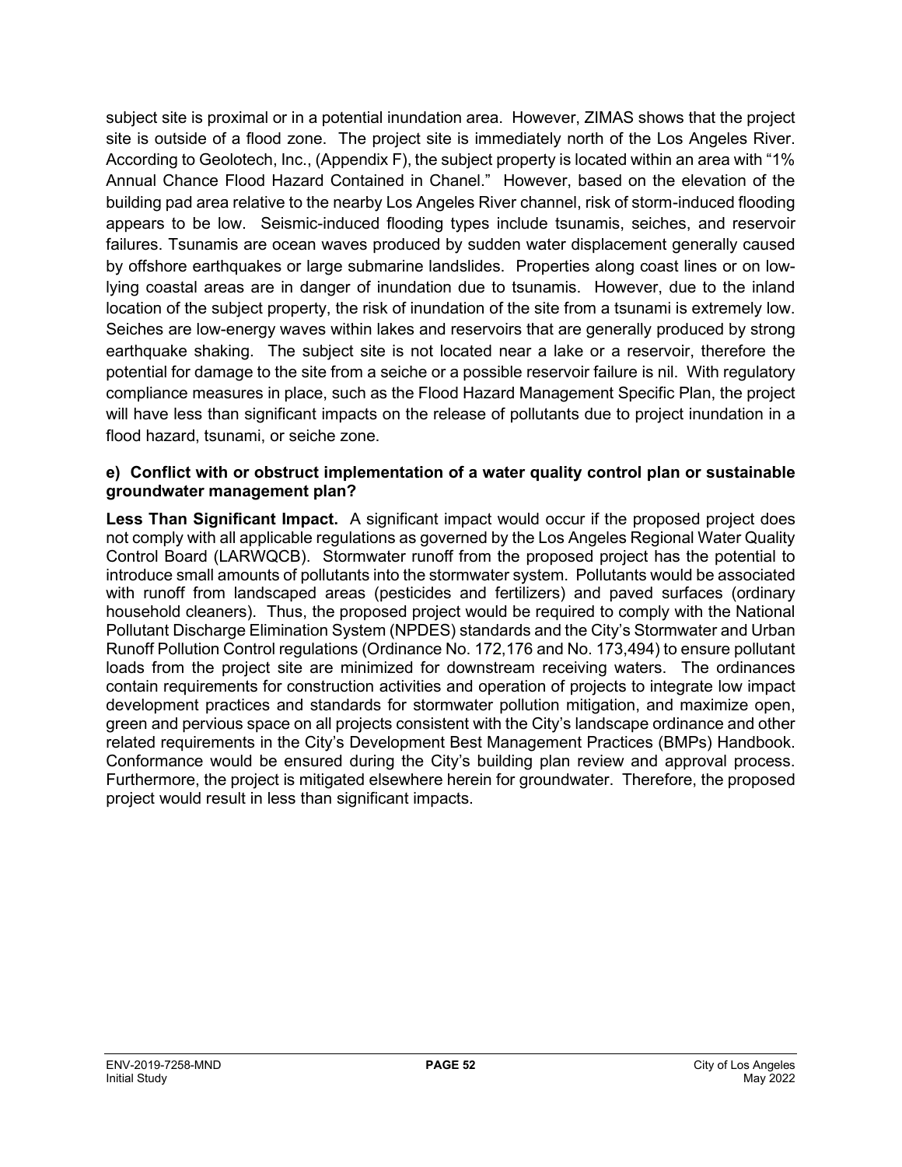subject site is proximal or in a potential inundation area. However, ZIMAS shows that the project site is outside of a flood zone. The project site is immediately north of the Los Angeles River. According to Geolotech, Inc., (Appendix F), the subject property is located within an area with "1% Annual Chance Flood Hazard Contained in Chanel." However, based on the elevation of the building pad area relative to the nearby Los Angeles River channel, risk of storm-induced flooding appears to be low. Seismic-induced flooding types include tsunamis, seiches, and reservoir failures. Tsunamis are ocean waves produced by sudden water displacement generally caused by offshore earthquakes or large submarine landslides. Properties along coast lines or on lowlying coastal areas are in danger of inundation due to tsunamis. However, due to the inland location of the subject property, the risk of inundation of the site from a tsunami is extremely low. Seiches are low-energy waves within lakes and reservoirs that are generally produced by strong earthquake shaking. The subject site is not located near a lake or a reservoir, therefore the potential for damage to the site from a seiche or a possible reservoir failure is nil. With regulatory compliance measures in place, such as the Flood Hazard Management Specific Plan, the project will have less than significant impacts on the release of pollutants due to project inundation in a flood hazard, tsunami, or seiche zone.

#### **e) Conflict with or obstruct implementation of a water quality control plan or sustainable groundwater management plan?**

**Less Than Significant Impact.** A significant impact would occur if the proposed project does not comply with all applicable regulations as governed by the Los Angeles Regional Water Quality Control Board (LARWQCB). Stormwater runoff from the proposed project has the potential to introduce small amounts of pollutants into the stormwater system. Pollutants would be associated with runoff from landscaped areas (pesticides and fertilizers) and paved surfaces (ordinary household cleaners). Thus, the proposed project would be required to comply with the National Pollutant Discharge Elimination System (NPDES) standards and the City's Stormwater and Urban Runoff Pollution Control regulations (Ordinance No. 172,176 and No. 173,494) to ensure pollutant loads from the project site are minimized for downstream receiving waters. The ordinances contain requirements for construction activities and operation of projects to integrate low impact development practices and standards for stormwater pollution mitigation, and maximize open, green and pervious space on all projects consistent with the City's landscape ordinance and other related requirements in the City's Development Best Management Practices (BMPs) Handbook. Conformance would be ensured during the City's building plan review and approval process. Furthermore, the project is mitigated elsewhere herein for groundwater. Therefore, the proposed project would result in less than significant impacts.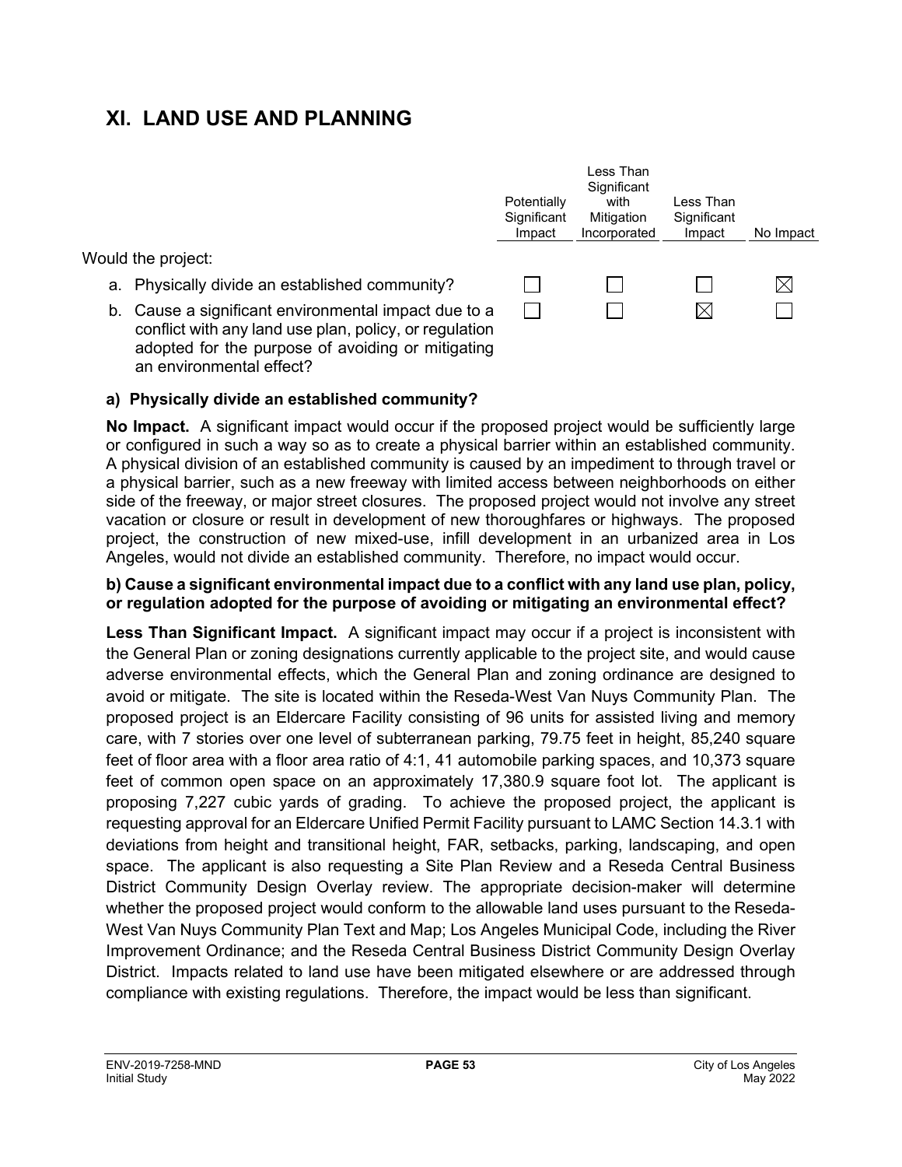## **XI. LAND USE AND PLANNING**

Would the project:

- a. Physically divide an established community?
- b. Cause a significant environmental impact due to a conflict with any land use plan, policy, or regulation adopted for the purpose of avoiding or mitigating an environmental effect?



Less Than

#### **a) Physically divide an established community?**

**No Impact.** A significant impact would occur if the proposed project would be sufficiently large or configured in such a way so as to create a physical barrier within an established community. A physical division of an established community is caused by an impediment to through travel or a physical barrier, such as a new freeway with limited access between neighborhoods on either side of the freeway, or major street closures. The proposed project would not involve any street vacation or closure or result in development of new thoroughfares or highways. The proposed project, the construction of new mixed-use, infill development in an urbanized area in Los Angeles, would not divide an established community. Therefore, no impact would occur.

#### **b) Cause a significant environmental impact due to a conflict with any land use plan, policy, or regulation adopted for the purpose of avoiding or mitigating an environmental effect?**

**Less Than Significant Impact.** A significant impact may occur if a project is inconsistent with the General Plan or zoning designations currently applicable to the project site, and would cause adverse environmental effects, which the General Plan and zoning ordinance are designed to avoid or mitigate. The site is located within the Reseda-West Van Nuys Community Plan. The proposed project is an Eldercare Facility consisting of 96 units for assisted living and memory care, with 7 stories over one level of subterranean parking, 79.75 feet in height, 85,240 square feet of floor area with a floor area ratio of 4:1, 41 automobile parking spaces, and 10,373 square feet of common open space on an approximately 17,380.9 square foot lot. The applicant is proposing 7,227 cubic yards of grading. To achieve the proposed project, the applicant is requesting approval for an Eldercare Unified Permit Facility pursuant to LAMC Section 14.3.1 with deviations from height and transitional height, FAR, setbacks, parking, landscaping, and open space. The applicant is also requesting a Site Plan Review and a Reseda Central Business District Community Design Overlay review. The appropriate decision-maker will determine whether the proposed project would conform to the allowable land uses pursuant to the Reseda-West Van Nuys Community Plan Text and Map; Los Angeles Municipal Code, including the River Improvement Ordinance; and the Reseda Central Business District Community Design Overlay District. Impacts related to land use have been mitigated elsewhere or are addressed through compliance with existing regulations. Therefore, the impact would be less than significant.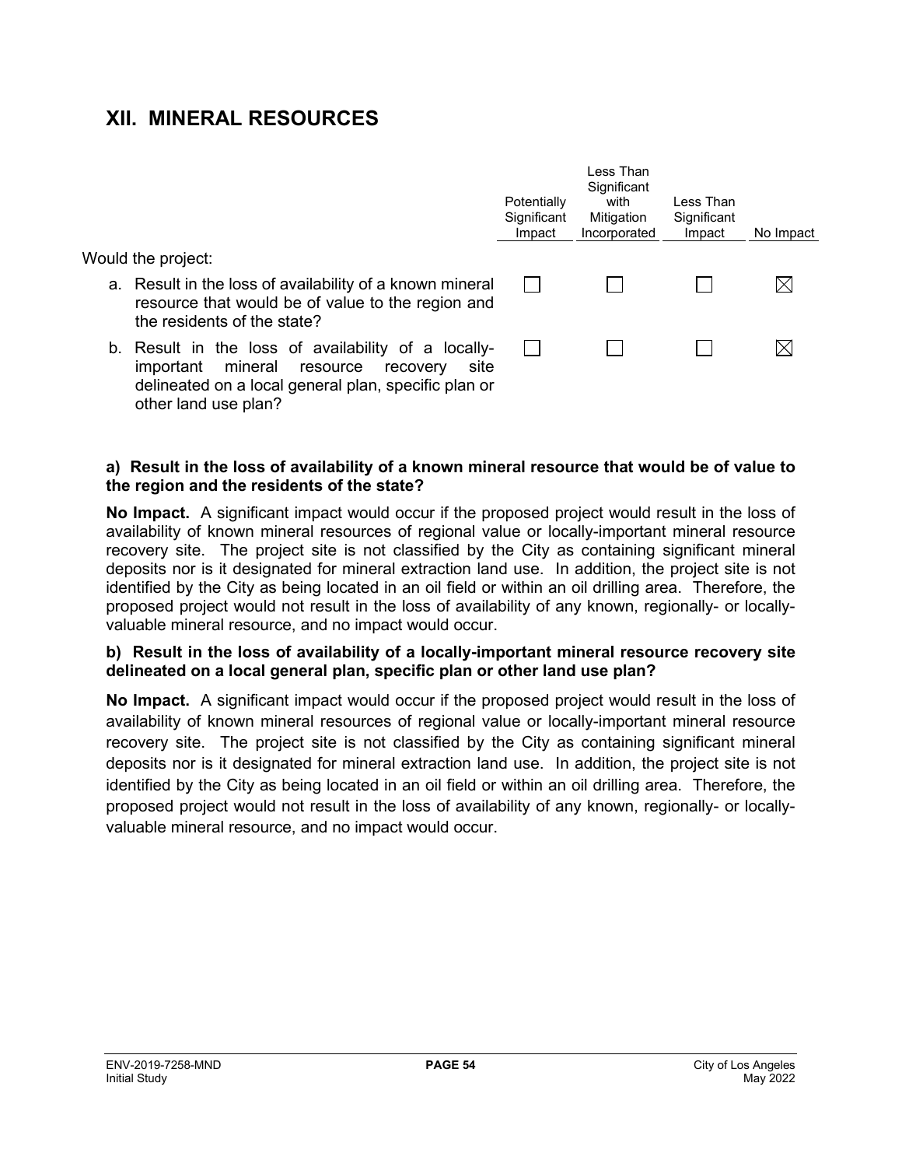## **XII. MINERAL RESOURCES**

Would the project:

- a. Result in the loss of availability of a known mineral resource that would be of value to the region and the residents of the state?
- b. Result in the loss of availability of a locallyimportant mineral resource recovery site delineated on a local general plan, specific plan or other land use plan?

| Potentially<br>Significant<br>Impact | I ess Than<br>Significant<br>with<br>Mitigation<br>Incorporated | Less Than<br>Significant<br>Impact | No Impact |
|--------------------------------------|-----------------------------------------------------------------|------------------------------------|-----------|
|                                      |                                                                 |                                    |           |
|                                      |                                                                 |                                    |           |

#### **a) Result in the loss of availability of a known mineral resource that would be of value to the region and the residents of the state?**

**No Impact.** A significant impact would occur if the proposed project would result in the loss of availability of known mineral resources of regional value or locally-important mineral resource recovery site. The project site is not classified by the City as containing significant mineral deposits nor is it designated for mineral extraction land use. In addition, the project site is not identified by the City as being located in an oil field or within an oil drilling area. Therefore, the proposed project would not result in the loss of availability of any known, regionally- or locallyvaluable mineral resource, and no impact would occur.

#### **b) Result in the loss of availability of a locally-important mineral resource recovery site delineated on a local general plan, specific plan or other land use plan?**

**No Impact.** A significant impact would occur if the proposed project would result in the loss of availability of known mineral resources of regional value or locally-important mineral resource recovery site. The project site is not classified by the City as containing significant mineral deposits nor is it designated for mineral extraction land use. In addition, the project site is not identified by the City as being located in an oil field or within an oil drilling area. Therefore, the proposed project would not result in the loss of availability of any known, regionally- or locallyvaluable mineral resource, and no impact would occur.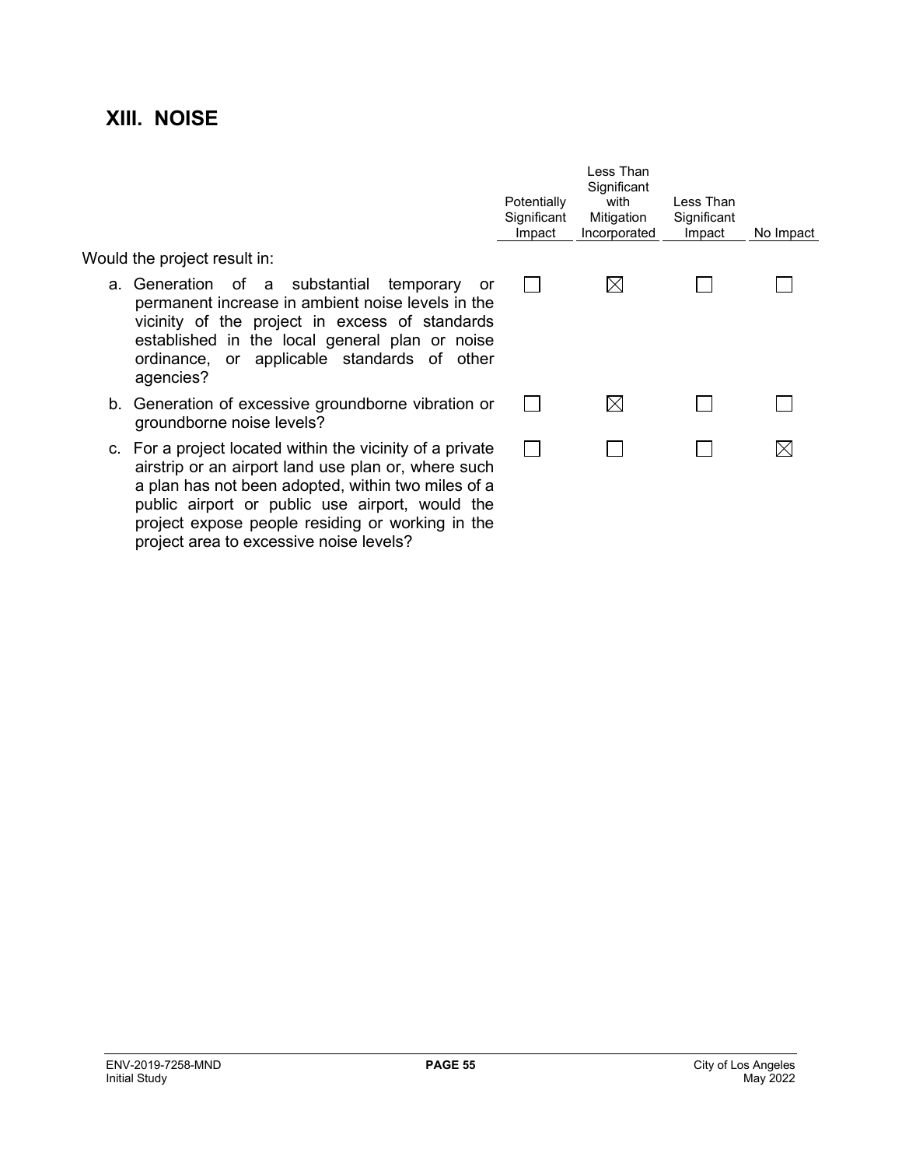## **XIII. NOISE**

|                                                                                                                                                                                                  | Potentially<br>Significant<br>Impact | Less Than<br>Significant<br>with<br>Mitigation<br>Incorporated | Less Than<br>Significant<br>Impact | No Impact |
|--------------------------------------------------------------------------------------------------------------------------------------------------------------------------------------------------|--------------------------------------|----------------------------------------------------------------|------------------------------------|-----------|
| result in:                                                                                                                                                                                       |                                      |                                                                |                                    |           |
| of a substantial temporary<br>or<br>increase in ambient noise levels in the<br>the project in excess of standards<br>I in the local general plan or noise<br>applicable standards of other<br>or |                                      | $\boxtimes$                                                    |                                    |           |
| of excessive groundborne vibration or<br>e noise levels?                                                                                                                                         |                                      |                                                                |                                    |           |
| ct located within the vicinity of a private<br>an airport land use plan or, where such                                                                                                           |                                      |                                                                |                                    |           |

Would the project

- a. Generation permanent vicinity of established ordinance, agencies?
- b. Generation groundborn
- c. For a project airstrip or a a plan has not been adopted, within two miles of a public airport or public use airport, would the project expose people residing or working in the project area to excessive noise levels?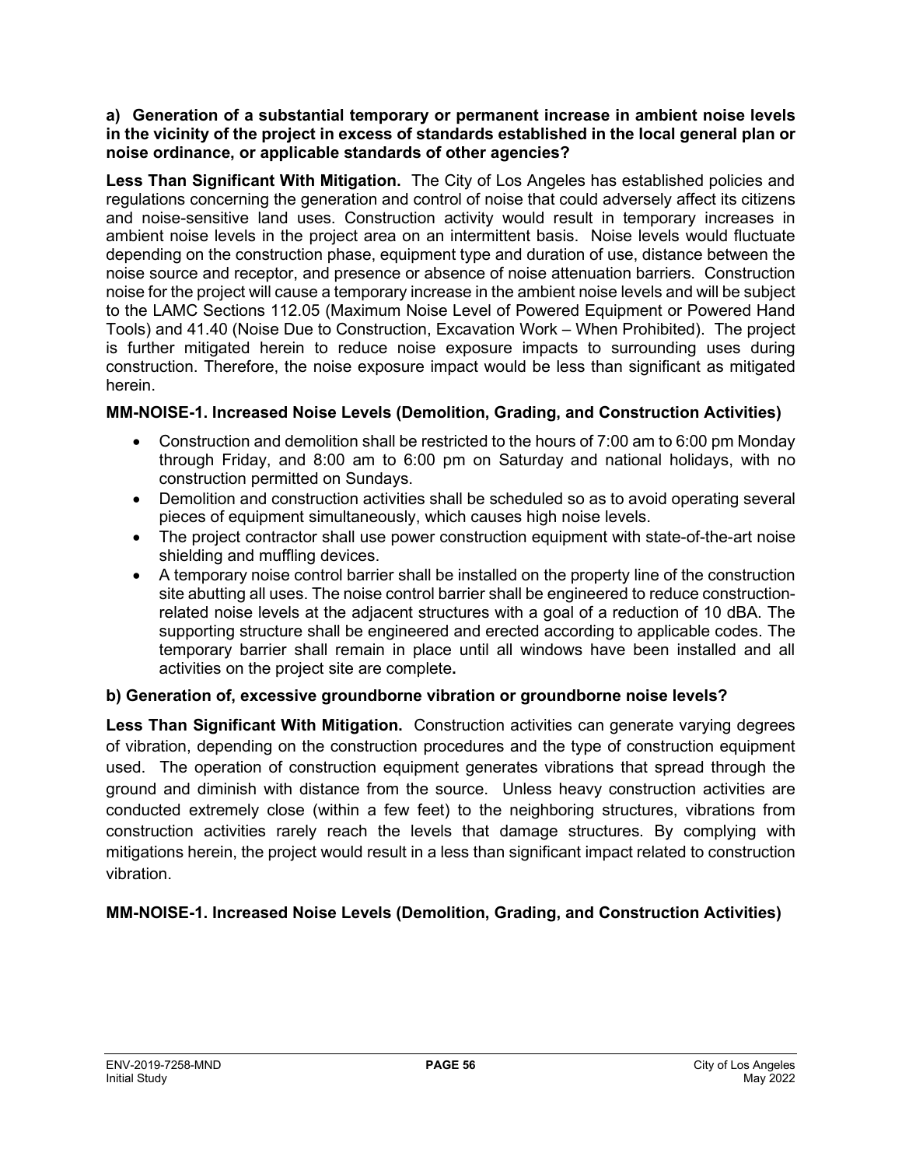#### **a) Generation of a substantial temporary or permanent increase in ambient noise levels in the vicinity of the project in excess of standards established in the local general plan or noise ordinance, or applicable standards of other agencies?**

**Less Than Significant With Mitigation.** The City of Los Angeles has established policies and regulations concerning the generation and control of noise that could adversely affect its citizens and noise-sensitive land uses. Construction activity would result in temporary increases in ambient noise levels in the project area on an intermittent basis. Noise levels would fluctuate depending on the construction phase, equipment type and duration of use, distance between the noise source and receptor, and presence or absence of noise attenuation barriers. Construction noise for the project will cause a temporary increase in the ambient noise levels and will be subject to the LAMC Sections 112.05 (Maximum Noise Level of Powered Equipment or Powered Hand Tools) and 41.40 (Noise Due to Construction, Excavation Work – When Prohibited). The project is further mitigated herein to reduce noise exposure impacts to surrounding uses during construction. Therefore, the noise exposure impact would be less than significant as mitigated herein.

## **MM-NOISE-1. Increased Noise Levels (Demolition, Grading, and Construction Activities)**

- Construction and demolition shall be restricted to the hours of 7:00 am to 6:00 pm Monday through Friday, and 8:00 am to 6:00 pm on Saturday and national holidays, with no construction permitted on Sundays.
- Demolition and construction activities shall be scheduled so as to avoid operating several pieces of equipment simultaneously, which causes high noise levels.
- The project contractor shall use power construction equipment with state-of-the-art noise shielding and muffling devices.
- A temporary noise control barrier shall be installed on the property line of the construction site abutting all uses. The noise control barrier shall be engineered to reduce constructionrelated noise levels at the adjacent structures with a goal of a reduction of 10 dBA. The supporting structure shall be engineered and erected according to applicable codes. The temporary barrier shall remain in place until all windows have been installed and all activities on the project site are complete**.**

## **b) Generation of, excessive groundborne vibration or groundborne noise levels?**

**Less Than Significant With Mitigation.** Construction activities can generate varying degrees of vibration, depending on the construction procedures and the type of construction equipment used. The operation of construction equipment generates vibrations that spread through the ground and diminish with distance from the source. Unless heavy construction activities are conducted extremely close (within a few feet) to the neighboring structures, vibrations from construction activities rarely reach the levels that damage structures. By complying with mitigations herein, the project would result in a less than significant impact related to construction vibration.

## **MM-NOISE-1. Increased Noise Levels (Demolition, Grading, and Construction Activities)**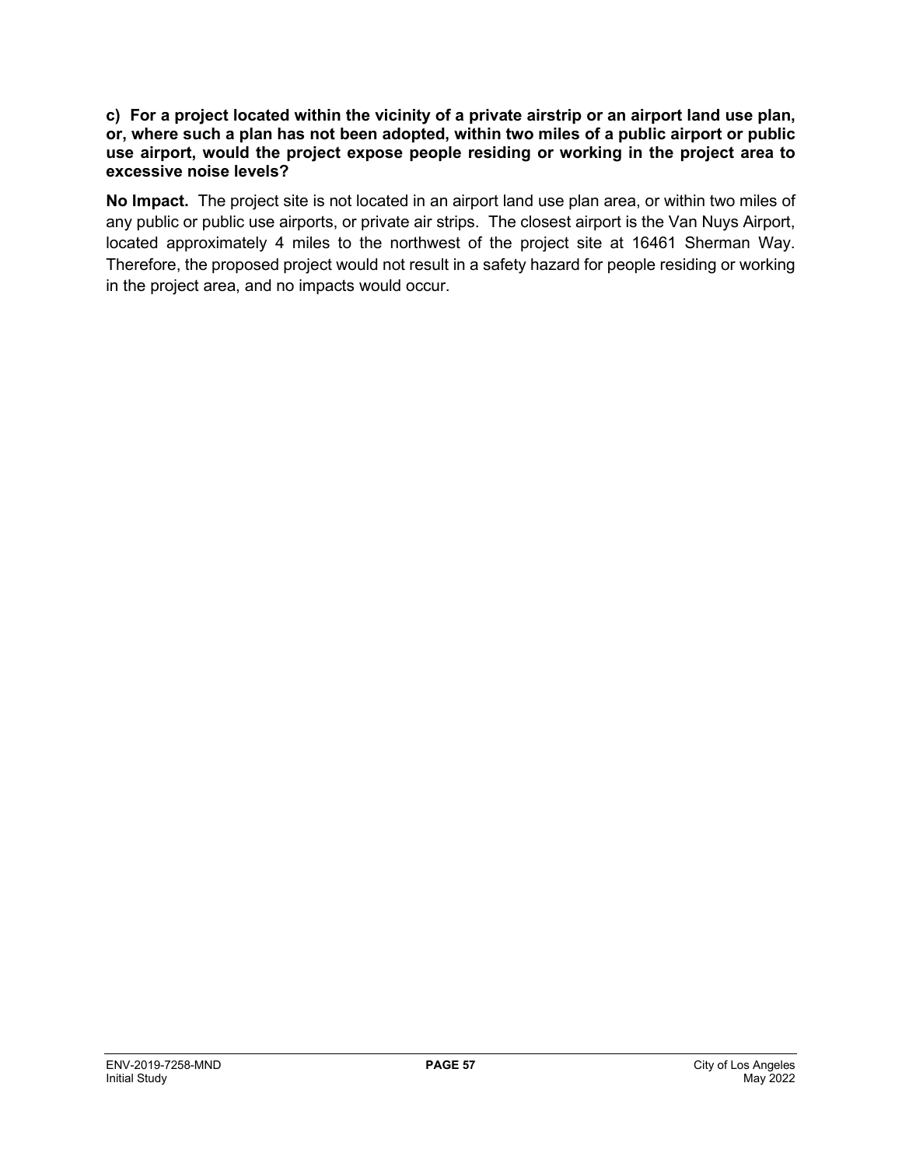#### **c) For a project located within the vicinity of a private airstrip or an airport land use plan, or, where such a plan has not been adopted, within two miles of a public airport or public use airport, would the project expose people residing or working in the project area to excessive noise levels?**

**No Impact.** The project site is not located in an airport land use plan area, or within two miles of any public or public use airports, or private air strips. The closest airport is the Van Nuys Airport, located approximately 4 miles to the northwest of the project site at 16461 Sherman Way. Therefore, the proposed project would not result in a safety hazard for people residing or working in the project area, and no impacts would occur.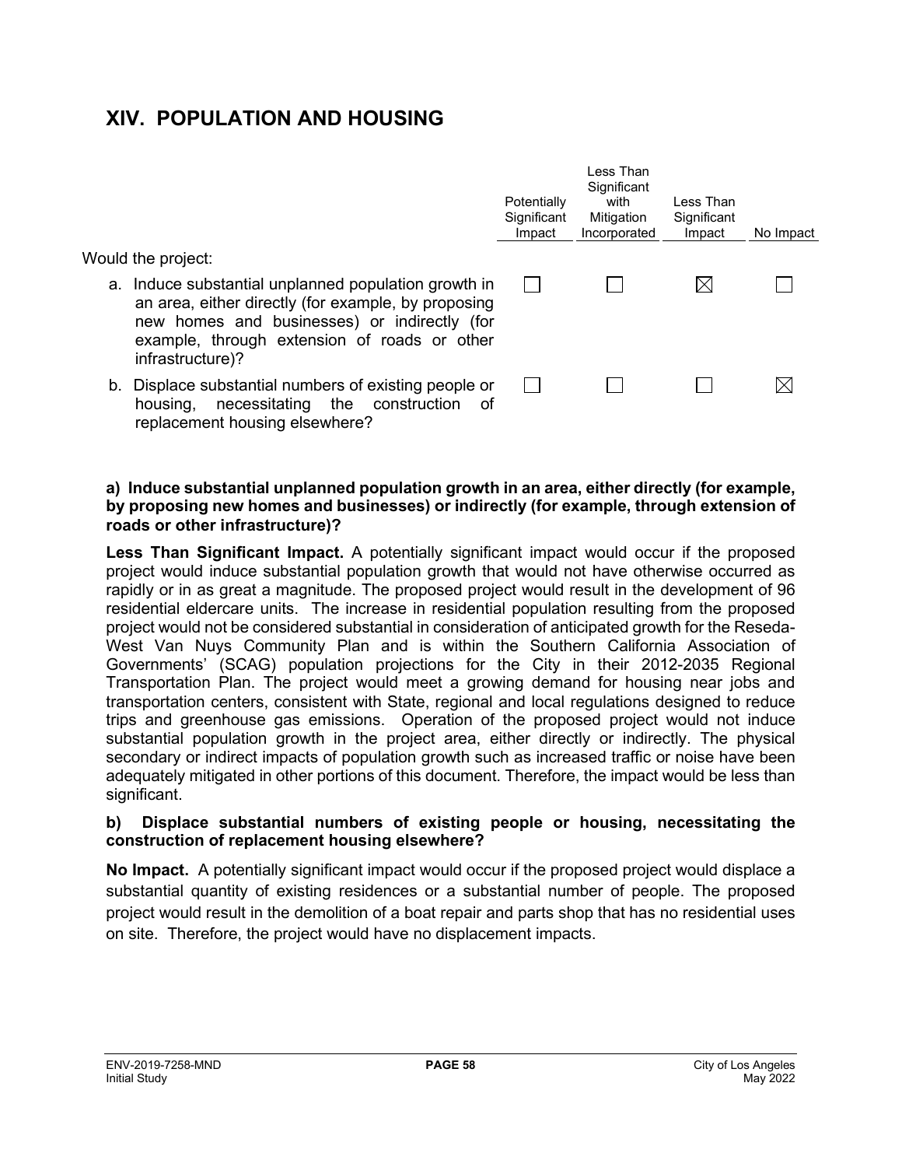## **XIV. POPULATION AND HOUSING**

Would the project:

- a. Induce substantial unplanned population growth in an area, either directly (for example, by proposing new homes and businesses) or indirectly (for example, through extension of roads or other infrastructure)?
- b. Displace substantial numbers of existing people or  $\mathbb{R}^n$ housing, necessitating the construction of replacement housing elsewhere?



Less Than **Significant** 

#### **a) Induce substantial unplanned population growth in an area, either directly (for example, by proposing new homes and businesses) or indirectly (for example, through extension of roads or other infrastructure)?**

**Less Than Significant Impact.** A potentially significant impact would occur if the proposed project would induce substantial population growth that would not have otherwise occurred as rapidly or in as great a magnitude. The proposed project would result in the development of 96 residential eldercare units. The increase in residential population resulting from the proposed project would not be considered substantial in consideration of anticipated growth for the Reseda-West Van Nuys Community Plan and is within the Southern California Association of Governments' (SCAG) population projections for the City in their 2012-2035 Regional Transportation Plan. The project would meet a growing demand for housing near jobs and transportation centers, consistent with State, regional and local regulations designed to reduce trips and greenhouse gas emissions. Operation of the proposed project would not induce substantial population growth in the project area, either directly or indirectly. The physical secondary or indirect impacts of population growth such as increased traffic or noise have been adequately mitigated in other portions of this document. Therefore, the impact would be less than significant.

#### **b) Displace substantial numbers of existing people or housing, necessitating the construction of replacement housing elsewhere?**

**No Impact.** A potentially significant impact would occur if the proposed project would displace a substantial quantity of existing residences or a substantial number of people. The proposed project would result in the demolition of a boat repair and parts shop that has no residential uses on site. Therefore, the project would have no displacement impacts.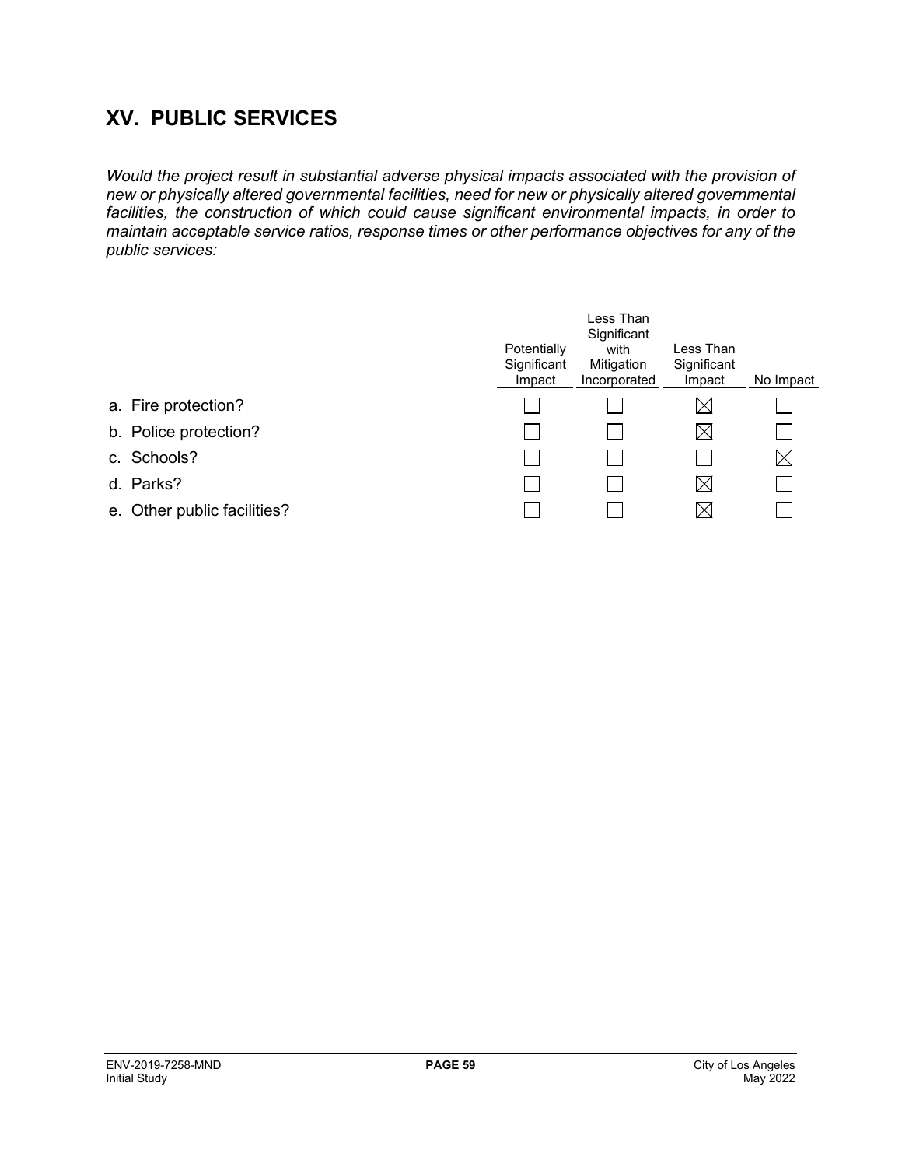## **XV. PUBLIC SERVICES**

*Would the project result in substantial adverse physical impacts associated with the provision of new or physically altered governmental facilities, need for new or physically altered governmental facilities, the construction of which could cause significant environmental impacts, in order to maintain acceptable service ratios, response times or other performance objectives for any of the public services:*

|                             | Potentially<br>Significant<br>Impact | Less Than<br>Significant<br>with<br>Mitigation<br>Incorporated | Less Than<br>Significant<br>Impact | No Impact   |
|-----------------------------|--------------------------------------|----------------------------------------------------------------|------------------------------------|-------------|
| a. Fire protection?         |                                      |                                                                | $\boxtimes$                        |             |
| b. Police protection?       |                                      |                                                                | $\boxtimes$                        |             |
| c. Schools?                 |                                      |                                                                |                                    | $\boxtimes$ |
| d. Parks?                   |                                      |                                                                | $\boxtimes$                        |             |
| e. Other public facilities? |                                      |                                                                | IХI                                |             |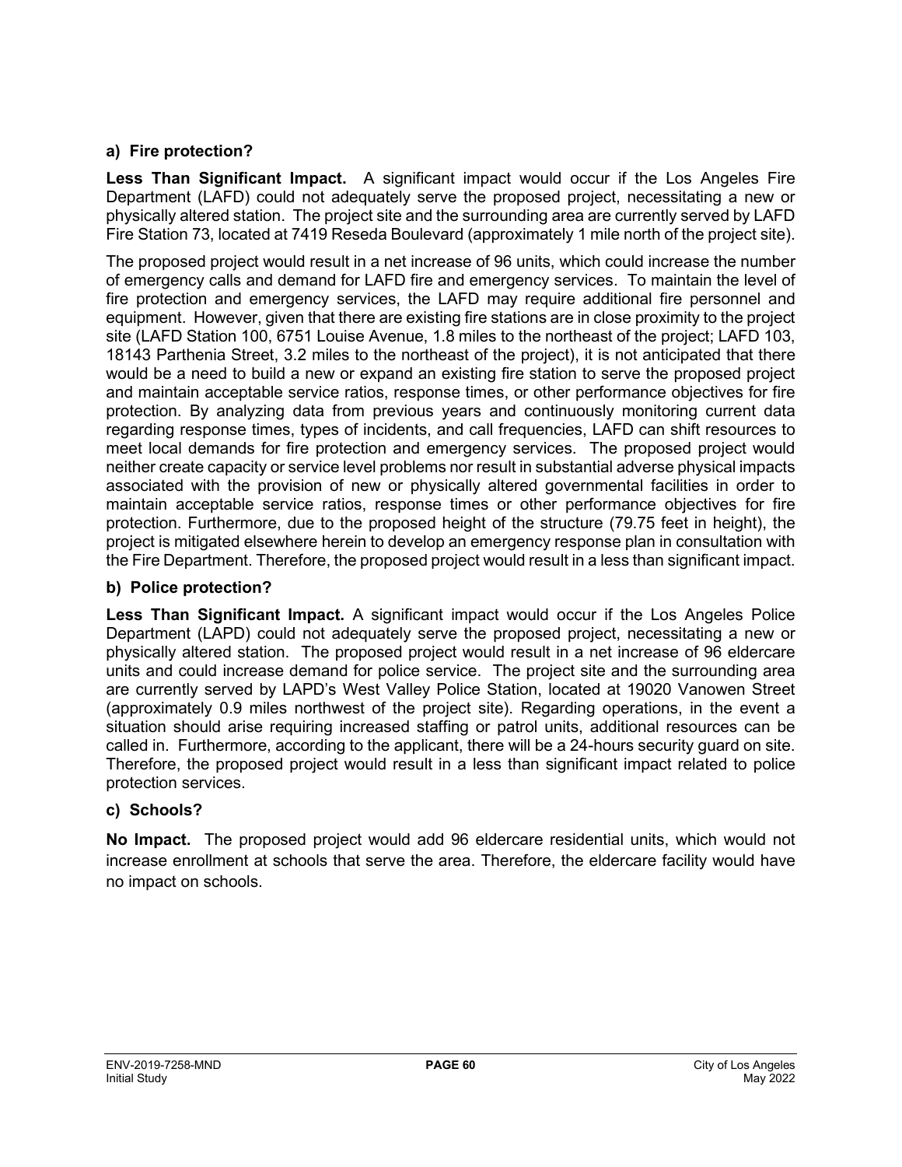## **a) Fire protection?**

**Less Than Significant Impact.** A significant impact would occur if the Los Angeles Fire Department (LAFD) could not adequately serve the proposed project, necessitating a new or physically altered station. The project site and the surrounding area are currently served by LAFD Fire Station 73, located at 7419 Reseda Boulevard (approximately 1 mile north of the project site).

The proposed project would result in a net increase of 96 units, which could increase the number of emergency calls and demand for LAFD fire and emergency services. To maintain the level of fire protection and emergency services, the LAFD may require additional fire personnel and equipment. However, given that there are existing fire stations are in close proximity to the project site (LAFD Station 100, 6751 Louise Avenue, 1.8 miles to the northeast of the project; LAFD 103, 18143 Parthenia Street, 3.2 miles to the northeast of the project), it is not anticipated that there would be a need to build a new or expand an existing fire station to serve the proposed project and maintain acceptable service ratios, response times, or other performance objectives for fire protection. By analyzing data from previous years and continuously monitoring current data regarding response times, types of incidents, and call frequencies, LAFD can shift resources to meet local demands for fire protection and emergency services. The proposed project would neither create capacity or service level problems nor result in substantial adverse physical impacts associated with the provision of new or physically altered governmental facilities in order to maintain acceptable service ratios, response times or other performance objectives for fire protection. Furthermore, due to the proposed height of the structure (79.75 feet in height), the project is mitigated elsewhere herein to develop an emergency response plan in consultation with the Fire Department. Therefore, the proposed project would result in a less than significant impact.

## **b) Police protection?**

**Less Than Significant Impact.** A significant impact would occur if the Los Angeles Police Department (LAPD) could not adequately serve the proposed project, necessitating a new or physically altered station. The proposed project would result in a net increase of 96 eldercare units and could increase demand for police service. The project site and the surrounding area are currently served by LAPD's West Valley Police Station, located at 19020 Vanowen Street (approximately 0.9 miles northwest of the project site). Regarding operations, in the event a situation should arise requiring increased staffing or patrol units, additional resources can be called in. Furthermore, according to the applicant, there will be a 24-hours security guard on site. Therefore, the proposed project would result in a less than significant impact related to police protection services.

## **c) Schools?**

**No Impact.** The proposed project would add 96 eldercare residential units, which would not increase enrollment at schools that serve the area. Therefore, the eldercare facility would have no impact on schools.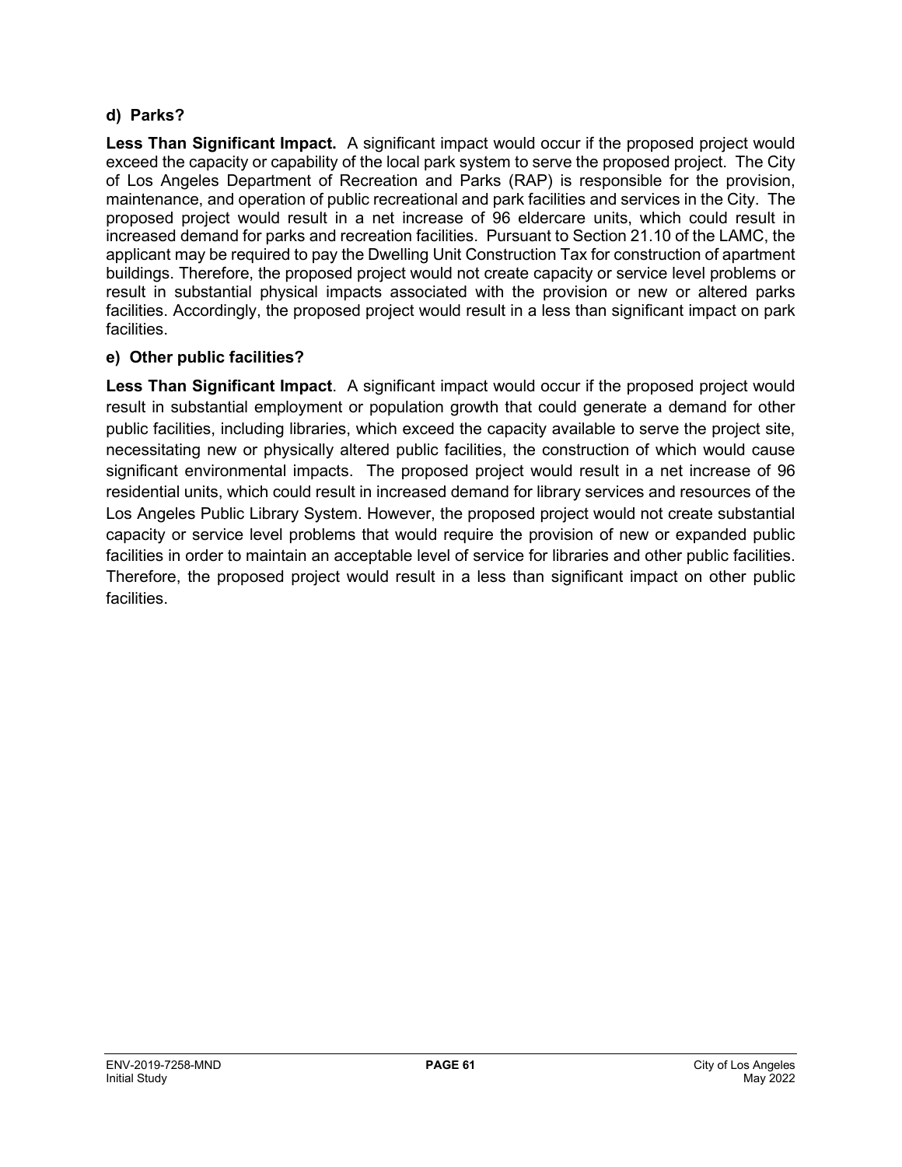### **d) Parks?**

**Less Than Significant Impact.** A significant impact would occur if the proposed project would exceed the capacity or capability of the local park system to serve the proposed project. The City of Los Angeles Department of Recreation and Parks (RAP) is responsible for the provision, maintenance, and operation of public recreational and park facilities and services in the City. The proposed project would result in a net increase of 96 eldercare units, which could result in increased demand for parks and recreation facilities. Pursuant to Section 21.10 of the LAMC, the applicant may be required to pay the Dwelling Unit Construction Tax for construction of apartment buildings. Therefore, the proposed project would not create capacity or service level problems or result in substantial physical impacts associated with the provision or new or altered parks facilities. Accordingly, the proposed project would result in a less than significant impact on park facilities.

### **e) Other public facilities?**

**Less Than Significant Impact**. A significant impact would occur if the proposed project would result in substantial employment or population growth that could generate a demand for other public facilities, including libraries, which exceed the capacity available to serve the project site, necessitating new or physically altered public facilities, the construction of which would cause significant environmental impacts. The proposed project would result in a net increase of 96 residential units, which could result in increased demand for library services and resources of the Los Angeles Public Library System. However, the proposed project would not create substantial capacity or service level problems that would require the provision of new or expanded public facilities in order to maintain an acceptable level of service for libraries and other public facilities. Therefore, the proposed project would result in a less than significant impact on other public facilities.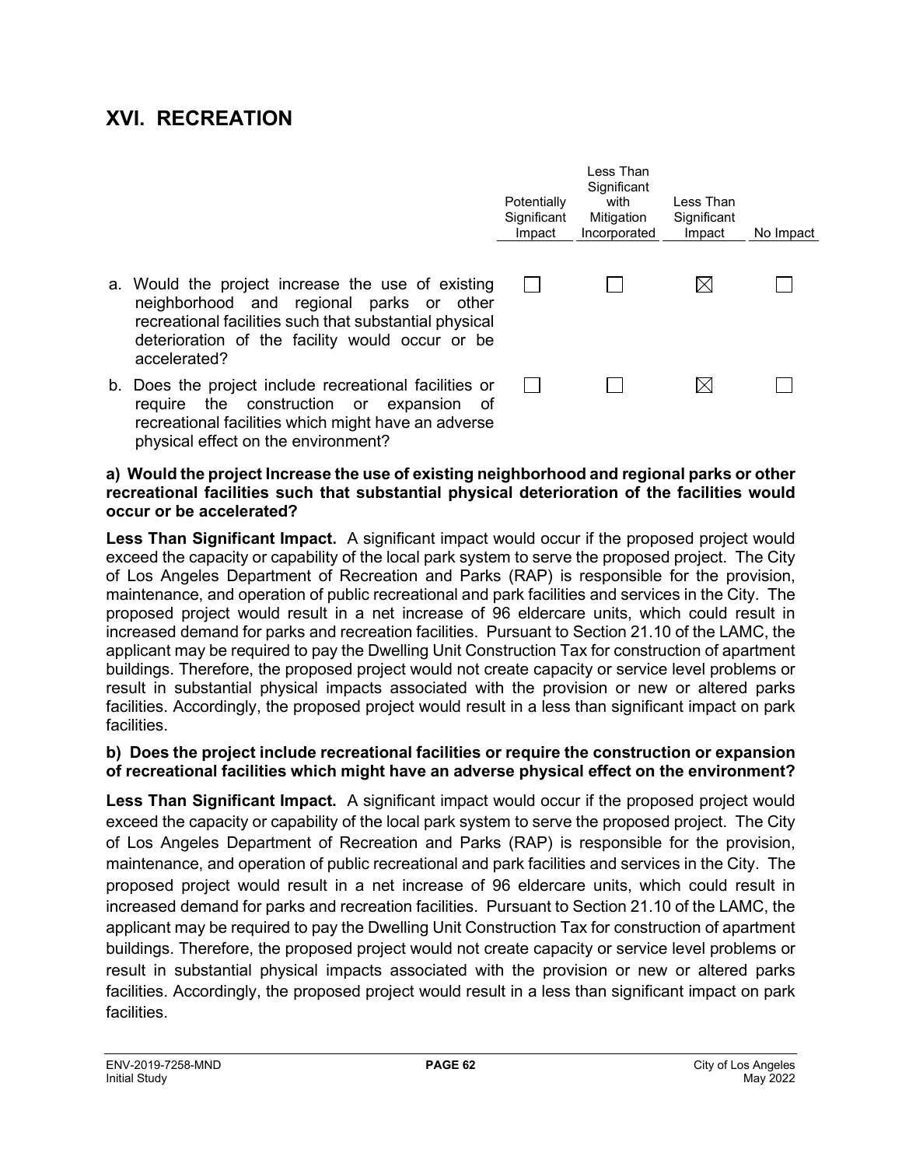## **XVI. RECREATION**

**occur or be accelerated?**

|                                                                                                                                                                                                                            | Potentially<br>Significant<br>Impact | Less Than<br>Significant<br>with<br>Mitigation<br>Incorporated | Less Than<br>Significant<br>Impact | No Impact |
|----------------------------------------------------------------------------------------------------------------------------------------------------------------------------------------------------------------------------|--------------------------------------|----------------------------------------------------------------|------------------------------------|-----------|
| a. Would the project increase the use of existing<br>neighborhood and regional parks or other<br>recreational facilities such that substantial physical<br>deterioration of the facility would occur or be<br>accelerated? |                                      |                                                                | $\boxtimes$                        |           |
| b. Does the project include recreational facilities or<br>the construction or expansion<br>require<br>ot<br>rearestianal feailities which misht have an adverse                                                            |                                      |                                                                | $\boxtimes$                        |           |

recreational facilities which might have an adverse physical effect on the environment? **a) Would the project Increase the use of existing neighborhood and regional parks or other recreational facilities such that substantial physical deterioration of the facilities would** 

**Less Than Significant Impact.** A significant impact would occur if the proposed project would exceed the capacity or capability of the local park system to serve the proposed project. The City of Los Angeles Department of Recreation and Parks (RAP) is responsible for the provision, maintenance, and operation of public recreational and park facilities and services in the City. The proposed project would result in a net increase of 96 eldercare units, which could result in increased demand for parks and recreation facilities. Pursuant to Section 21.10 of the LAMC, the applicant may be required to pay the Dwelling Unit Construction Tax for construction of apartment buildings. Therefore, the proposed project would not create capacity or service level problems or result in substantial physical impacts associated with the provision or new or altered parks facilities. Accordingly, the proposed project would result in a less than significant impact on park facilities.

#### **b) Does the project include recreational facilities or require the construction or expansion of recreational facilities which might have an adverse physical effect on the environment?**

**Less Than Significant Impact.** A significant impact would occur if the proposed project would exceed the capacity or capability of the local park system to serve the proposed project. The City of Los Angeles Department of Recreation and Parks (RAP) is responsible for the provision, maintenance, and operation of public recreational and park facilities and services in the City. The proposed project would result in a net increase of 96 eldercare units, which could result in increased demand for parks and recreation facilities. Pursuant to Section 21.10 of the LAMC, the applicant may be required to pay the Dwelling Unit Construction Tax for construction of apartment buildings. Therefore, the proposed project would not create capacity or service level problems or result in substantial physical impacts associated with the provision or new or altered parks facilities. Accordingly, the proposed project would result in a less than significant impact on park facilities.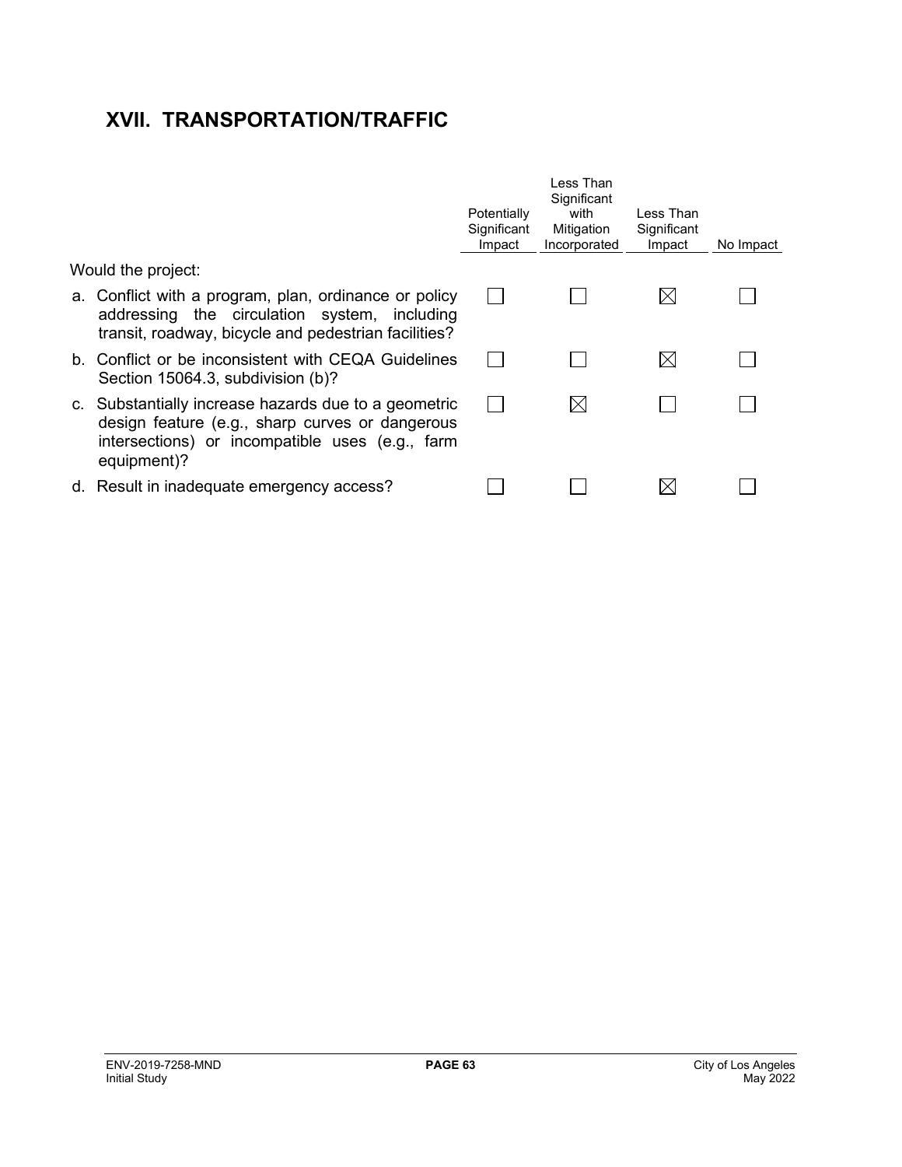# **XVII. TRANSPORTATION/TRAFFIC**

|                                                                                                                                                                           | Potentially<br>Significant<br>Impact | l ess Than<br>Significant<br>with<br>Mitigation<br>Incorporated | Less Than<br>Significant<br>Impact | No Impact |
|---------------------------------------------------------------------------------------------------------------------------------------------------------------------------|--------------------------------------|-----------------------------------------------------------------|------------------------------------|-----------|
| Would the project:                                                                                                                                                        |                                      |                                                                 |                                    |           |
| a. Conflict with a program, plan, ordinance or policy<br>addressing the circulation system, including<br>transit, roadway, bicycle and pedestrian facilities?             |                                      |                                                                 | $\boxtimes$                        |           |
| b. Conflict or be inconsistent with CEQA Guidelines<br>Section 15064.3, subdivision (b)?                                                                                  |                                      |                                                                 | $\boxtimes$                        |           |
| c. Substantially increase hazards due to a geometric<br>design feature (e.g., sharp curves or dangerous<br>intersections) or incompatible uses (e.g., farm<br>equipment)? |                                      |                                                                 |                                    |           |
| d. Result in inadequate emergency access?                                                                                                                                 |                                      |                                                                 |                                    |           |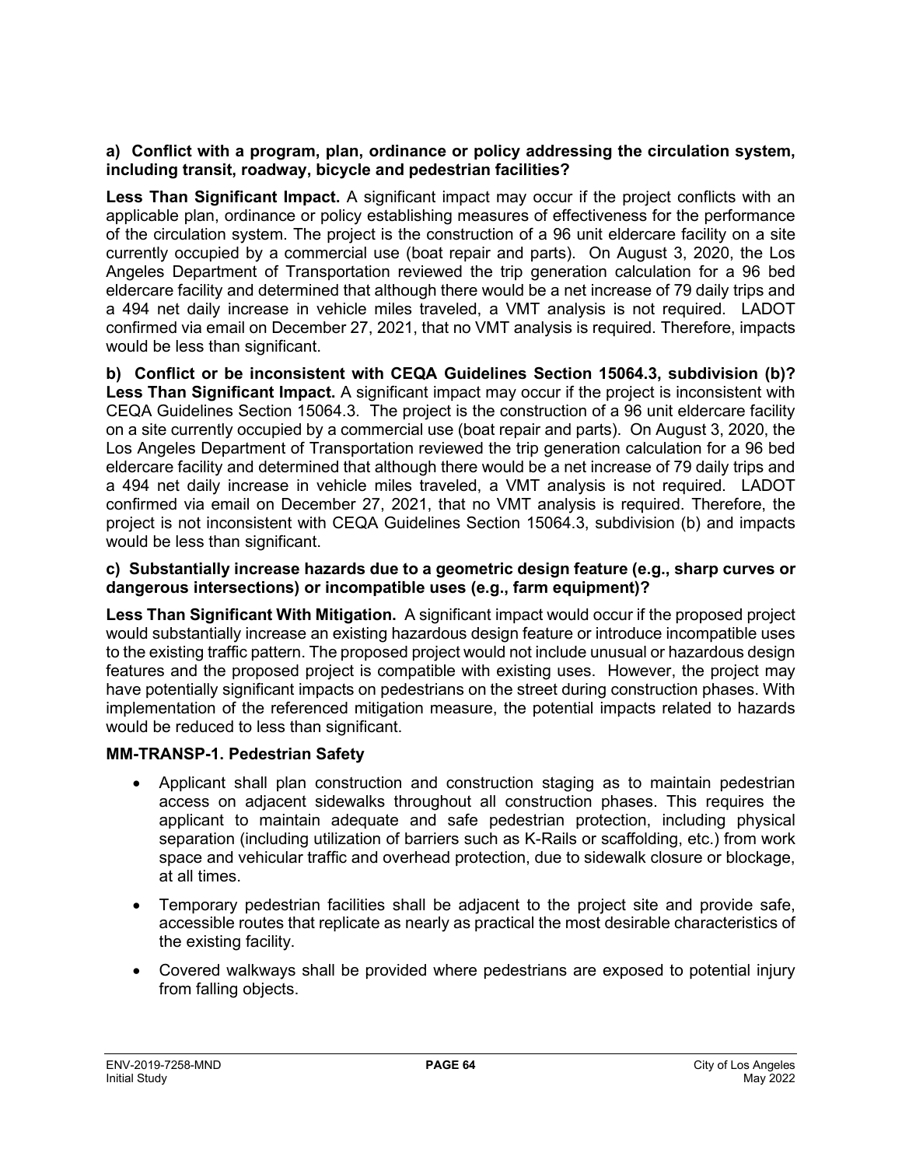#### **a) Conflict with a program, plan, ordinance or policy addressing the circulation system, including transit, roadway, bicycle and pedestrian facilities?**

**Less Than Significant Impact.** A significant impact may occur if the project conflicts with an applicable plan, ordinance or policy establishing measures of effectiveness for the performance of the circulation system. The project is the construction of a 96 unit eldercare facility on a site currently occupied by a commercial use (boat repair and parts). On August 3, 2020, the Los Angeles Department of Transportation reviewed the trip generation calculation for a 96 bed eldercare facility and determined that although there would be a net increase of 79 daily trips and a 494 net daily increase in vehicle miles traveled, a VMT analysis is not required. LADOT confirmed via email on December 27, 2021, that no VMT analysis is required. Therefore, impacts would be less than significant.

**b) Conflict or be inconsistent with CEQA Guidelines Section 15064.3, subdivision (b)? Less Than Significant Impact.** A significant impact may occur if the project is inconsistent with CEQA Guidelines Section 15064.3. The project is the construction of a 96 unit eldercare facility on a site currently occupied by a commercial use (boat repair and parts). On August 3, 2020, the Los Angeles Department of Transportation reviewed the trip generation calculation for a 96 bed eldercare facility and determined that although there would be a net increase of 79 daily trips and a 494 net daily increase in vehicle miles traveled, a VMT analysis is not required. LADOT confirmed via email on December 27, 2021, that no VMT analysis is required. Therefore, the project is not inconsistent with CEQA Guidelines Section 15064.3, subdivision (b) and impacts would be less than significant.

#### **c) Substantially increase hazards due to a geometric design feature (e.g., sharp curves or dangerous intersections) or incompatible uses (e.g., farm equipment)?**

**Less Than Significant With Mitigation.** A significant impact would occur if the proposed project would substantially increase an existing hazardous design feature or introduce incompatible uses to the existing traffic pattern. The proposed project would not include unusual or hazardous design features and the proposed project is compatible with existing uses. However, the project may have potentially significant impacts on pedestrians on the street during construction phases. With implementation of the referenced mitigation measure, the potential impacts related to hazards would be reduced to less than significant.

## **MM-TRANSP-1. Pedestrian Safety**

- Applicant shall plan construction and construction staging as to maintain pedestrian access on adjacent sidewalks throughout all construction phases. This requires the applicant to maintain adequate and safe pedestrian protection, including physical separation (including utilization of barriers such as K-Rails or scaffolding, etc.) from work space and vehicular traffic and overhead protection, due to sidewalk closure or blockage, at all times.
- Temporary pedestrian facilities shall be adjacent to the project site and provide safe, accessible routes that replicate as nearly as practical the most desirable characteristics of the existing facility.
- Covered walkways shall be provided where pedestrians are exposed to potential injury from falling objects.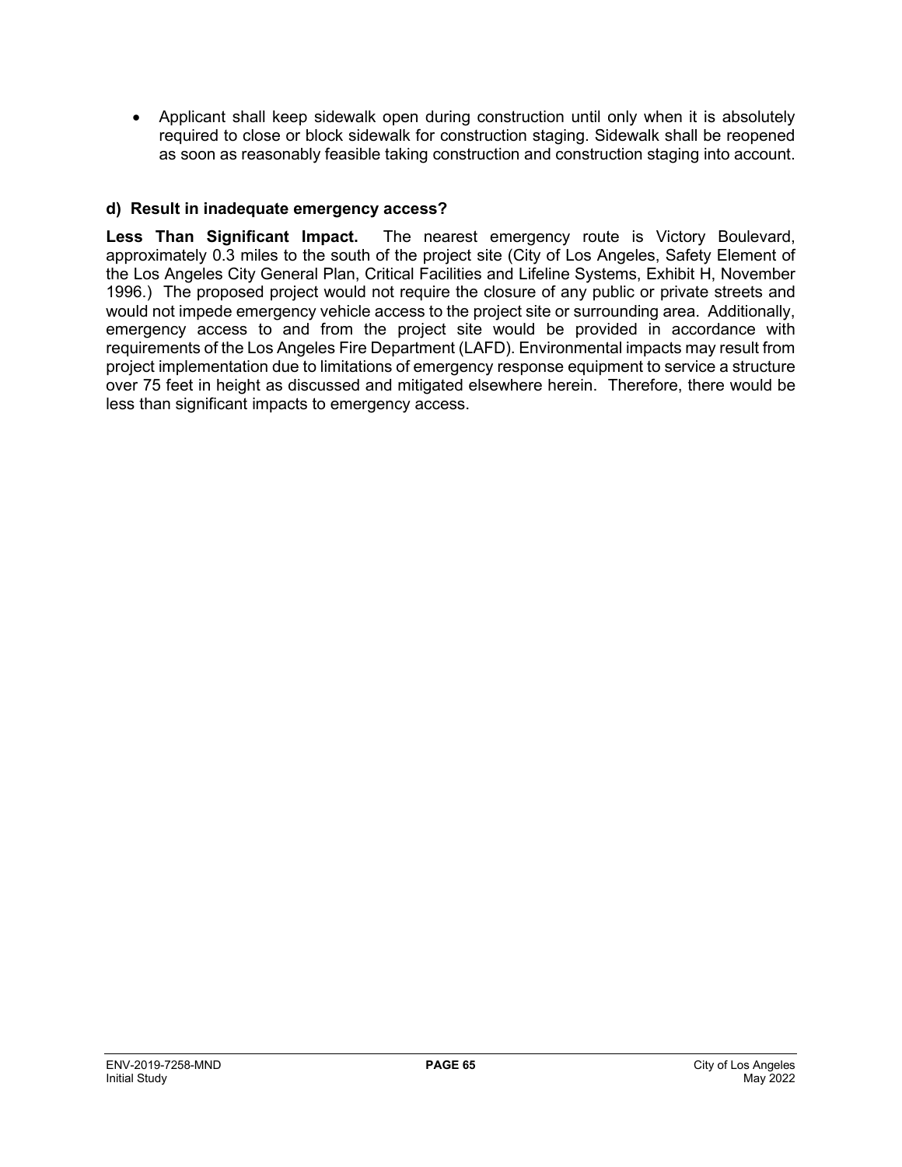• Applicant shall keep sidewalk open during construction until only when it is absolutely required to close or block sidewalk for construction staging. Sidewalk shall be reopened as soon as reasonably feasible taking construction and construction staging into account.

#### **d) Result in inadequate emergency access?**

**Less Than Significant Impact.** The nearest emergency route is Victory Boulevard, approximately 0.3 miles to the south of the project site (City of Los Angeles, Safety Element of the Los Angeles City General Plan, Critical Facilities and Lifeline Systems, Exhibit H, November 1996.) The proposed project would not require the closure of any public or private streets and would not impede emergency vehicle access to the project site or surrounding area. Additionally, emergency access to and from the project site would be provided in accordance with requirements of the Los Angeles Fire Department (LAFD). Environmental impacts may result from project implementation due to limitations of emergency response equipment to service a structure over 75 feet in height as discussed and mitigated elsewhere herein. Therefore, there would be less than significant impacts to emergency access.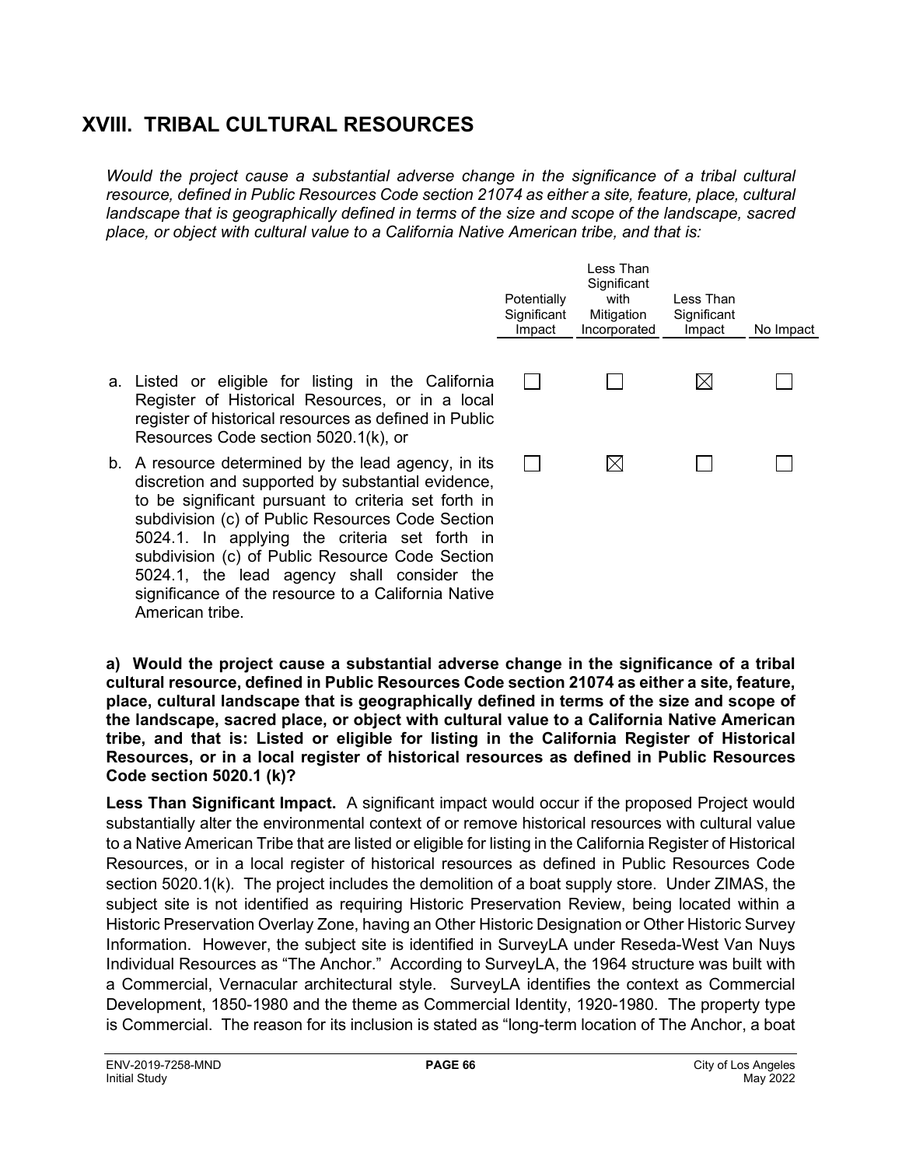## **XVIII. TRIBAL CULTURAL RESOURCES**

*Would the project cause a substantial adverse change in the significance of a tribal cultural resource, defined in Public Resources Code section 21074 as either a site, feature, place, cultural landscape that is geographically defined in terms of the size and scope of the landscape, sacred place, or object with cultural value to a California Native American tribe, and that is:* 

|                                                                                                                                                                                                                                                                                                                                                                                                                              | Potentially<br>Significant<br>Impact | Less Than<br>Significant<br>with<br>Mitigation<br>Incorporated | Less Than<br>Significant<br>Impact | No Impact |
|------------------------------------------------------------------------------------------------------------------------------------------------------------------------------------------------------------------------------------------------------------------------------------------------------------------------------------------------------------------------------------------------------------------------------|--------------------------------------|----------------------------------------------------------------|------------------------------------|-----------|
| a. Listed or eligible for listing in the California<br>Register of Historical Resources, or in a local<br>register of historical resources as defined in Public<br>Resources Code section 5020.1(k), or                                                                                                                                                                                                                      |                                      |                                                                | $\bowtie$                          |           |
| b. A resource determined by the lead agency, in its<br>discretion and supported by substantial evidence,<br>to be significant pursuant to criteria set forth in<br>subdivision (c) of Public Resources Code Section<br>5024.1. In applying the criteria set forth in<br>subdivision (c) of Public Resource Code Section<br>5024.1, the lead agency shall consider the<br>significance of the resource to a California Native |                                      | $\boxtimes$                                                    |                                    |           |

**a) Would the project cause a substantial adverse change in the significance of a tribal cultural resource, defined in Public Resources Code section 21074 as either a site, feature, place, cultural landscape that is geographically defined in terms of the size and scope of the landscape, sacred place, or object with cultural value to a California Native American tribe, and that is: Listed or eligible for listing in the California Register of Historical Resources, or in a local register of historical resources as defined in Public Resources Code section 5020.1 (k)?**

**Less Than Significant Impact.** A significant impact would occur if the proposed Project would substantially alter the environmental context of or remove historical resources with cultural value to a Native American Tribe that are listed or eligible for listing in the California Register of Historical Resources, or in a local register of historical resources as defined in Public Resources Code section 5020.1(k). The project includes the demolition of a boat supply store. Under ZIMAS, the subject site is not identified as requiring Historic Preservation Review, being located within a Historic Preservation Overlay Zone, having an Other Historic Designation or Other Historic Survey Information. However, the subject site is identified in SurveyLA under Reseda-West Van Nuys Individual Resources as "The Anchor." According to SurveyLA, the 1964 structure was built with a Commercial, Vernacular architectural style. SurveyLA identifies the context as Commercial Development, 1850-1980 and the theme as Commercial Identity, 1920-1980. The property type is Commercial. The reason for its inclusion is stated as "long-term location of The Anchor, a boat

American tribe.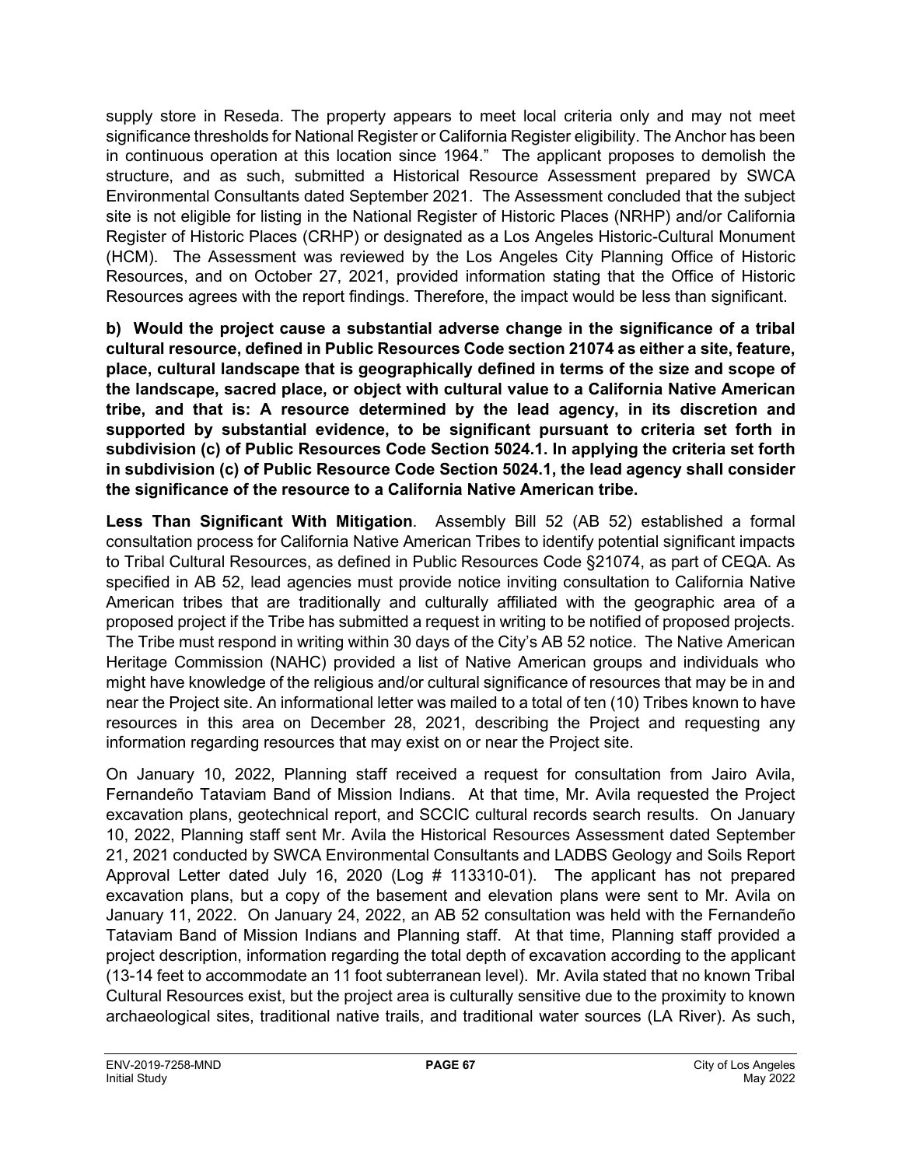supply store in Reseda. The property appears to meet local criteria only and may not meet significance thresholds for National Register or California Register eligibility. The Anchor has been in continuous operation at this location since 1964." The applicant proposes to demolish the structure, and as such, submitted a Historical Resource Assessment prepared by SWCA Environmental Consultants dated September 2021. The Assessment concluded that the subject site is not eligible for listing in the National Register of Historic Places (NRHP) and/or California Register of Historic Places (CRHP) or designated as a Los Angeles Historic-Cultural Monument (HCM). The Assessment was reviewed by the Los Angeles City Planning Office of Historic Resources, and on October 27, 2021, provided information stating that the Office of Historic Resources agrees with the report findings. Therefore, the impact would be less than significant.

**b) Would the project cause a substantial adverse change in the significance of a tribal cultural resource, defined in Public Resources Code section 21074 as either a site, feature, place, cultural landscape that is geographically defined in terms of the size and scope of the landscape, sacred place, or object with cultural value to a California Native American tribe, and that is: A resource determined by the lead agency, in its discretion and supported by substantial evidence, to be significant pursuant to criteria set forth in subdivision (c) of Public Resources Code Section 5024.1. In applying the criteria set forth in subdivision (c) of Public Resource Code Section 5024.1, the lead agency shall consider the significance of the resource to a California Native American tribe.**

**Less Than Significant With Mitigation**. Assembly Bill 52 (AB 52) established a formal consultation process for California Native American Tribes to identify potential significant impacts to Tribal Cultural Resources, as defined in Public Resources Code §21074, as part of CEQA. As specified in AB 52, lead agencies must provide notice inviting consultation to California Native American tribes that are traditionally and culturally affiliated with the geographic area of a proposed project if the Tribe has submitted a request in writing to be notified of proposed projects. The Tribe must respond in writing within 30 days of the City's AB 52 notice. The Native American Heritage Commission (NAHC) provided a list of Native American groups and individuals who might have knowledge of the religious and/or cultural significance of resources that may be in and near the Project site. An informational letter was mailed to a total of ten (10) Tribes known to have resources in this area on December 28, 2021, describing the Project and requesting any information regarding resources that may exist on or near the Project site.

On January 10, 2022, Planning staff received a request for consultation from Jairo Avila, Fernandeño Tataviam Band of Mission Indians. At that time, Mr. Avila requested the Project excavation plans, geotechnical report, and SCCIC cultural records search results. On January 10, 2022, Planning staff sent Mr. Avila the Historical Resources Assessment dated September 21, 2021 conducted by SWCA Environmental Consultants and LADBS Geology and Soils Report Approval Letter dated July 16, 2020 (Log # 113310-01). The applicant has not prepared excavation plans, but a copy of the basement and elevation plans were sent to Mr. Avila on January 11, 2022. On January 24, 2022, an AB 52 consultation was held with the Fernandeño Tataviam Band of Mission Indians and Planning staff. At that time, Planning staff provided a project description, information regarding the total depth of excavation according to the applicant (13-14 feet to accommodate an 11 foot subterranean level). Mr. Avila stated that no known Tribal Cultural Resources exist, but the project area is culturally sensitive due to the proximity to known archaeological sites, traditional native trails, and traditional water sources (LA River). As such,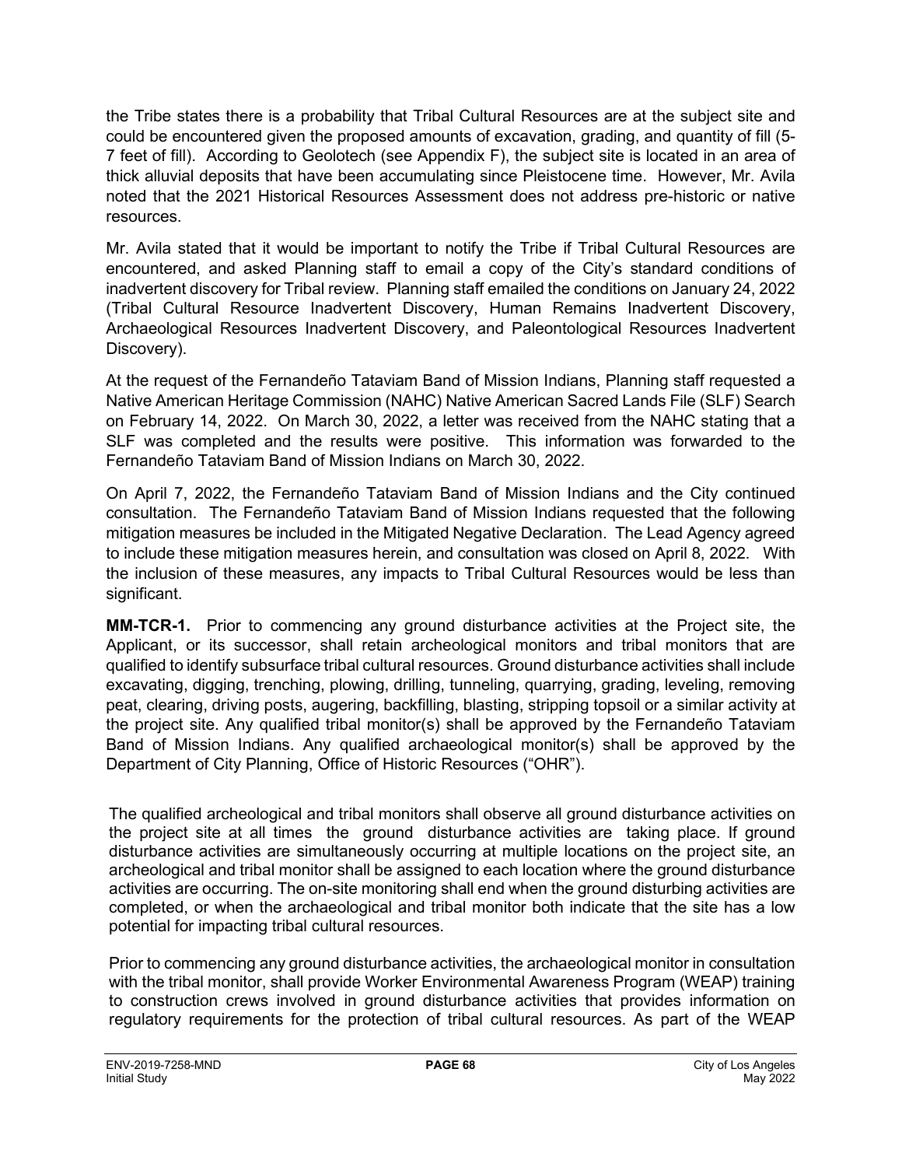the Tribe states there is a probability that Tribal Cultural Resources are at the subject site and could be encountered given the proposed amounts of excavation, grading, and quantity of fill (5- 7 feet of fill). According to Geolotech (see Appendix F), the subject site is located in an area of thick alluvial deposits that have been accumulating since Pleistocene time. However, Mr. Avila noted that the 2021 Historical Resources Assessment does not address pre-historic or native resources.

Mr. Avila stated that it would be important to notify the Tribe if Tribal Cultural Resources are encountered, and asked Planning staff to email a copy of the City's standard conditions of inadvertent discovery for Tribal review. Planning staff emailed the conditions on January 24, 2022 (Tribal Cultural Resource Inadvertent Discovery, Human Remains Inadvertent Discovery, Archaeological Resources Inadvertent Discovery, and Paleontological Resources Inadvertent Discovery).

At the request of the Fernandeño Tataviam Band of Mission Indians, Planning staff requested a Native American Heritage Commission (NAHC) Native American Sacred Lands File (SLF) Search on February 14, 2022. On March 30, 2022, a letter was received from the NAHC stating that a SLF was completed and the results were positive. This information was forwarded to the Fernandeño Tataviam Band of Mission Indians on March 30, 2022.

On April 7, 2022, the Fernandeño [Tataviam Band of Mission Indians](https://ladcp-my.sharepoint.com/personal/laura_frazinsteele_plan4la_org/Documents/Documents/Sample%20Deeming%20Cases%20Complete%20Letters/Sample%20Application%20Deemed%20Complete.docx?web=1) and the City continued consultation. The Fernandeño Tataviam Band of Mission Indians requested that the following mitigation measures be included in the Mitigated Negative Declaration. The Lead Agency agreed to include these mitigation measures herein, and consultation was closed on April 8, 2022. With the inclusion of these measures, any impacts to Tribal Cultural Resources would be less than significant.

**MM-TCR-1.** Prior to commencing any ground disturbance activities at the Project site, the Applicant, or its successor, shall retain archeological monitors and tribal monitors that are qualified to identify subsurface tribal cultural resources. Ground disturbance activities shall include excavating, digging, trenching, plowing, drilling, tunneling, quarrying, grading, leveling, removing peat, clearing, driving posts, augering, backfilling, blasting, stripping topsoil or a similar activity at the project site. Any qualified tribal monitor(s) shall be approved by the Fernandeño Tataviam Band of Mission Indians. Any qualified archaeological monitor(s) shall be approved by the Department of City Planning, Office of Historic Resources ("OHR").

The qualified archeological and tribal monitors shall observe all ground disturbance activities on the project site at all times the ground disturbance activities are taking place. If ground disturbance activities are simultaneously occurring at multiple locations on the project site, an archeological and tribal monitor shall be assigned to each location where the ground disturbance activities are occurring. The on-site monitoring shall end when the ground disturbing activities are completed, or when the archaeological and tribal monitor both indicate that the site has a low potential for impacting tribal cultural resources.

Prior to commencing any ground disturbance activities, the archaeological monitor in consultation with the tribal monitor, shall provide Worker Environmental Awareness Program (WEAP) training to construction crews involved in ground disturbance activities that provides information on regulatory requirements for the protection of tribal cultural resources. As part of the WEAP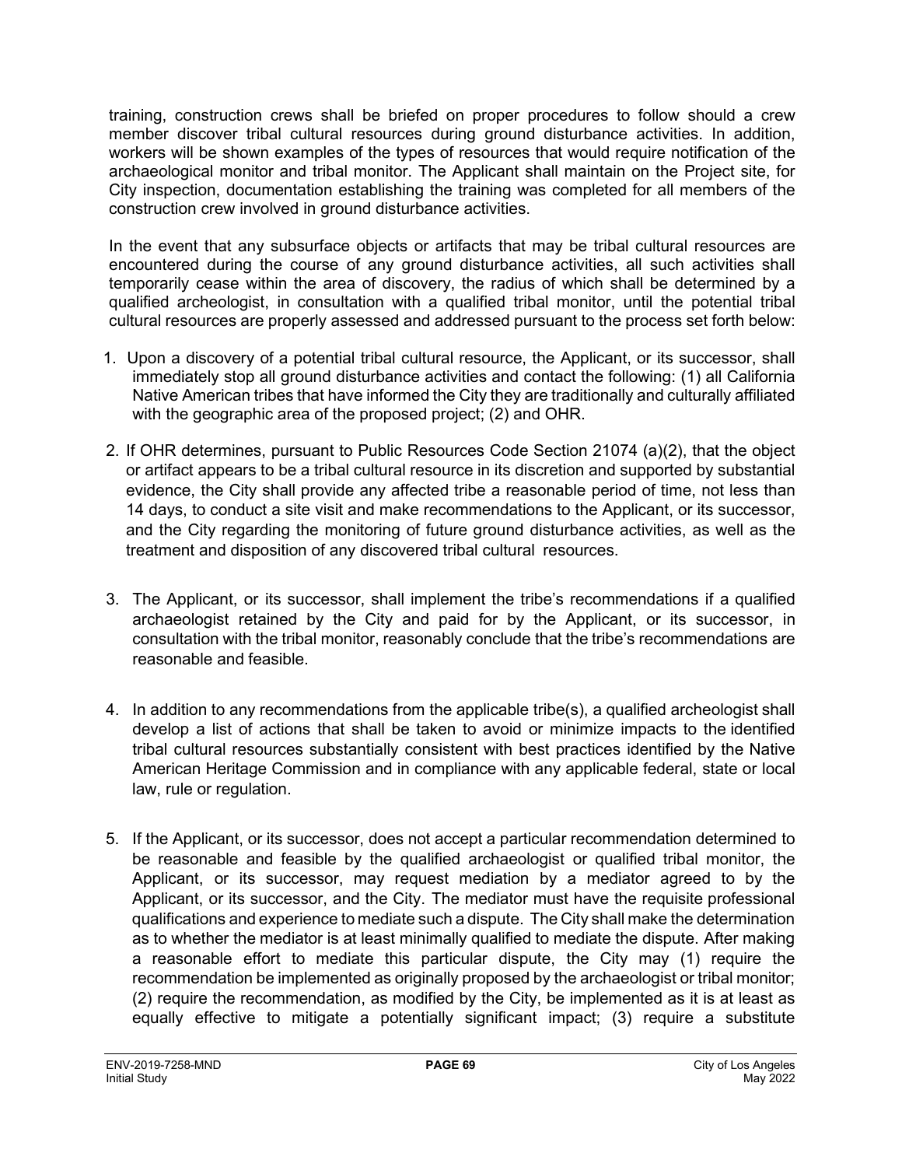training, construction crews shall be briefed on proper procedures to follow should a crew member discover tribal cultural resources during ground disturbance activities. In addition, workers will be shown examples of the types of resources that would require notification of the archaeological monitor and tribal monitor. The Applicant shall maintain on the Project site, for City inspection, documentation establishing the training was completed for all members of the construction crew involved in ground disturbance activities.

In the event that any subsurface objects or artifacts that may be tribal cultural resources are encountered during the course of any ground disturbance activities, all such activities shall temporarily cease within the area of discovery, the radius of which shall be determined by a qualified archeologist, in consultation with a qualified tribal monitor, until the potential tribal cultural resources are properly assessed and addressed pursuant to the process set forth below:

- 1. Upon a discovery of a potential tribal cultural resource, the Applicant, or its successor, shall immediately stop all ground disturbance activities and contact the following: (1) all California Native American tribes that have informed the City they are traditionally and culturally affiliated with the geographic area of the proposed project; (2) and OHR.
- 2. If OHR determines, pursuant to Public Resources Code Section 21074 (a)(2), that the object or artifact appears to be a tribal cultural resource in its discretion and supported by substantial evidence, the City shall provide any affected tribe a reasonable period of time, not less than 14 days, to conduct a site visit and make recommendations to the Applicant, or its successor, and the City regarding the monitoring of future ground disturbance activities, as well as the treatment and disposition of any discovered tribal cultural resources.
- 3. The Applicant, or its successor, shall implement the tribe's recommendations if a qualified archaeologist retained by the City and paid for by the Applicant, or its successor, in consultation with the tribal monitor, reasonably conclude that the tribe's recommendations are reasonable and feasible.
- 4. In addition to any recommendations from the applicable tribe(s), a qualified archeologist shall develop a list of actions that shall be taken to avoid or minimize impacts to the identified tribal cultural resources substantially consistent with best practices identified by the Native American Heritage Commission and in compliance with any applicable federal, state or local law, rule or regulation.
- 5. If the Applicant, or its successor, does not accept a particular recommendation determined to be reasonable and feasible by the qualified archaeologist or qualified tribal monitor, the Applicant, or its successor, may request mediation by a mediator agreed to by the Applicant, or its successor, and the City. The mediator must have the requisite professional qualifications and experience to mediate such a dispute. The City shall make the determination as to whether the mediator is at least minimally qualified to mediate the dispute. After making a reasonable effort to mediate this particular dispute, the City may (1) require the recommendation be implemented as originally proposed by the archaeologist or tribal monitor; (2) require the recommendation, as modified by the City, be implemented as it is at least as equally effective to mitigate a potentially significant impact; (3) require a substitute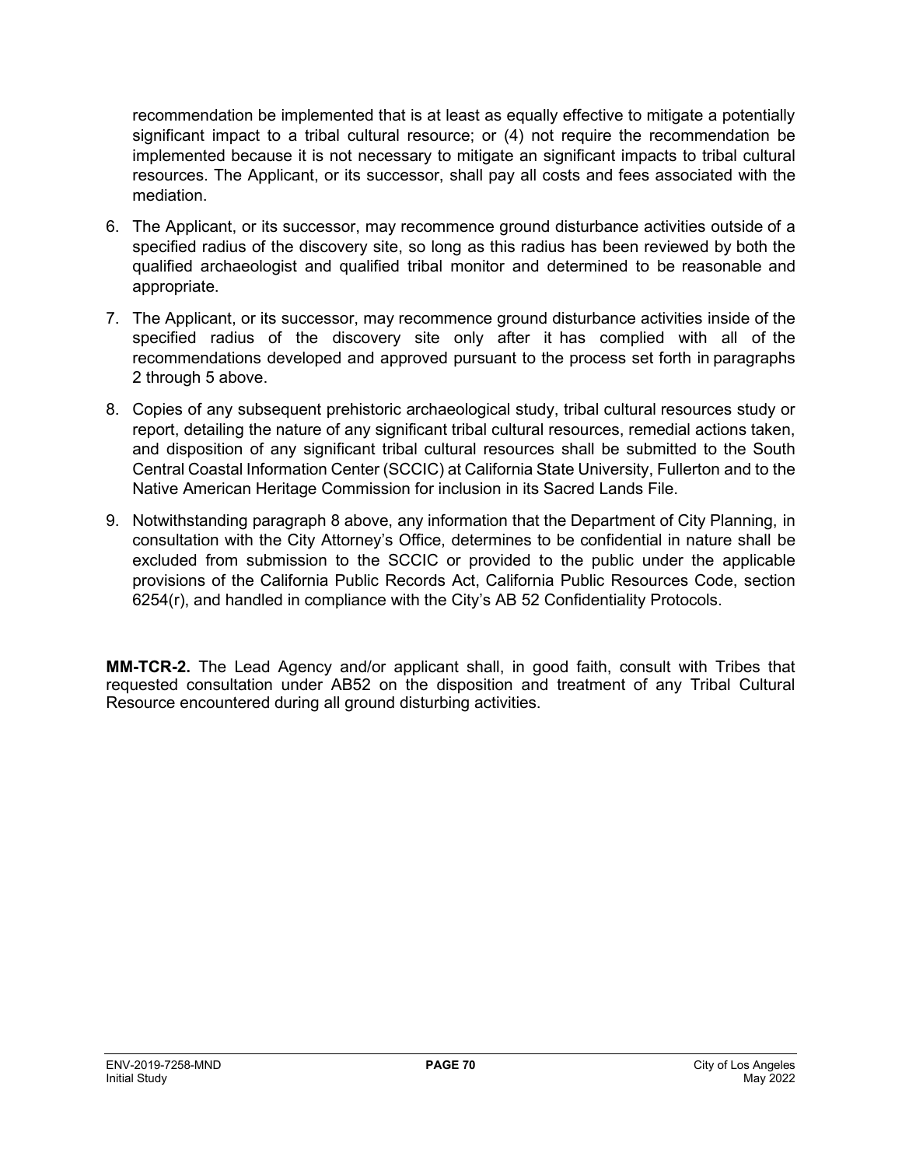recommendation be implemented that is at least as equally effective to mitigate a potentially significant impact to a tribal cultural resource; or (4) not require the recommendation be implemented because it is not necessary to mitigate an significant impacts to tribal cultural resources. The Applicant, or its successor, shall pay all costs and fees associated with the mediation.

- 6. The Applicant, or its successor, may recommence ground disturbance activities outside of a specified radius of the discovery site, so long as this radius has been reviewed by both the qualified archaeologist and qualified tribal monitor and determined to be reasonable and appropriate.
- 7. The Applicant, or its successor, may recommence ground disturbance activities inside of the specified radius of the discovery site only after it has complied with all of the recommendations developed and approved pursuant to the process set forth in paragraphs 2 through 5 above.
- 8. Copies of any subsequent prehistoric archaeological study, tribal cultural resources study or report, detailing the nature of any significant tribal cultural resources, remedial actions taken, and disposition of any significant tribal cultural resources shall be submitted to the South Central Coastal Information Center (SCCIC) at California State University, Fullerton and to the Native American Heritage Commission for inclusion in its Sacred Lands File.
- 9. Notwithstanding paragraph 8 above, any information that the Department of City Planning, in consultation with the City Attorney's Office, determines to be confidential in nature shall be excluded from submission to the SCCIC or provided to the public under the applicable provisions of the California Public Records Act, California Public Resources Code, section 6254(r), and handled in compliance with the City's AB 52 Confidentiality Protocols.

**MM-TCR-2.** The Lead Agency and/or applicant shall, in good faith, consult with Tribes that requested consultation under AB52 on the disposition and treatment of any Tribal Cultural Resource encountered during all ground disturbing activities.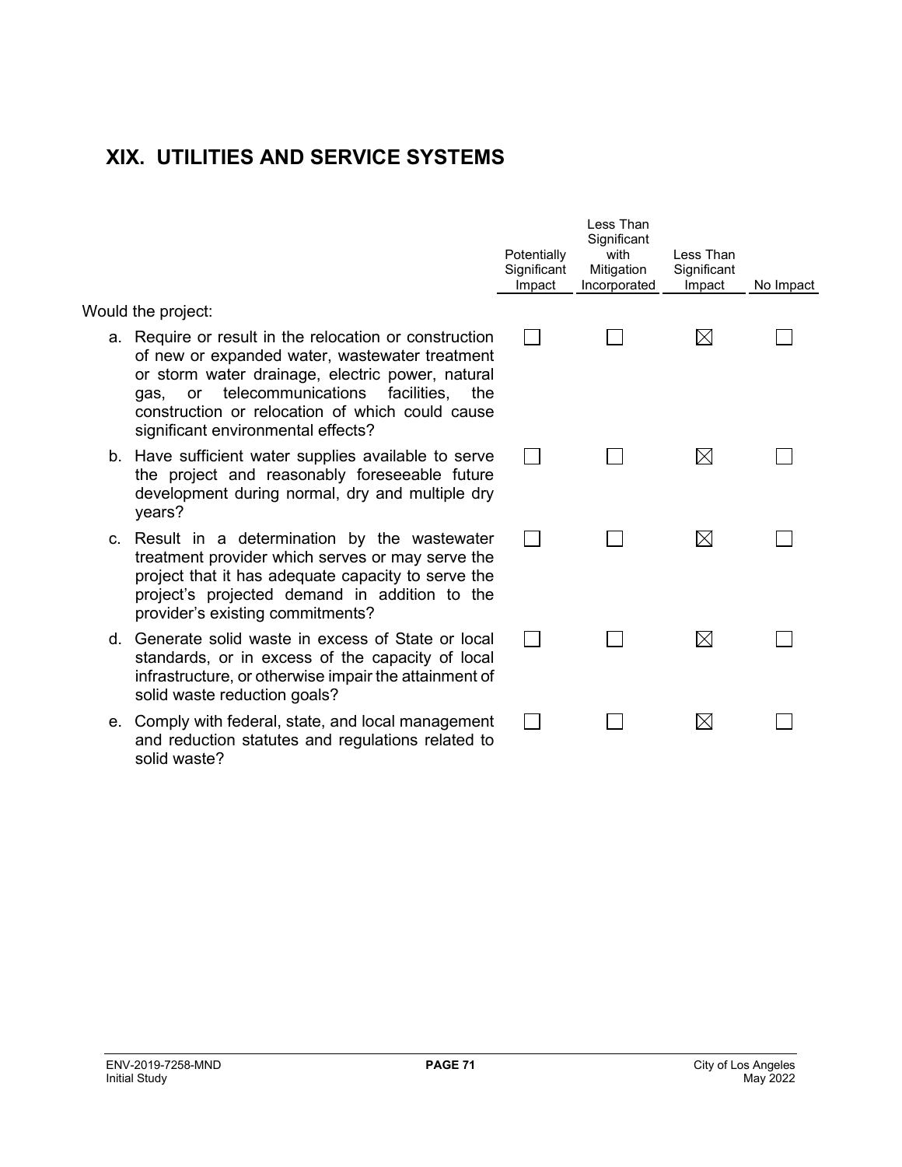## **XIX. UTILITIES AND SERVICE SYSTEMS**

|    |                                                                                                                                                                                                                                                                                                           | Potentially<br>Significant<br>Impact | Less Than<br>Significant<br>with<br>Mitigation<br>Incorporated | Less Than<br>Significant<br>Impact | No Impact |
|----|-----------------------------------------------------------------------------------------------------------------------------------------------------------------------------------------------------------------------------------------------------------------------------------------------------------|--------------------------------------|----------------------------------------------------------------|------------------------------------|-----------|
|    | Would the project:                                                                                                                                                                                                                                                                                        |                                      |                                                                |                                    |           |
|    | a. Require or result in the relocation or construction<br>of new or expanded water, wastewater treatment<br>or storm water drainage, electric power, natural<br>telecommunications facilities, the<br>or<br>qas,<br>construction or relocation of which could cause<br>significant environmental effects? |                                      |                                                                | $\boxtimes$                        |           |
|    | b. Have sufficient water supplies available to serve<br>the project and reasonably foreseeable future<br>development during normal, dry and multiple dry<br>years?                                                                                                                                        |                                      |                                                                | $\boxtimes$                        |           |
|    | c. Result in a determination by the wastewater<br>treatment provider which serves or may serve the<br>project that it has adequate capacity to serve the<br>project's projected demand in addition to the<br>provider's existing commitments?                                                             |                                      |                                                                | $\boxtimes$                        |           |
| d. | Generate solid waste in excess of State or local<br>standards, or in excess of the capacity of local<br>infrastructure, or otherwise impair the attainment of<br>solid waste reduction goals?                                                                                                             |                                      |                                                                | $\boxtimes$                        |           |
|    | e. Comply with federal, state, and local management<br>and reduction statutes and regulations related to                                                                                                                                                                                                  |                                      |                                                                | $\boxtimes$                        |           |

solid waste?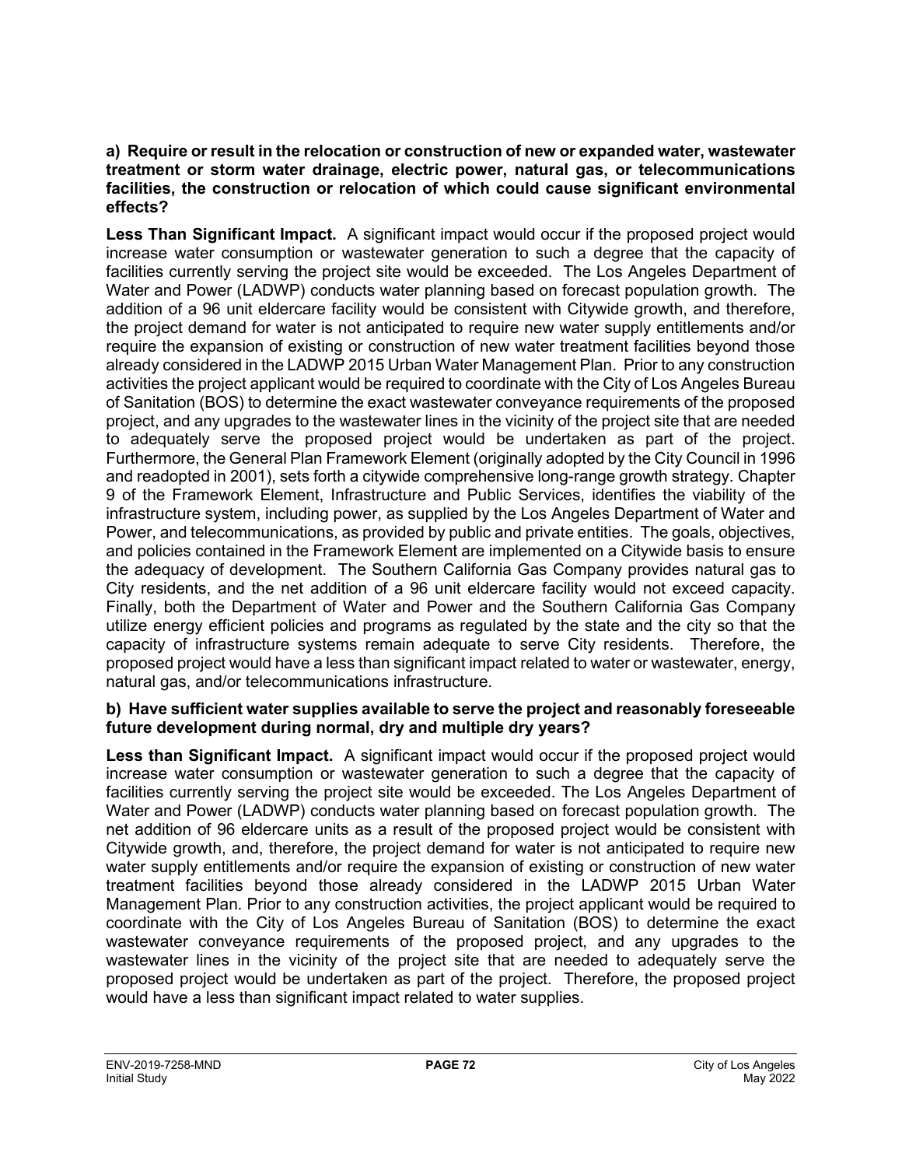#### **a) Require or result in the relocation or construction of new or expanded water, wastewater treatment or storm water drainage, electric power, natural gas, or telecommunications facilities, the construction or relocation of which could cause significant environmental effects?**

**Less Than Significant Impact.** A significant impact would occur if the proposed project would increase water consumption or wastewater generation to such a degree that the capacity of facilities currently serving the project site would be exceeded. The Los Angeles Department of Water and Power (LADWP) conducts water planning based on forecast population growth. The addition of a 96 unit eldercare facility would be consistent with Citywide growth, and therefore, the project demand for water is not anticipated to require new water supply entitlements and/or require the expansion of existing or construction of new water treatment facilities beyond those already considered in the LADWP 2015 Urban Water Management Plan. Prior to any construction activities the project applicant would be required to coordinate with the City of Los Angeles Bureau of Sanitation (BOS) to determine the exact wastewater conveyance requirements of the proposed project, and any upgrades to the wastewater lines in the vicinity of the project site that are needed to adequately serve the proposed project would be undertaken as part of the project. Furthermore, the General Plan Framework Element (originally adopted by the City Council in 1996 and readopted in 2001), sets forth a citywide comprehensive long-range growth strategy. Chapter 9 of the Framework Element, Infrastructure and Public Services, identifies the viability of the infrastructure system, including power, as supplied by the Los Angeles Department of Water and Power, and telecommunications, as provided by public and private entities. The goals, objectives, and policies contained in the Framework Element are implemented on a Citywide basis to ensure the adequacy of development. The Southern California Gas Company provides natural gas to City residents, and the net addition of a 96 unit eldercare facility would not exceed capacity. Finally, both the Department of Water and Power and the Southern California Gas Company utilize energy efficient policies and programs as regulated by the state and the city so that the capacity of infrastructure systems remain adequate to serve City residents. Therefore, the proposed project would have a less than significant impact related to water or wastewater, energy, natural gas, and/or telecommunications infrastructure.

#### **b) Have sufficient water supplies available to serve the project and reasonably foreseeable future development during normal, dry and multiple dry years?**

**Less than Significant Impact.** A significant impact would occur if the proposed project would increase water consumption or wastewater generation to such a degree that the capacity of facilities currently serving the project site would be exceeded. The Los Angeles Department of Water and Power (LADWP) conducts water planning based on forecast population growth. The net addition of 96 eldercare units as a result of the proposed project would be consistent with Citywide growth, and, therefore, the project demand for water is not anticipated to require new water supply entitlements and/or require the expansion of existing or construction of new water treatment facilities beyond those already considered in the LADWP 2015 Urban Water Management Plan. Prior to any construction activities, the project applicant would be required to coordinate with the City of Los Angeles Bureau of Sanitation (BOS) to determine the exact wastewater conveyance requirements of the proposed project, and any upgrades to the wastewater lines in the vicinity of the project site that are needed to adequately serve the proposed project would be undertaken as part of the project. Therefore, the proposed project would have a less than significant impact related to water supplies.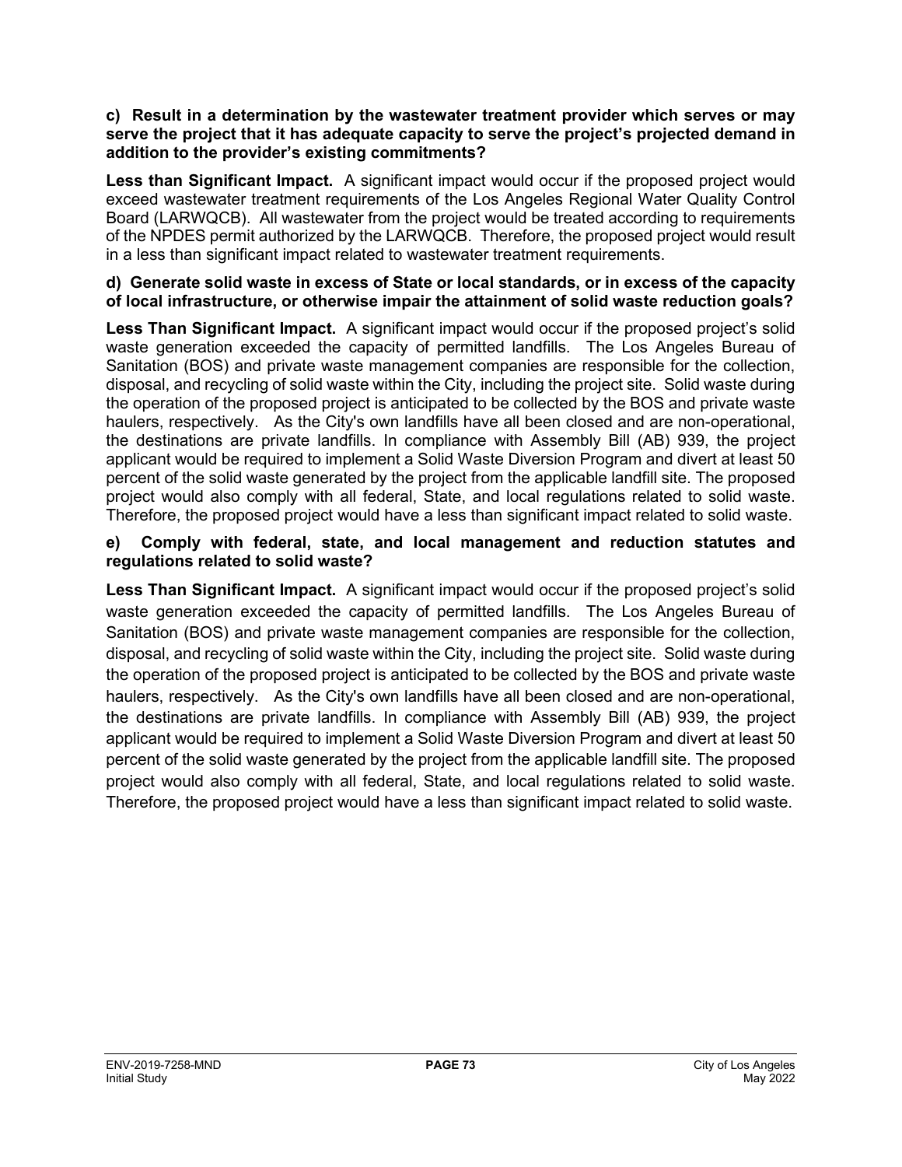#### **c) Result in a determination by the wastewater treatment provider which serves or may serve the project that it has adequate capacity to serve the project's projected demand in addition to the provider's existing commitments?**

**Less than Significant Impact.** A significant impact would occur if the proposed project would exceed wastewater treatment requirements of the Los Angeles Regional Water Quality Control Board (LARWQCB). All wastewater from the project would be treated according to requirements of the NPDES permit authorized by the LARWQCB. Therefore, the proposed project would result in a less than significant impact related to wastewater treatment requirements.

#### **d) Generate solid waste in excess of State or local standards, or in excess of the capacity of local infrastructure, or otherwise impair the attainment of solid waste reduction goals?**

**Less Than Significant Impact.** A significant impact would occur if the proposed project's solid waste generation exceeded the capacity of permitted landfills. The Los Angeles Bureau of Sanitation (BOS) and private waste management companies are responsible for the collection, disposal, and recycling of solid waste within the City, including the project site. Solid waste during the operation of the proposed project is anticipated to be collected by the BOS and private waste haulers, respectively. As the City's own landfills have all been closed and are non-operational, the destinations are private landfills. In compliance with Assembly Bill (AB) 939, the project applicant would be required to implement a Solid Waste Diversion Program and divert at least 50 percent of the solid waste generated by the project from the applicable landfill site. The proposed project would also comply with all federal, State, and local regulations related to solid waste. Therefore, the proposed project would have a less than significant impact related to solid waste.

## **e) Comply with federal, state, and local management and reduction statutes and regulations related to solid waste?**

**Less Than Significant Impact.** A significant impact would occur if the proposed project's solid waste generation exceeded the capacity of permitted landfills. The Los Angeles Bureau of Sanitation (BOS) and private waste management companies are responsible for the collection, disposal, and recycling of solid waste within the City, including the project site. Solid waste during the operation of the proposed project is anticipated to be collected by the BOS and private waste haulers, respectively. As the City's own landfills have all been closed and are non-operational, the destinations are private landfills. In compliance with Assembly Bill (AB) 939, the project applicant would be required to implement a Solid Waste Diversion Program and divert at least 50 percent of the solid waste generated by the project from the applicable landfill site. The proposed project would also comply with all federal, State, and local regulations related to solid waste. Therefore, the proposed project would have a less than significant impact related to solid waste.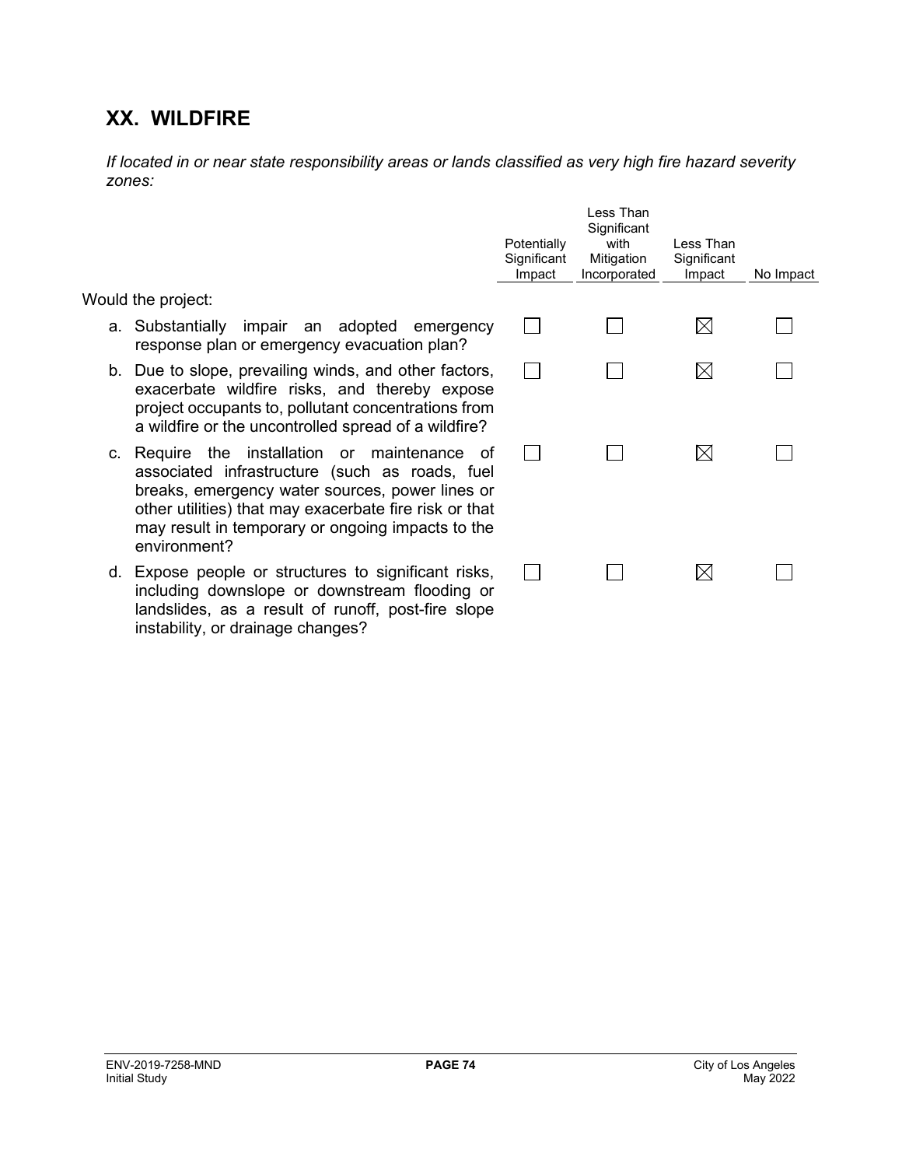# **XX. WILDFIRE**

instability, or drainage changes?

*If located in or near state responsibility areas or lands classified as very high fire hazard severity zones:*

|                                                                                                                                                                                                                                                                                      | Potentially<br>Significant<br>Impact | Less Than<br>Significant<br>with<br>Mitigation<br>Incorporated | I ess Than<br>Significant<br>Impact | No Impact |
|--------------------------------------------------------------------------------------------------------------------------------------------------------------------------------------------------------------------------------------------------------------------------------------|--------------------------------------|----------------------------------------------------------------|-------------------------------------|-----------|
| Would the project:                                                                                                                                                                                                                                                                   |                                      |                                                                |                                     |           |
| a. Substantially impair an adopted<br>emergency<br>response plan or emergency evacuation plan?                                                                                                                                                                                       |                                      |                                                                | $\bowtie$                           |           |
| b. Due to slope, prevailing winds, and other factors,<br>exacerbate wildfire risks, and thereby expose<br>project occupants to, pollutant concentrations from<br>a wildfire or the uncontrolled spread of a wildfire?                                                                |                                      |                                                                | $\boxtimes$                         |           |
| c. Require the installation or maintenance<br>0t<br>associated infrastructure (such as roads, fuel<br>breaks, emergency water sources, power lines or<br>other utilities) that may exacerbate fire risk or that<br>may result in temporary or ongoing impacts to the<br>environment? |                                      |                                                                | $\times$                            |           |
| d. Expose people or structures to significant risks,<br>including downslope or downstream flooding or<br>landslides, as a result of runoff, post-fire slope                                                                                                                          |                                      |                                                                | $\times$                            |           |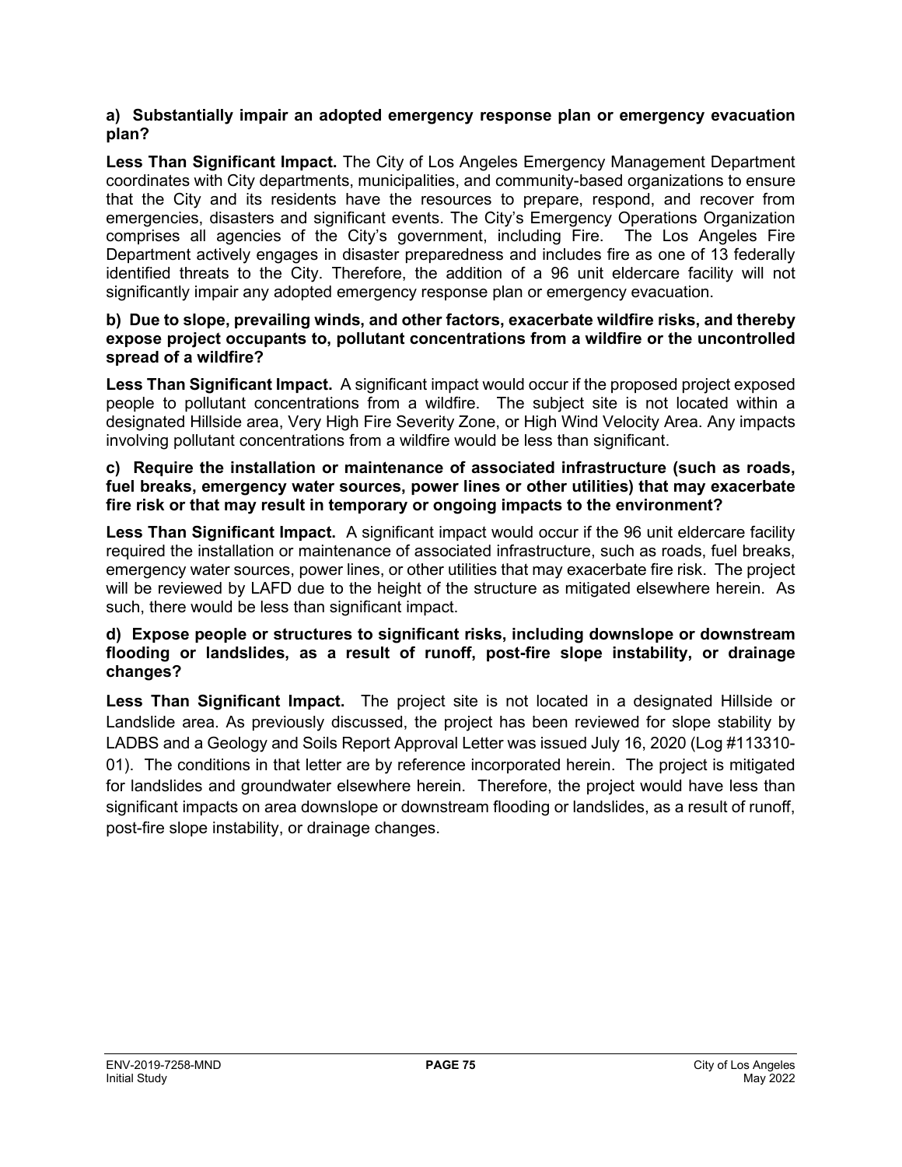### **a) Substantially impair an adopted emergency response plan or emergency evacuation plan?**

**Less Than Significant Impact.** The City of Los Angeles Emergency Management Department coordinates with City departments, municipalities, and community-based organizations to ensure that the City and its residents have the resources to prepare, respond, and recover from emergencies, disasters and significant events. The City's Emergency Operations Organization comprises all agencies of the City's government, including Fire. The Los Angeles Fire Department actively engages in disaster preparedness and includes fire as one of 13 federally identified threats to the City. Therefore, the addition of a 96 unit eldercare facility will not significantly impair any adopted emergency response plan or emergency evacuation.

#### **b) Due to slope, prevailing winds, and other factors, exacerbate wildfire risks, and thereby expose project occupants to, pollutant concentrations from a wildfire or the uncontrolled spread of a wildfire?**

**Less Than Significant Impact.** A significant impact would occur if the proposed project exposed people to pollutant concentrations from a wildfire. The subject site is not located within a designated Hillside area, Very High Fire Severity Zone, or High Wind Velocity Area. Any impacts involving pollutant concentrations from a wildfire would be less than significant.

#### **c) Require the installation or maintenance of associated infrastructure (such as roads, fuel breaks, emergency water sources, power lines or other utilities) that may exacerbate fire risk or that may result in temporary or ongoing impacts to the environment?**

**Less Than Significant Impact.** A significant impact would occur if the 96 unit eldercare facility required the installation or maintenance of associated infrastructure, such as roads, fuel breaks, emergency water sources, power lines, or other utilities that may exacerbate fire risk. The project will be reviewed by LAFD due to the height of the structure as mitigated elsewhere herein. As such, there would be less than significant impact.

## **d) Expose people or structures to significant risks, including downslope or downstream flooding or landslides, as a result of runoff, post-fire slope instability, or drainage changes?**

**Less Than Significant Impact.** The project site is not located in a designated Hillside or Landslide area. As previously discussed, the project has been reviewed for slope stability by LADBS and a Geology and Soils Report Approval Letter was issued July 16, 2020 (Log #113310- 01). The conditions in that letter are by reference incorporated herein. The project is mitigated for landslides and groundwater elsewhere herein. Therefore, the project would have less than significant impacts on area downslope or downstream flooding or landslides, as a result of runoff, post-fire slope instability, or drainage changes.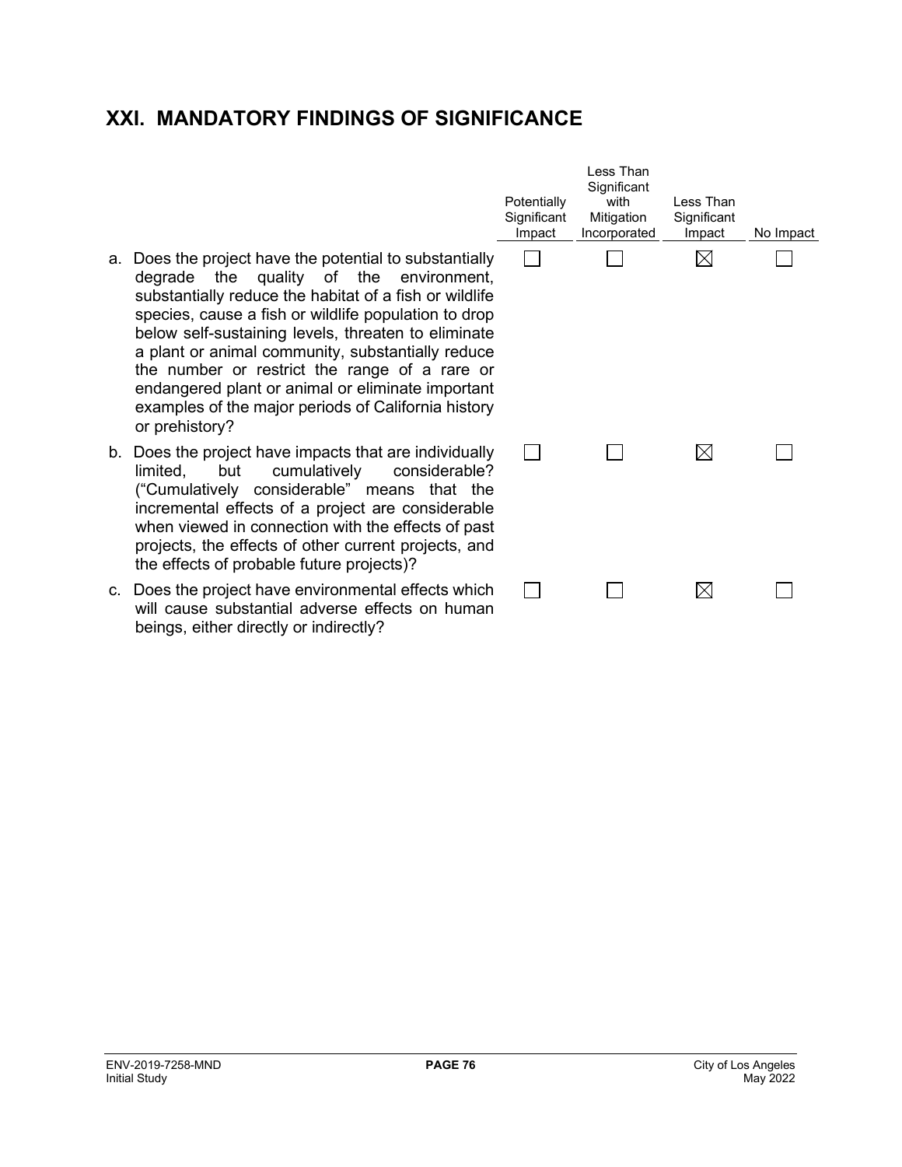# **XXI. MANDATORY FINDINGS OF SIGNIFICANCE**

- a. Does the project have the potential to substantially degrade the quality of the environment, substantially reduce the habitat of a fish or wildlife species, cause a fish or wildlife population to drop below self-sustaining levels, threaten to eliminate a plant or animal community, substantially reduce the number or restrict the range of a rare or endangered plant or animal or eliminate important examples of the major periods of California history or prehistory?
- b. Does the project have impacts that are individually limited, but cumulatively considerable? ("Cumulatively considerable" means that the incremental effects of a project are considerable when viewed in connection with the effects of past projects, the effects of other current projects, and the effects of probable future projects)?
- c. Does the project have environmental effects which will cause substantial adverse effects on human beings, either directly or indirectly?

| Potentially<br>Significant<br>Impact | Less Than<br>Significant<br>with<br>Mitigation<br>Incorporated | Less Than<br>Significant<br>Impact | No Impact |
|--------------------------------------|----------------------------------------------------------------|------------------------------------|-----------|
|                                      |                                                                |                                    |           |
|                                      |                                                                |                                    |           |
|                                      |                                                                |                                    |           |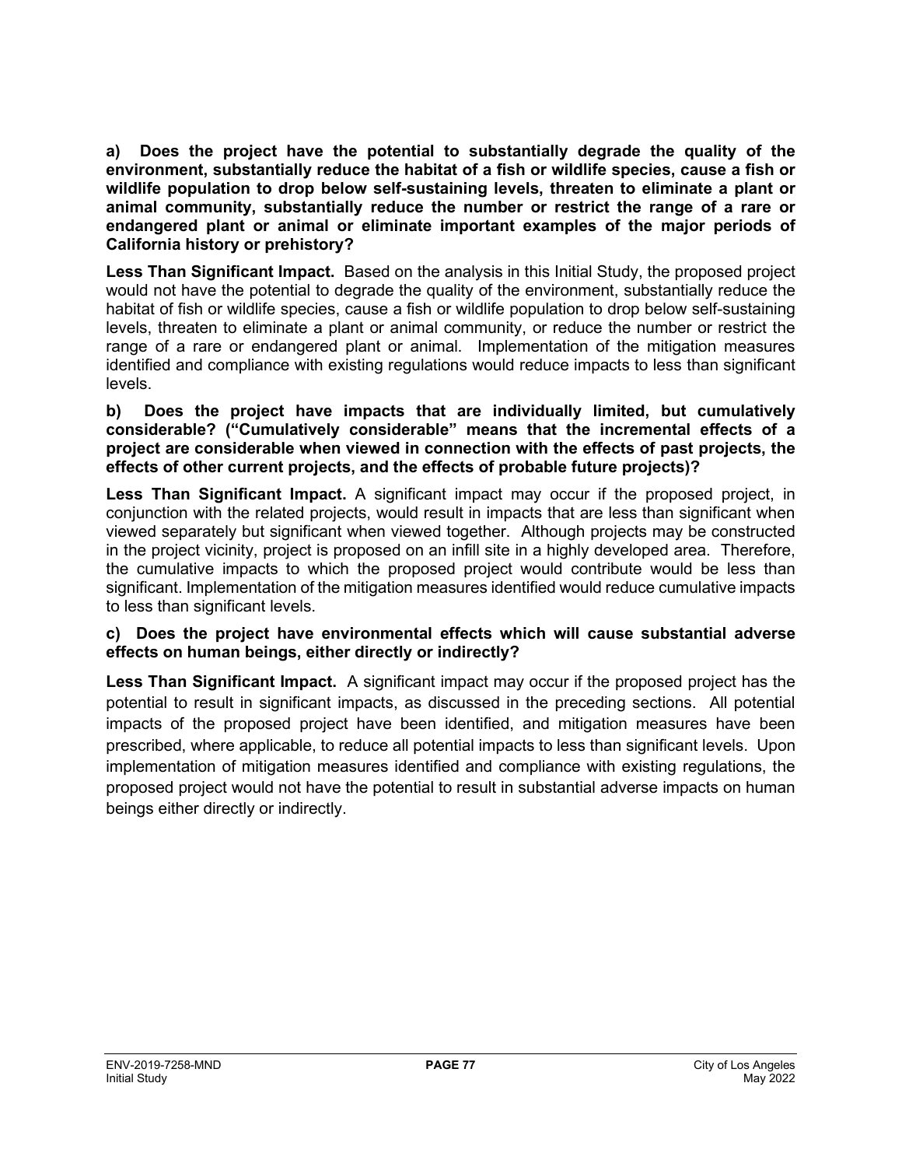**a) Does the project have the potential to substantially degrade the quality of the environment, substantially reduce the habitat of a fish or wildlife species, cause a fish or wildlife population to drop below self-sustaining levels, threaten to eliminate a plant or animal community, substantially reduce the number or restrict the range of a rare or endangered plant or animal or eliminate important examples of the major periods of California history or prehistory?**

**Less Than Significant Impact.** Based on the analysis in this Initial Study, the proposed project would not have the potential to degrade the quality of the environment, substantially reduce the habitat of fish or wildlife species, cause a fish or wildlife population to drop below self-sustaining levels, threaten to eliminate a plant or animal community, or reduce the number or restrict the range of a rare or endangered plant or animal. Implementation of the mitigation measures identified and compliance with existing regulations would reduce impacts to less than significant levels.

**b) Does the project have impacts that are individually limited, but cumulatively considerable? ("Cumulatively considerable" means that the incremental effects of a project are considerable when viewed in connection with the effects of past projects, the effects of other current projects, and the effects of probable future projects)?**

**Less Than Significant Impact.** A significant impact may occur if the proposed project, in conjunction with the related projects, would result in impacts that are less than significant when viewed separately but significant when viewed together. Although projects may be constructed in the project vicinity, project is proposed on an infill site in a highly developed area. Therefore, the cumulative impacts to which the proposed project would contribute would be less than significant. Implementation of the mitigation measures identified would reduce cumulative impacts to less than significant levels.

## **c) Does the project have environmental effects which will cause substantial adverse effects on human beings, either directly or indirectly?**

**Less Than Significant Impact.** A significant impact may occur if the proposed project has the potential to result in significant impacts, as discussed in the preceding sections. All potential impacts of the proposed project have been identified, and mitigation measures have been prescribed, where applicable, to reduce all potential impacts to less than significant levels. Upon implementation of mitigation measures identified and compliance with existing regulations, the proposed project would not have the potential to result in substantial adverse impacts on human beings either directly or indirectly.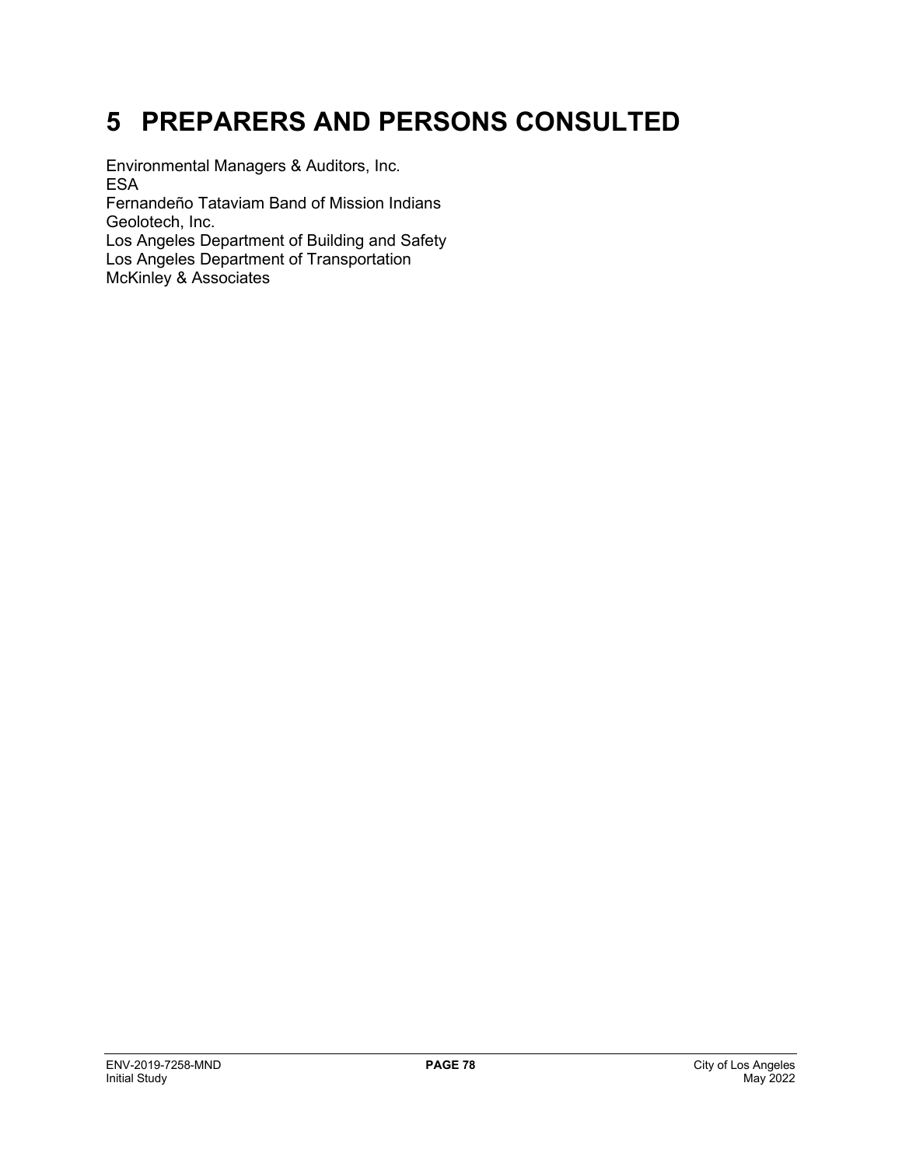# **5 PREPARERS AND PERSONS CONSULTED**

Environmental Managers & Auditors, Inc. ESA

Fernandeño Tataviam Band of Mission Indians Geolotech, Inc.

Los Angeles Department of Building and Safety Los Angeles Department of Transportation McKinley & Associates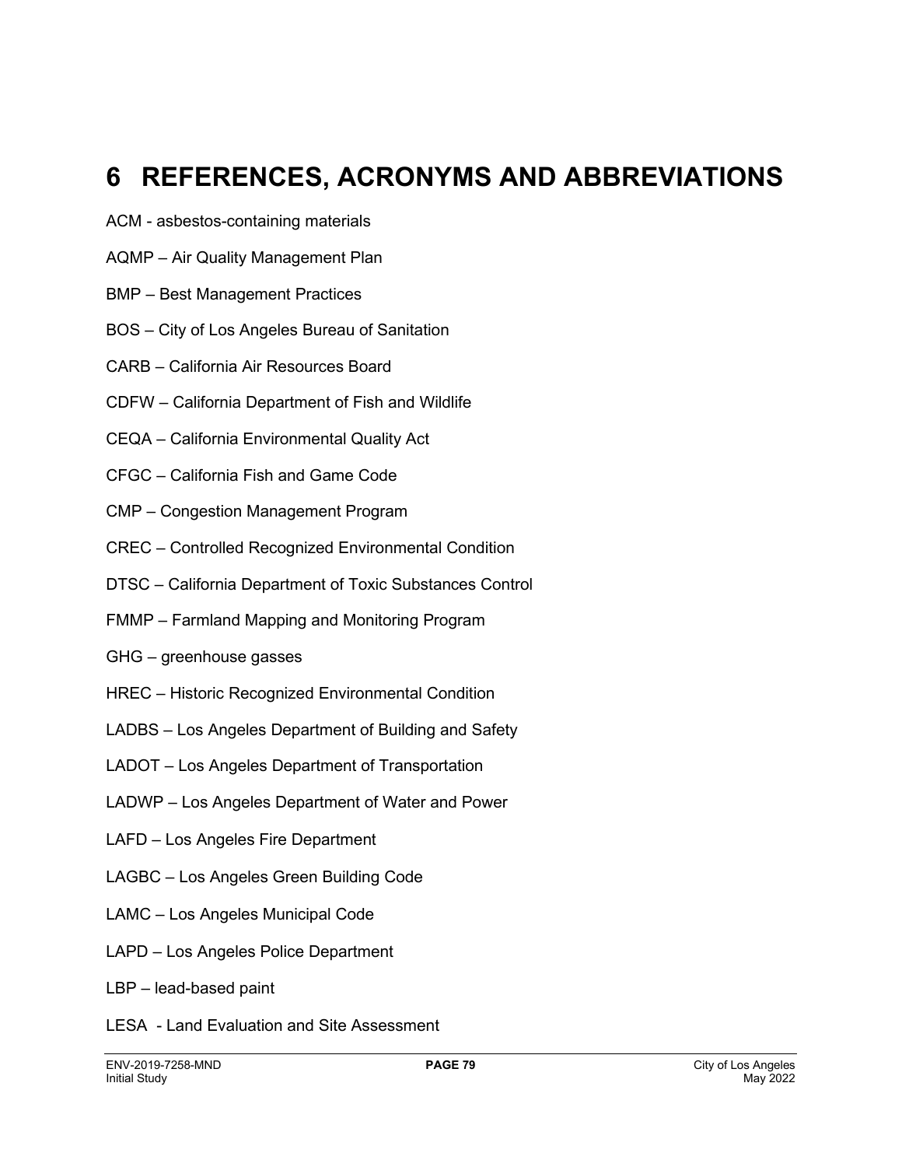# **6 REFERENCES, ACRONYMS AND ABBREVIATIONS**

- ACM asbestos-containing materials
- AQMP Air Quality Management Plan
- BMP Best Management Practices
- BOS City of Los Angeles Bureau of Sanitation
- CARB California Air Resources Board
- CDFW California Department of Fish and Wildlife
- CEQA California Environmental Quality Act
- CFGC California Fish and Game Code
- CMP Congestion Management Program
- CREC Controlled Recognized Environmental Condition
- DTSC California Department of Toxic Substances Control
- FMMP Farmland Mapping and Monitoring Program
- GHG greenhouse gasses
- HREC Historic Recognized Environmental Condition
- LADBS Los Angeles Department of Building and Safety
- LADOT Los Angeles Department of Transportation
- LADWP Los Angeles Department of Water and Power
- LAFD Los Angeles Fire Department
- LAGBC Los Angeles Green Building Code
- LAMC Los Angeles Municipal Code
- LAPD Los Angeles Police Department
- LBP lead-based paint
- LESA Land Evaluation and Site Assessment